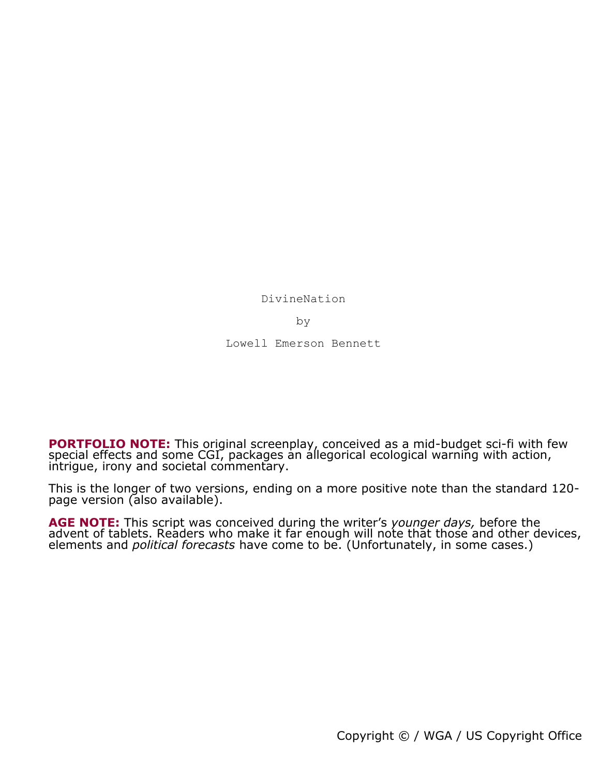DivineNation

by

Lowell Emerson Bennett

**PORTFOLIO NOTE:** This original screenplay, conceived as a mid-budget sci-fi with few special effects and some CGI, packages an allegorical ecological warning with action, intrigue, irony and societal commentary.

This is the longer of two versions, ending on a more positive note than the standard 120 page version (also available).

**AGE NOTE:** This script was conceived during the writer's *younger days,* before the advent of tablets. Readers who make it far enough will note that those and other devices, elements and *political forecasts* have come to be. (Unfortunately, in some cases.)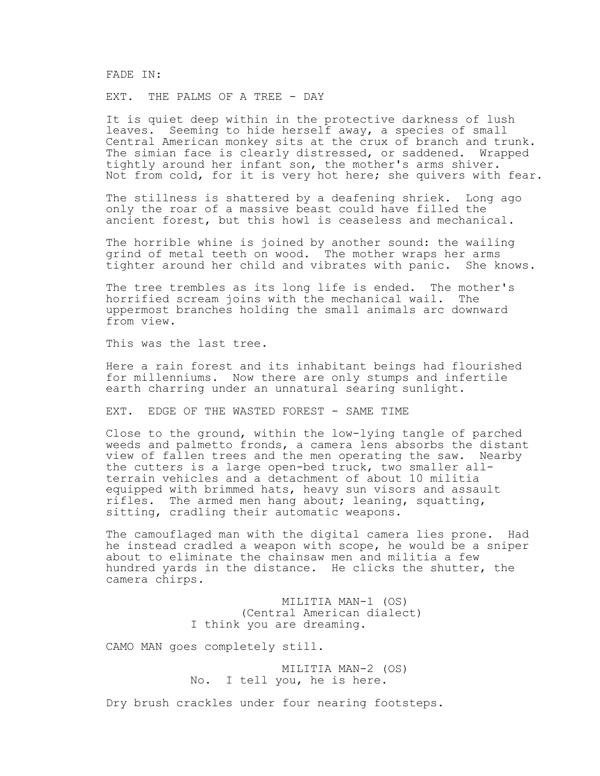FADE IN:

EXT. THE PALMS OF A TREE - DAY

It is quiet deep within in the protective darkness of lush leaves. Seeming to hide herself away, a species of small Central American monkey sits at the crux of branch and trunk. The simian face is clearly distressed, or saddened. Wrapped tightly around her infant son, the mother's arms shiver. Not from cold, for it is very hot here; she quivers with fear.

The stillness is shattered by a deafening shriek. Long ago only the roar of a massive beast could have filled the ancient forest, but this howl is ceaseless and mechanical.

The horrible whine is joined by another sound: the wailing grind of metal teeth on wood. The mother wraps her arms tighter around her child and vibrates with panic. She knows.

The tree trembles as its long life is ended. The mother's horrified scream joins with the mechanical wail. The uppermost branches holding the small animals arc downward from view.

This was the last tree.

Here a rain forest and its inhabitant beings had flourished for millenniums. Now there are only stumps and infertile earth charring under an unnatural searing sunlight.

EXT. EDGE OF THE WASTED FOREST - SAME TIME

Close to the ground, within the low-lying tangle of parched weeds and palmetto fronds, a camera lens absorbs the distant view of fallen trees and the men operating the saw. Nearby the cutters is a large open-bed truck, two smaller allterrain vehicles and a detachment of about 10 militia equipped with brimmed hats, heavy sun visors and assault rifles. The armed men hang about; leaning, squatting, sitting, cradling their automatic weapons.

The camouflaged man with the digital camera lies prone. Had he instead cradled a weapon with scope, he would be a sniper about to eliminate the chainsaw men and militia a few hundred yards in the distance. He clicks the shutter, the camera chirps.

> MILITIA MAN-1 (OS) (Central American dialect) I think you are dreaming.

CAMO MAN goes completely still.

 MILITIA MAN-2 (OS) No. I tell you, he is here.

Dry brush crackles under four nearing footsteps.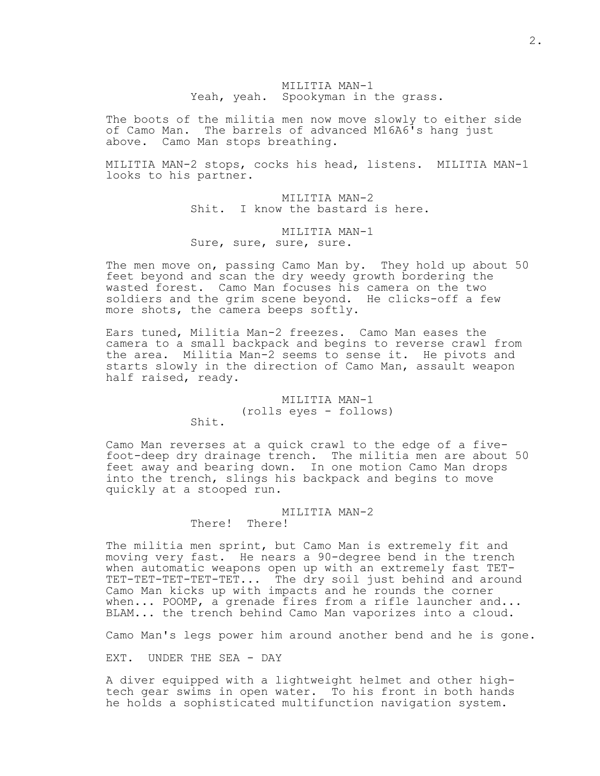MILITIA MAN-1 Yeah, yeah. Spookyman in the grass.

The boots of the militia men now move slowly to either side of Camo Man. The barrels of advanced M16A6's hang just above. Camo Man stops breathing.

MILITIA MAN-2 stops, cocks his head, listens. MILITIA MAN-1 looks to his partner.

> MILITIA MAN-2 Shit. I know the bastard is here.

# MILITIA MAN-1 Sure, sure, sure, sure.

The men move on, passing Camo Man by. They hold up about 50 feet beyond and scan the dry weedy growth bordering the wasted forest. Camo Man focuses his camera on the two soldiers and the grim scene beyond. He clicks-off a few more shots, the camera beeps softly.

Ears tuned, Militia Man-2 freezes. Camo Man eases the camera to a small backpack and begins to reverse crawl from the area. Militia Man-2 seems to sense it. He pivots and starts slowly in the direction of Camo Man, assault weapon half raised, ready.

# MILITIA MAN-1 (rolls eyes - follows)

Shit.

Camo Man reverses at a quick crawl to the edge of a fivefoot-deep dry drainage trench. The militia men are about 50 feet away and bearing down. In one motion Camo Man drops into the trench, slings his backpack and begins to move quickly at a stooped run.

# MILITIA MAN-2

There! There!

The militia men sprint, but Camo Man is extremely fit and moving very fast. He nears a 90-degree bend in the trench when automatic weapons open up with an extremely fast TET-TET-TET-TET-TET-TET... The dry soil just behind and around Camo Man kicks up with impacts and he rounds the corner when... POOMP, a grenade fires from a rifle launcher and... BLAM... the trench behind Camo Man vaporizes into a cloud.

Camo Man's legs power him around another bend and he is gone.

EXT. UNDER THE SEA - DAY

A diver equipped with a lightweight helmet and other hightech gear swims in open water. To his front in both hands he holds a sophisticated multifunction navigation system.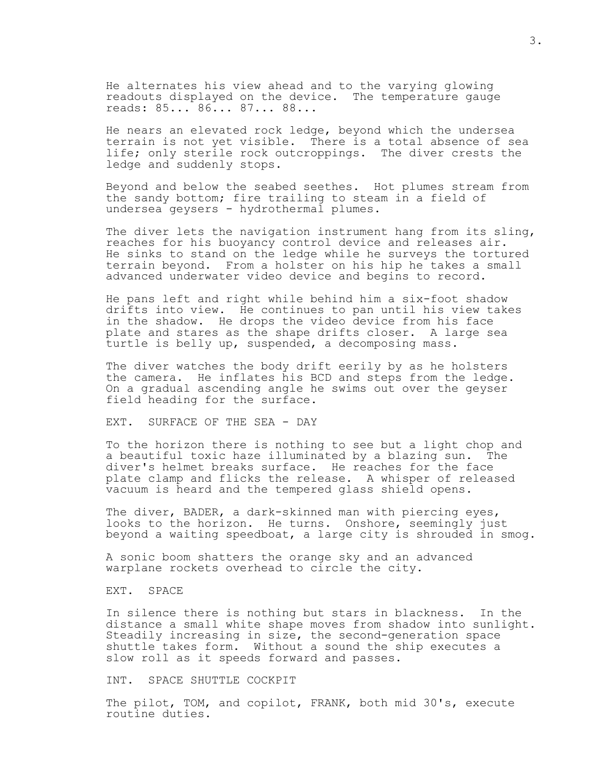He alternates his view ahead and to the varying glowing readouts displayed on the device. The temperature gauge reads: 85... 86... 87... 88...

He nears an elevated rock ledge, beyond which the undersea terrain is not yet visible. There is a total absence of sea life; only sterile rock outcroppings. The diver crests the ledge and suddenly stops.

Beyond and below the seabed seethes. Hot plumes stream from the sandy bottom; fire trailing to steam in a field of undersea geysers - hydrothermal plumes.

The diver lets the navigation instrument hang from its sling, reaches for his buoyancy control device and releases air. He sinks to stand on the ledge while he surveys the tortured terrain beyond. From a holster on his hip he takes a small advanced underwater video device and begins to record.

He pans left and right while behind him a six-foot shadow drifts into view. He continues to pan until his view takes in the shadow. He drops the video device from his face plate and stares as the shape drifts closer. A large sea turtle is belly up, suspended, a decomposing mass.

The diver watches the body drift eerily by as he holsters the camera. He inflates his BCD and steps from the ledge. On a gradual ascending angle he swims out over the geyser field heading for the surface.

EXT. SURFACE OF THE SEA - DAY

To the horizon there is nothing to see but a light chop and a beautiful toxic haze illuminated by a blazing sun. The diver's helmet breaks surface. He reaches for the face plate clamp and flicks the release. A whisper of released vacuum is heard and the tempered glass shield opens.

The diver, BADER, a dark-skinned man with piercing eyes, looks to the horizon. He turns. Onshore, seemingly just beyond a waiting speedboat, a large city is shrouded in smog.

A sonic boom shatters the orange sky and an advanced warplane rockets overhead to circle the city.

EXT. SPACE

In silence there is nothing but stars in blackness. In the distance a small white shape moves from shadow into sunlight. Steadily increasing in size, the second-generation space shuttle takes form. Without a sound the ship executes a slow roll as it speeds forward and passes.

INT. SPACE SHUTTLE COCKPIT

The pilot, TOM, and copilot, FRANK, both mid 30's, execute routine duties.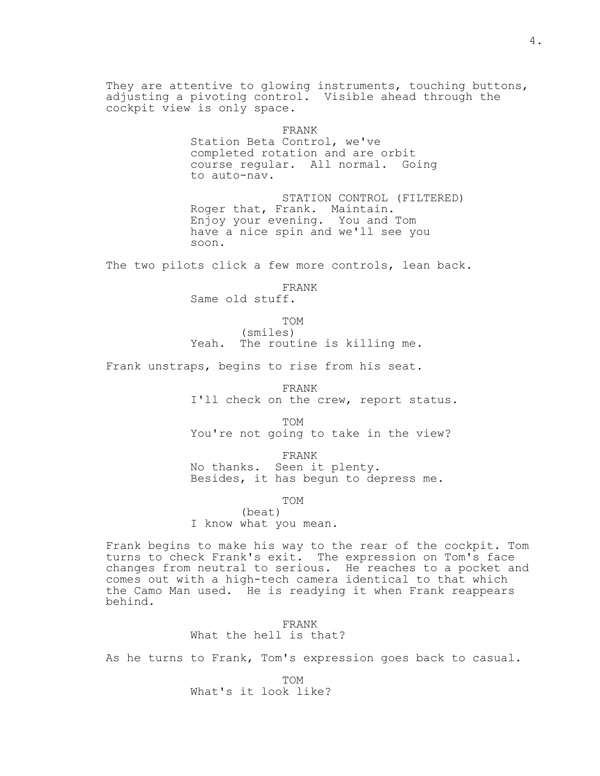They are attentive to glowing instruments, touching buttons, adjusting a pivoting control. Visible ahead through the cockpit view is only space. FRANK Station Beta Control, we've completed rotation and are orbit course regular. All normal. Going to auto-nav. STATION CONTROL (FILTERED) Roger that, Frank. Maintain. Enjoy your evening. You and Tom have a nice spin and we'll see you soon. The two pilots click a few more controls, lean back. FRANK Same old stuff. TOM (smiles) Yeah. The routine is killing me. Frank unstraps, begins to rise from his seat. FRANK I'll check on the crew, report status. TOM You're not going to take in the view? FRANK No thanks. Seen it plenty. Besides, it has begun to depress me. TOM (beat) I know what you mean. Frank begins to make his way to the rear of the cockpit. Tom turns to check Frank's exit. The expression on Tom's face changes from neutral to serious. He reaches to a pocket and comes out with a high-tech camera identical to that which the Camo Man used. He is readying it when Frank reappears behind. FRANK

What the hell is that?

As he turns to Frank, Tom's expression goes back to casual.

 TOM What's it look like?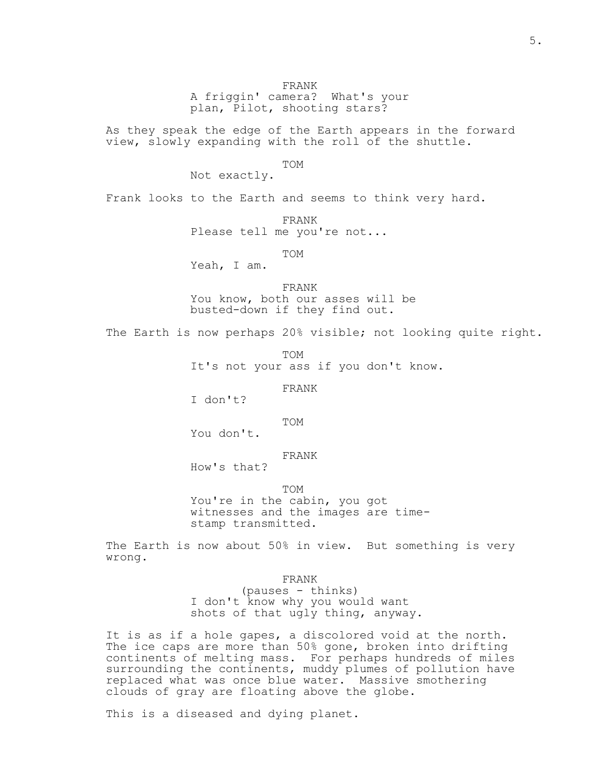A friggin' camera? What's your plan, Pilot, shooting stars?

As they speak the edge of the Earth appears in the forward view, slowly expanding with the roll of the shuttle.

TOM

Not exactly.

Frank looks to the Earth and seems to think very hard.

FRANK

Please tell me you're not...

TOM

Yeah, I am.

 FRANK You know, both our asses will be busted-down if they find out.

The Earth is now perhaps 20% visible; not looking quite right.

TOM

It's not your ass if you don't know.

FRANK

I don't?

TOM

You don't.

# FRANK

How's that?

TOM

 You're in the cabin, you got witnesses and the images are time stamp transmitted.

The Earth is now about 50% in view. But something is very wrong.

FRANK

 (pauses - thinks) I don't know why you would want shots of that ugly thing, anyway.

It is as if a hole gapes, a discolored void at the north. The ice caps are more than 50% gone, broken into drifting continents of melting mass. For perhaps hundreds of miles surrounding the continents, muddy plumes of pollution have replaced what was once blue water. Massive smothering clouds of gray are floating above the globe.

This is a diseased and dying planet.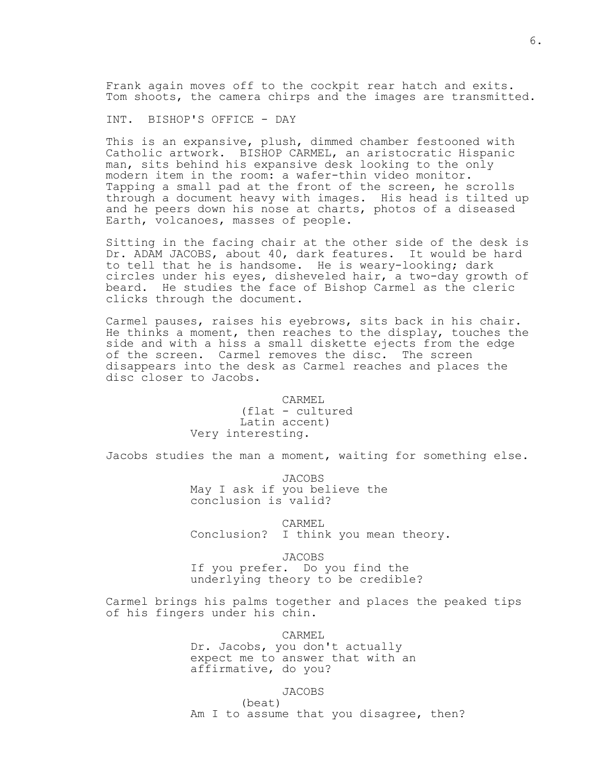Frank again moves off to the cockpit rear hatch and exits. Tom shoots, the camera chirps and the images are transmitted.

INT. BISHOP'S OFFICE - DAY

This is an expansive, plush, dimmed chamber festooned with Catholic artwork. BISHOP CARMEL, an aristocratic Hispanic man, sits behind his expansive desk looking to the only modern item in the room: a wafer-thin video monitor. Tapping a small pad at the front of the screen, he scrolls through a document heavy with images. His head is tilted up and he peers down his nose at charts, photos of a diseased Earth, volcanoes, masses of people.

Sitting in the facing chair at the other side of the desk is Dr. ADAM JACOBS, about 40, dark features. It would be hard to tell that he is handsome. He is weary-looking; dark circles under his eyes, disheveled hair, a two-day growth of beard. He studies the face of Bishop Carmel as the cleric clicks through the document.

Carmel pauses, raises his eyebrows, sits back in his chair. He thinks a moment, then reaches to the display, touches the side and with a hiss a small diskette ejects from the edge of the screen. Carmel removes the disc. The screen disappears into the desk as Carmel reaches and places the disc closer to Jacobs.

> CARMEL (flat - cultured Latin accent) Very interesting.

Jacobs studies the man a moment, waiting for something else.

 JACOBS May I ask if you believe the conclusion is valid?

 CARMEL Conclusion? I think you mean theory.

JACOBS

 If you prefer. Do you find the underlying theory to be credible?

Carmel brings his palms together and places the peaked tips of his fingers under his chin.

CARMEL

 Dr. Jacobs, you don't actually expect me to answer that with an affirmative, do you?

JACOBS

(beat)

Am I to assume that you disagree, then?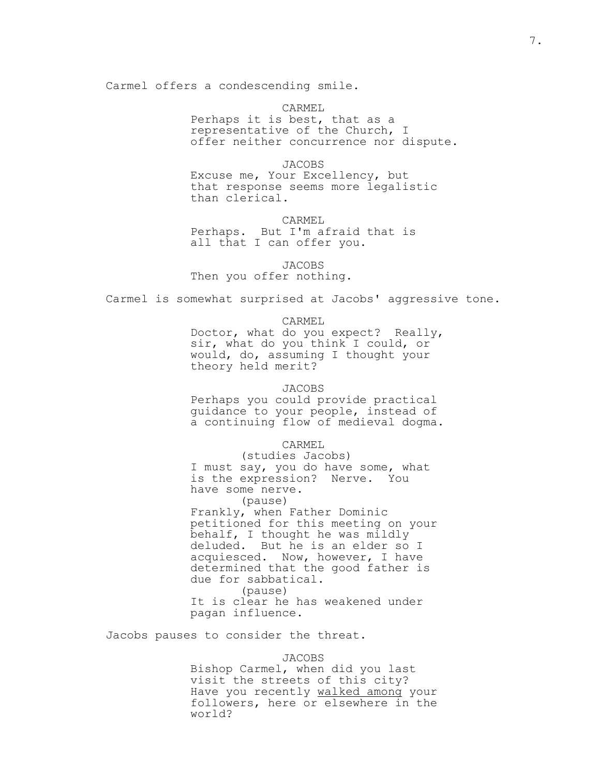Carmel offers a condescending smile.

 CARMEL Perhaps it is best, that as a representative of the Church, I offer neither concurrence nor dispute.

 JACOBS Excuse me, Your Excellency, but that response seems more legalistic than clerical.

 CARMEL Perhaps. But I'm afraid that is all that I can offer you.

JACOBS

Then you offer nothing.

Carmel is somewhat surprised at Jacobs' aggressive tone.

CARMEL

 Doctor, what do you expect? Really, sir, what do you think I could, or would, do, assuming I thought your theory held merit?

#### JACOBS

 Perhaps you could provide practical guidance to your people, instead of a continuing flow of medieval dogma.

CARMEL

 (studies Jacobs) I must say, you do have some, what is the expression? Nerve. You have some nerve.

(pause)

 Frankly, when Father Dominic petitioned for this meeting on your behalf, I thought he was mildly deluded. But he is an elder so I acquiesced. Now, however, I have determined that the good father is due for sabbatical. (pause) It is clear he has weakened under

pagan influence.

Jacobs pauses to consider the threat.

JACOBS

 Bishop Carmel, when did you last visit the streets of this city? Have you recently walked among your followers, here or elsewhere in the world?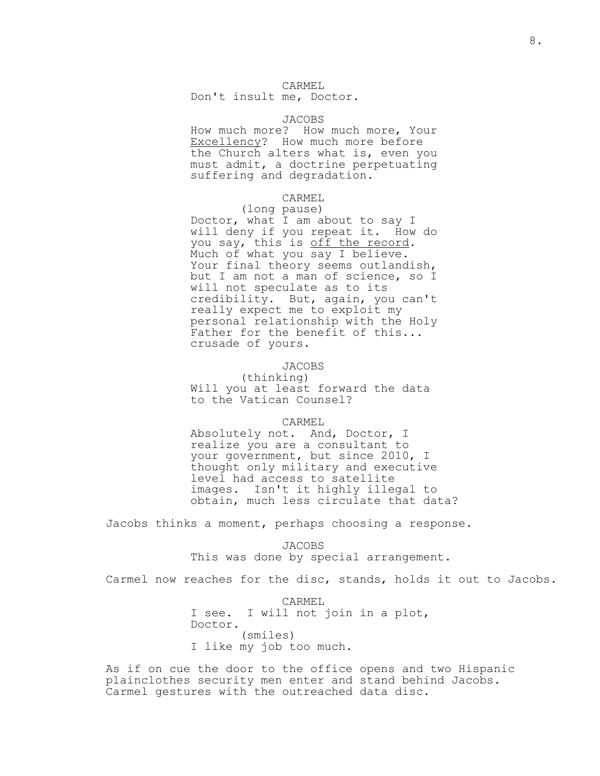## CARMEL

Don't insult me, Doctor.

## JACOBS

 How much more? How much more, Your Excellency? How much more before the Church alters what is, even you must admit, a doctrine perpetuating suffering and degradation.

#### CARMEL

(long pause)

 Doctor, what I am about to say I will deny if you repeat it. How do you say, this is off the record. Much of what you say I believe. Your final theory seems outlandish, but I am not a man of science, so I will not speculate as to its credibility. But, again, you can't really expect me to exploit my personal relationship with the Holy Father for the benefit of this... crusade of yours.

## JACOBS

 (thinking) Will you at least forward the data to the Vatican Counsel?

#### CARMEL

 Absolutely not. And, Doctor, I realize you are a consultant to your government, but since 2010, I thought only military and executive level had access to satellite images. Isn't it highly illegal to obtain, much less circulate that data?

Jacobs thinks a moment, perhaps choosing a response.

 JACOBS This was done by special arrangement.

Carmel now reaches for the disc, stands, holds it out to Jacobs.

 CARMEL I see. I will not join in a plot, Doctor. (smiles) I like my job too much.

As if on cue the door to the office opens and two Hispanic plainclothes security men enter and stand behind Jacobs. Carmel gestures with the outreached data disc.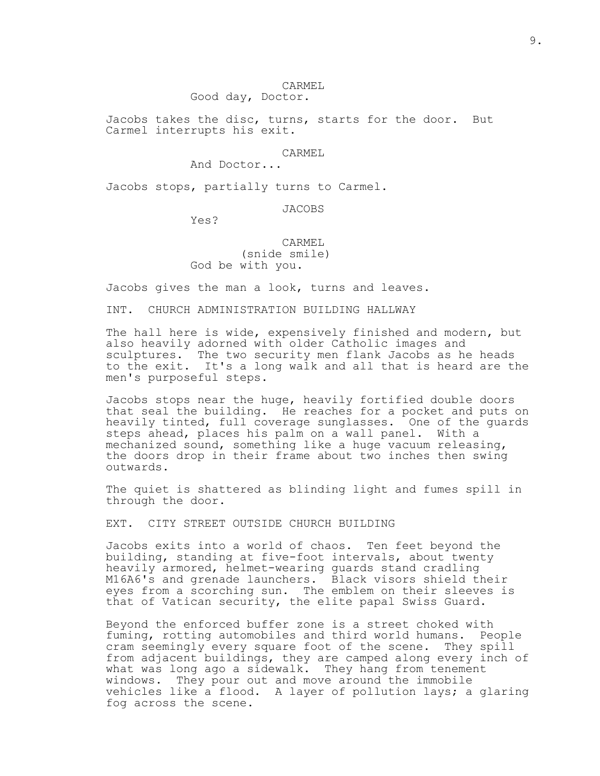#### CARMEL

Good day, Doctor.

Jacobs takes the disc, turns, starts for the door. But Carmel interrupts his exit.

## CARMEL

And Doctor...

Jacobs stops, partially turns to Carmel.

## JACOBS

Yes?

# CARMEL (snide smile) God be with you.

Jacobs gives the man a look, turns and leaves.

INT. CHURCH ADMINISTRATION BUILDING HALLWAY

The hall here is wide, expensively finished and modern, but also heavily adorned with older Catholic images and sculptures. The two security men flank Jacobs as he heads to the exit. It's a long walk and all that is heard are the men's purposeful steps.

Jacobs stops near the huge, heavily fortified double doors that seal the building. He reaches for a pocket and puts on heavily tinted, full coverage sunglasses. One of the guards steps ahead, places his palm on a wall panel. With a mechanized sound, something like a huge vacuum releasing, the doors drop in their frame about two inches then swing outwards.

The quiet is shattered as blinding light and fumes spill in through the door.

EXT. CITY STREET OUTSIDE CHURCH BUILDING

Jacobs exits into a world of chaos. Ten feet beyond the building, standing at five-foot intervals, about twenty heavily armored, helmet-wearing guards stand cradling M16A6's and grenade launchers. Black visors shield their eyes from a scorching sun. The emblem on their sleeves is that of Vatican security, the elite papal Swiss Guard.

Beyond the enforced buffer zone is a street choked with fuming, rotting automobiles and third world humans. People cram seemingly every square foot of the scene. They spill from adjacent buildings, they are camped along every inch of what was long ago a sidewalk. They hang from tenement windows. They pour out and move around the immobile vehicles like a flood. A layer of pollution lays; a glaring fog across the scene.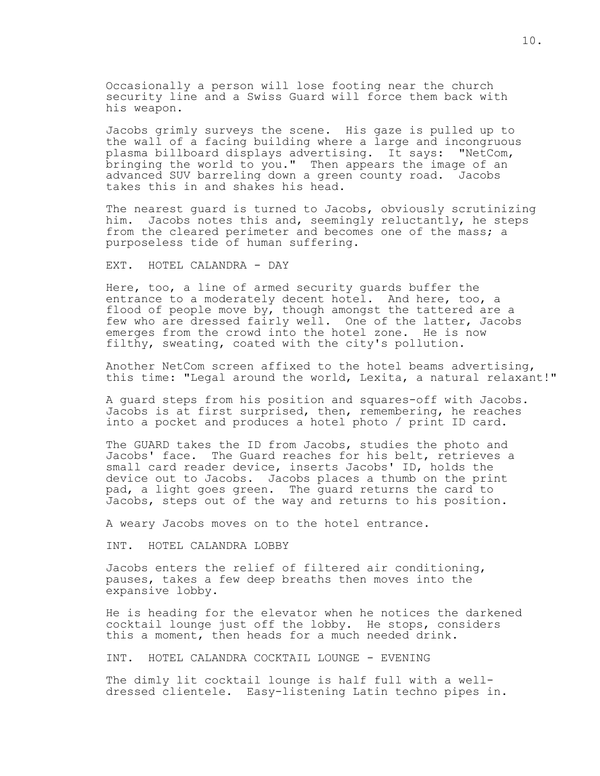Occasionally a person will lose footing near the church security line and a Swiss Guard will force them back with his weapon.

Jacobs grimly surveys the scene. His gaze is pulled up to the wall of a facing building where a large and incongruous plasma billboard displays advertising. It says: "NetCom, bringing the world to you." Then appears the image of an advanced SUV barreling down a green county road. Jacobs takes this in and shakes his head.

The nearest guard is turned to Jacobs, obviously scrutinizing him. Jacobs notes this and, seemingly reluctantly, he steps from the cleared perimeter and becomes one of the mass; a purposeless tide of human suffering.

EXT. HOTEL CALANDRA - DAY

Here, too, a line of armed security guards buffer the entrance to a moderately decent hotel. And here, too, a flood of people move by, though amongst the tattered are a few who are dressed fairly well. One of the latter, Jacobs emerges from the crowd into the hotel zone. He is now filthy, sweating, coated with the city's pollution.

Another NetCom screen affixed to the hotel beams advertising, this time: "Legal around the world, Lexita, a natural relaxant!"

A guard steps from his position and squares-off with Jacobs. Jacobs is at first surprised, then, remembering, he reaches into a pocket and produces a hotel photo / print ID card.

The GUARD takes the ID from Jacobs, studies the photo and Jacobs' face. The Guard reaches for his belt, retrieves a small card reader device, inserts Jacobs' ID, holds the device out to Jacobs. Jacobs places a thumb on the print pad, a light goes green. The guard returns the card to Jacobs, steps out of the way and returns to his position.

A weary Jacobs moves on to the hotel entrance.

INT. HOTEL CALANDRA LOBBY

Jacobs enters the relief of filtered air conditioning, pauses, takes a few deep breaths then moves into the expansive lobby.

He is heading for the elevator when he notices the darkened cocktail lounge just off the lobby. He stops, considers this a moment, then heads for a much needed drink.

INT. HOTEL CALANDRA COCKTAIL LOUNGE - EVENING

The dimly lit cocktail lounge is half full with a welldressed clientele. Easy-listening Latin techno pipes in.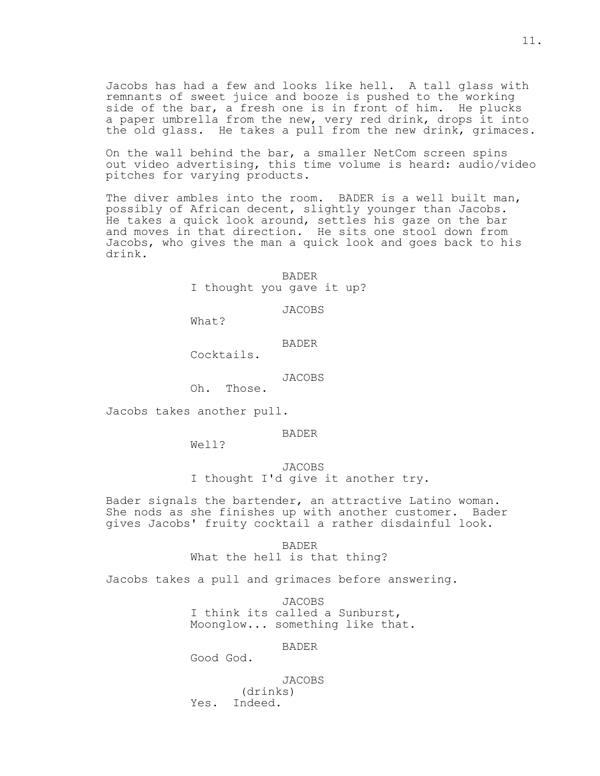Jacobs has had a few and looks like hell. A tall glass with remnants of sweet juice and booze is pushed to the working side of the bar, a fresh one is in front of him. He plucks a paper umbrella from the new, very red drink, drops it into the old glass. He takes a pull from the new drink, grimaces.

On the wall behind the bar, a smaller NetCom screen spins out video advertising, this time volume is heard: audio/video pitches for varying products.

The diver ambles into the room. BADER is a well built man, possibly of African decent, slightly younger than Jacobs. He takes a quick look around, settles his gaze on the bar and moves in that direction. He sits one stool down from Jacobs, who gives the man a quick look and goes back to his drink.

> BADER I thought you gave it up?

> > JACOBS

What?

BADER

Cocktails.

# JACOBS<br>Oh. Those.

Those.

Jacobs takes another pull.

BADER

Well?

 JACOBS I thought I'd give it another try.

Bader signals the bartender, an attractive Latino woman. She nods as she finishes up with another customer. Bader gives Jacobs' fruity cocktail a rather disdainful look.

> BADER What the hell is that thing?

Jacobs takes a pull and grimaces before answering.

 JACOBS I think its called a Sunburst, Moonglow... something like that.

# BADER

Good God.

JACOBS

 (drinks) Yes. Indeed.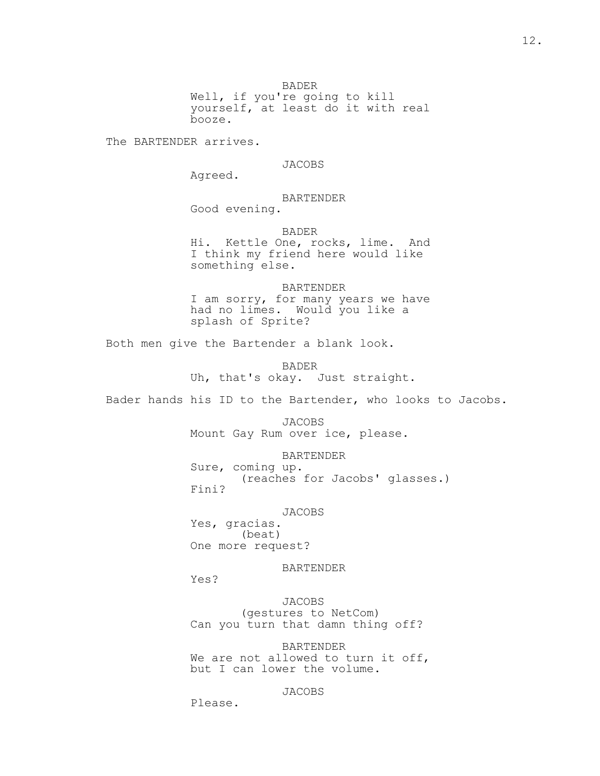BADER

 Well, if you're going to kill yourself, at least do it with real booze.

The BARTENDER arrives.

JACOBS

Agreed.

BARTENDER

Good evening.

 BADER Hi. Kettle One, rocks, lime. And I think my friend here would like something else.

 BARTENDER I am sorry, for many years we have had no limes. Would you like a splash of Sprite?

Both men give the Bartender a blank look.

 BADER Uh, that's okay. Just straight.

Bader hands his ID to the Bartender, who looks to Jacobs.

 JACOBS Mount Gay Rum over ice, please.

 BARTENDER Sure, coming up. (reaches for Jacobs' glasses.) Fini?

JACOBS

 Yes, gracias. (beat) One more request?

BARTENDER

Yes?

 JACOBS (gestures to NetCom) Can you turn that damn thing off?

 BARTENDER We are not allowed to turn it off, but I can lower the volume.

JACOBS

Please.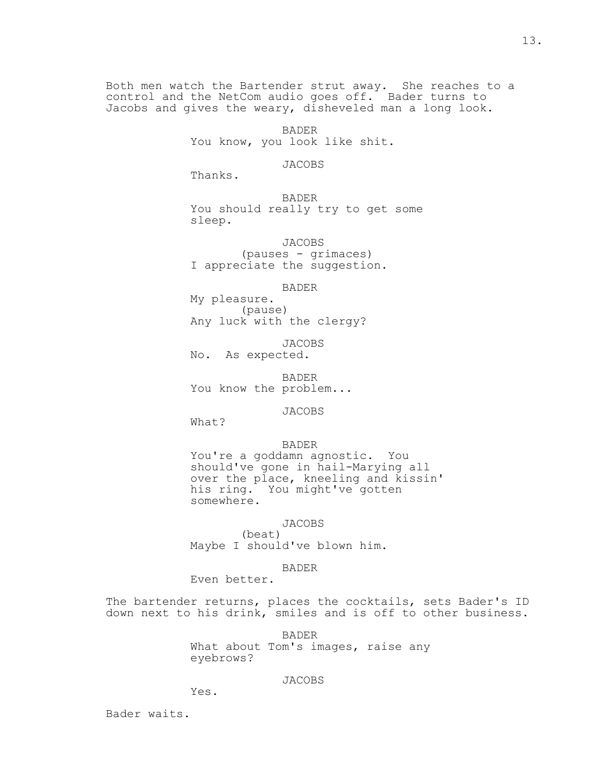Both men watch the Bartender strut away. She reaches to a control and the NetCom audio goes off. Bader turns to Jacobs and gives the weary, disheveled man a long look.

> BADER You know, you look like shit.

## JACOBS

Thanks.

 BADER You should really try to get some sleep.

 JACOBS (pauses - grimaces) I appreciate the suggestion.

#### BADER

 My pleasure. (pause) Any luck with the clergy?

 JACOBS No. As expected.

 BADER You know the problem...

JACOBS

What?

## BADER

 You're a goddamn agnostic. You should've gone in hail-Marying all over the place, kneeling and kissin' his ring. You might've gotten somewhere.

# JACOBS

 (beat) Maybe I should've blown him.

## BADER

Even better.

The bartender returns, places the cocktails, sets Bader's ID down next to his drink, smiles and is off to other business.

> BADER What about Tom's images, raise any eyebrows?

# JACOBS

Yes.

Bader waits.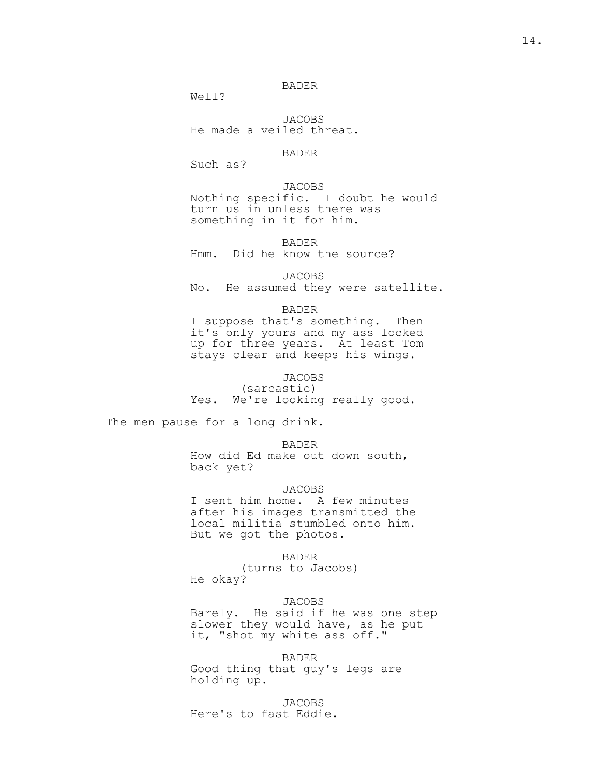## BADER

Well?

 JACOBS He made a veiled threat.

# BADER

Such as?

 JACOBS Nothing specific. I doubt he would turn us in unless there was something in it for him.

 BADER Hmm. Did he know the source?

 JACOBS No. He assumed they were satellite.

BADER

 I suppose that's something. Then it's only yours and my ass locked up for three years. At least Tom stays clear and keeps his wings.

# JACOBS

 (sarcastic) Yes. We're looking really good.

The men pause for a long drink.

BADER

 How did Ed make out down south, back yet?

## JACOBS

 I sent him home. A few minutes after his images transmitted the local militia stumbled onto him. But we got the photos.

BADER

 (turns to Jacobs) He okay?

 JACOBS Barely. He said if he was one step slower they would have, as he put it, "shot my white ass off."

 BADER Good thing that guy's legs are holding up.

 JACOBS Here's to fast Eddie.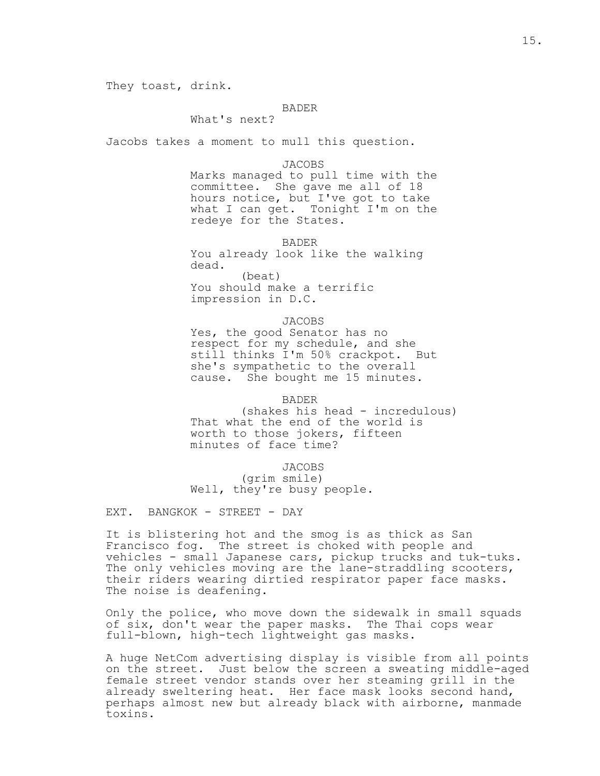They toast, drink.

## BADER

What's next?

Jacobs takes a moment to mull this question.

#### JACOBS

 Marks managed to pull time with the committee. She gave me all of 18 hours notice, but I've got to take what I can get. Tonight I'm on the redeye for the States.

BADER

 You already look like the walking dead. (beat) You should make a terrific impression in D.C.

 JACOBS Yes, the good Senator has no respect for my schedule, and she still thinks I'm 50% crackpot. But she's sympathetic to the overall cause. She bought me 15 minutes.

 BADER (shakes his head - incredulous) That what the end of the world is worth to those jokers, fifteen minutes of face time?

 JACOBS (grim smile) Well, they're busy people.

EXT. BANGKOK - STREET - DAY

It is blistering hot and the smog is as thick as San Francisco fog. The street is choked with people and vehicles - small Japanese cars, pickup trucks and tuk-tuks. The only vehicles moving are the lane-straddling scooters, their riders wearing dirtied respirator paper face masks. The noise is deafening.

Only the police, who move down the sidewalk in small squads of six, don't wear the paper masks. The Thai cops wear full-blown, high-tech lightweight gas masks.

A huge NetCom advertising display is visible from all points on the street. Just below the screen a sweating middle-aged female street vendor stands over her steaming grill in the already sweltering heat. Her face mask looks second hand, perhaps almost new but already black with airborne, manmade toxins.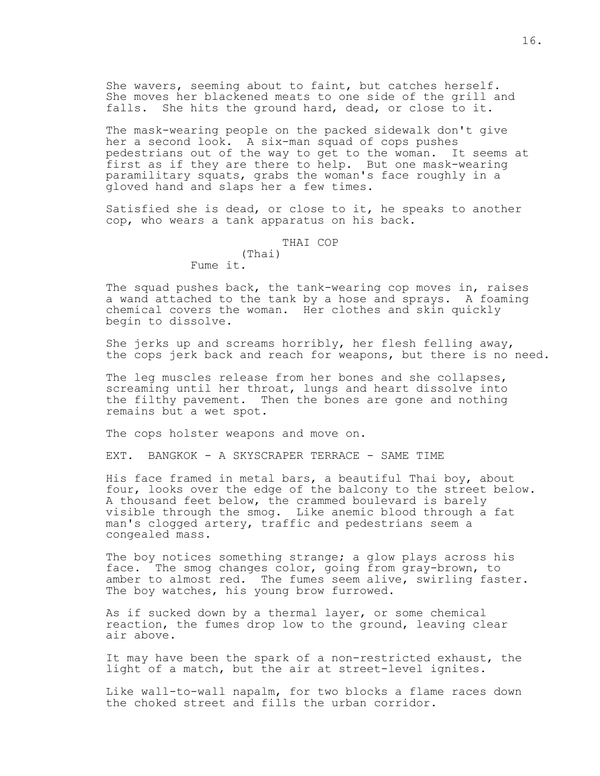She wavers, seeming about to faint, but catches herself. She moves her blackened meats to one side of the grill and falls. She hits the ground hard, dead, or close to it.

The mask-wearing people on the packed sidewalk don't give her a second look. A six-man squad of cops pushes pedestrians out of the way to get to the woman. It seems at first as if they are there to help. But one mask-wearing paramilitary squats, grabs the woman's face roughly in a gloved hand and slaps her a few times.

Satisfied she is dead, or close to it, he speaks to another cop, who wears a tank apparatus on his back.

> THAI COP (Thai) Fume it.

The squad pushes back, the tank-wearing cop moves in, raises a wand attached to the tank by a hose and sprays. A foaming chemical covers the woman. Her clothes and skin quickly begin to dissolve.

She jerks up and screams horribly, her flesh felling away, the cops jerk back and reach for weapons, but there is no need.

The leg muscles release from her bones and she collapses, screaming until her throat, lungs and heart dissolve into the filthy pavement. Then the bones are gone and nothing remains but a wet spot.

The cops holster weapons and move on.

EXT. BANGKOK - A SKYSCRAPER TERRACE - SAME TIME

His face framed in metal bars, a beautiful Thai boy, about four, looks over the edge of the balcony to the street below. A thousand feet below, the crammed boulevard is barely visible through the smog. Like anemic blood through a fat man's clogged artery, traffic and pedestrians seem a congealed mass.

The boy notices something strange; a glow plays across his face. The smog changes color, going from gray-brown, to amber to almost red. The fumes seem alive, swirling faster. The boy watches, his young brow furrowed.

As if sucked down by a thermal layer, or some chemical reaction, the fumes drop low to the ground, leaving clear air above.

It may have been the spark of a non-restricted exhaust, the light of a match, but the air at street-level ignites.

Like wall-to-wall napalm, for two blocks a flame races down the choked street and fills the urban corridor.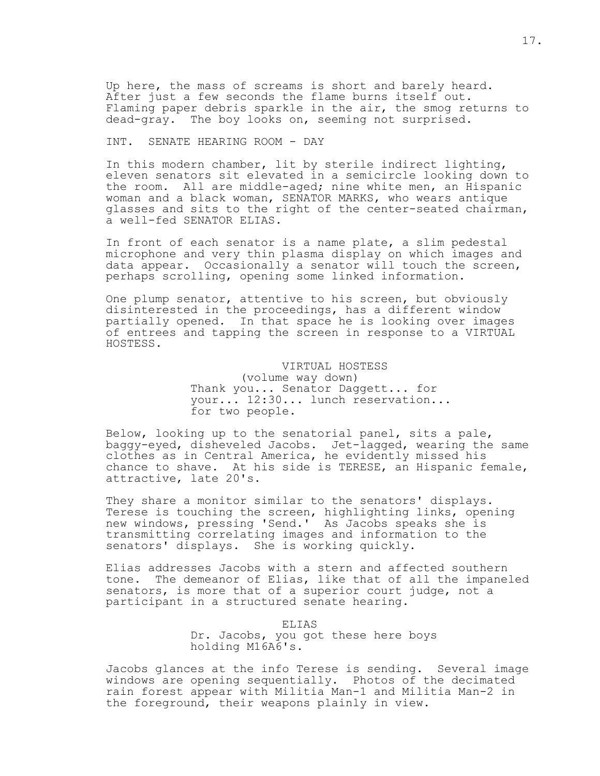Up here, the mass of screams is short and barely heard. After just a few seconds the flame burns itself out. Flaming paper debris sparkle in the air, the smog returns to dead-gray. The boy looks on, seeming not surprised.

## INT. SENATE HEARING ROOM - DAY

In this modern chamber, lit by sterile indirect lighting, eleven senators sit elevated in a semicircle looking down to the room. All are middle-aged; nine white men, an Hispanic woman and a black woman, SENATOR MARKS, who wears antique glasses and sits to the right of the center-seated chairman, a well-fed SENATOR ELIAS.

In front of each senator is a name plate, a slim pedestal microphone and very thin plasma display on which images and data appear. Occasionally a senator will touch the screen, perhaps scrolling, opening some linked information.

One plump senator, attentive to his screen, but obviously disinterested in the proceedings, has a different window partially opened. In that space he is looking over images of entrees and tapping the screen in response to a VIRTUAL HOSTESS.

> VIRTUAL HOSTESS (volume way down) Thank you... Senator Daggett... for your... 12:30... lunch reservation... for two people.

Below, looking up to the senatorial panel, sits a pale, baggy-eyed, disheveled Jacobs. Jet-lagged, wearing the same clothes as in Central America, he evidently missed his chance to shave. At his side is TERESE, an Hispanic female, attractive, late 20's.

They share a monitor similar to the senators' displays. Terese is touching the screen, highlighting links, opening new windows, pressing 'Send.' As Jacobs speaks she is transmitting correlating images and information to the senators' displays. She is working quickly.

Elias addresses Jacobs with a stern and affected southern tone. The demeanor of Elias, like that of all the impaneled senators, is more that of a superior court judge, not a participant in a structured senate hearing.

> ELIAS Dr. Jacobs, you got these here boys holding M16A6's.

Jacobs glances at the info Terese is sending. Several image windows are opening sequentially. Photos of the decimated rain forest appear with Militia Man-1 and Militia Man-2 in the foreground, their weapons plainly in view.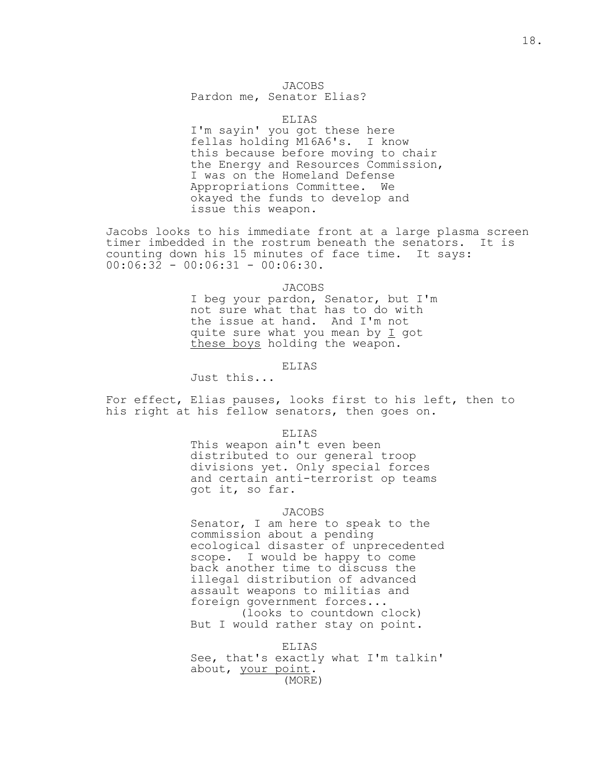# JACOBS

Pardon me, Senator Elias?

## ELIAS

 I'm sayin' you got these here fellas holding M16A6's. I know this because before moving to chair the Energy and Resources Commission, I was on the Homeland Defense Appropriations Committee. We okayed the funds to develop and issue this weapon.

Jacobs looks to his immediate front at a large plasma screen timer imbedded in the rostrum beneath the senators. It is counting down his 15 minutes of face time. It says:  $00:06:32 - 00:06:31 - 00:06:30.$ 

JACOBS

 I beg your pardon, Senator, but I'm not sure what that has to do with the issue at hand. And I'm not quite sure what you mean by  $I$  got these boys holding the weapon.

## ELIAS

Just this...

For effect, Elias pauses, looks first to his left, then to his right at his fellow senators, then goes on.

#### ELIAS

 This weapon ain't even been distributed to our general troop divisions yet. Only special forces and certain anti-terrorist op teams got it, so far.

#### JACOBS

 Senator, I am here to speak to the commission about a pending ecological disaster of unprecedented scope. I would be happy to come back another time to discuss the illegal distribution of advanced assault weapons to militias and foreign government forces... (looks to countdown clock) But I would rather stay on point.

 ELIAS See, that's exactly what I'm talkin' about, your point. (MORE)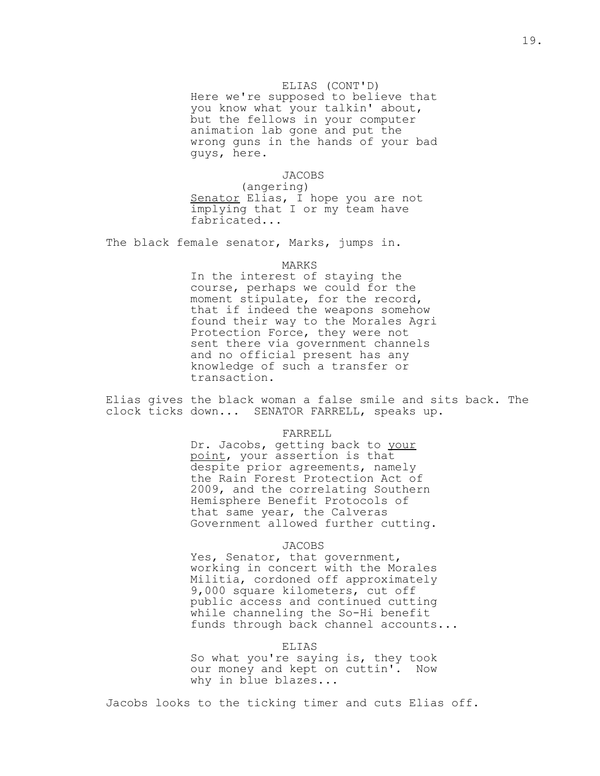## ELIAS (CONT'D)

 Here we're supposed to believe that you know what your talkin' about, but the fellows in your computer animation lab gone and put the wrong guns in the hands of your bad guys, here.

JACOBS

 (angering) Senator Elias, I hope you are not implying that I or my team have fabricated...

The black female senator, Marks, jumps in.

#### MARKS

 In the interest of staying the course, perhaps we could for the moment stipulate, for the record, that if indeed the weapons somehow found their way to the Morales Agri Protection Force, they were not sent there via government channels and no official present has any knowledge of such a transfer or transaction.

Elias gives the black woman a false smile and sits back. The clock ticks down... SENATOR FARRELL, speaks up.

#### FARRELL

Dr. Jacobs, getting back to your point, your assertion is that despite prior agreements, namely the Rain Forest Protection Act of 2009, and the correlating Southern Hemisphere Benefit Protocols of that same year, the Calveras Government allowed further cutting.

## JACOBS

 Yes, Senator, that government, working in concert with the Morales Militia, cordoned off approximately 9,000 square kilometers, cut off public access and continued cutting while channeling the So-Hi benefit funds through back channel accounts...

#### ELIAS

 So what you're saying is, they took our money and kept on cuttin'. Now why in blue blazes...

Jacobs looks to the ticking timer and cuts Elias off.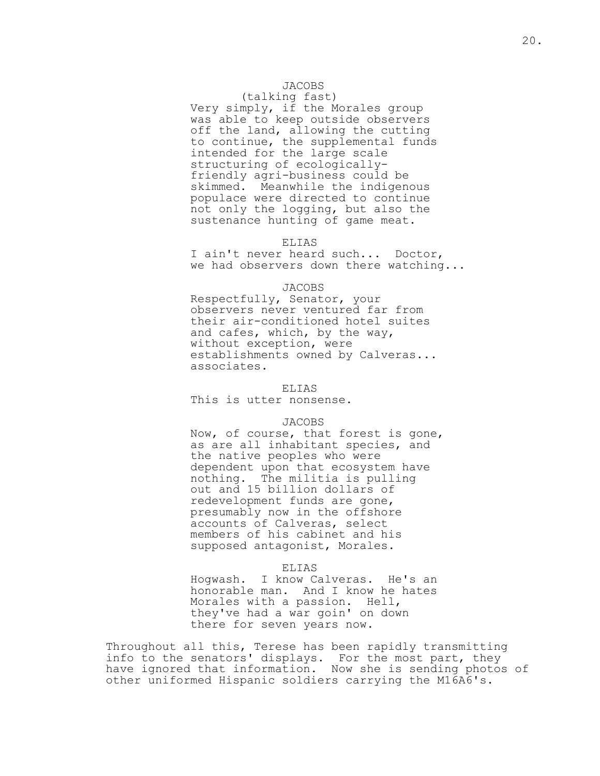# JACOBS

(talking fast)

 Very simply, if the Morales group was able to keep outside observers off the land, allowing the cutting to continue, the supplemental funds intended for the large scale structuring of ecologically friendly agri-business could be skimmed. Meanwhile the indigenous populace were directed to continue not only the logging, but also the sustenance hunting of game meat.

#### ELIAS

 I ain't never heard such... Doctor, we had observers down there watching...

#### JACOBS

 Respectfully, Senator, your observers never ventured far from their air-conditioned hotel suites and cafes, which, by the way, without exception, were establishments owned by Calveras... associates.

## ELIAS

This is utter nonsense.

#### JACOBS

 Now, of course, that forest is gone, as are all inhabitant species, and the native peoples who were dependent upon that ecosystem have nothing. The militia is pulling out and 15 billion dollars of redevelopment funds are gone, presumably now in the offshore accounts of Calveras, select members of his cabinet and his supposed antagonist, Morales.

#### ELIAS

 Hogwash. I know Calveras. He's an honorable man. And I know he hates Morales with a passion. Hell, they've had a war goin' on down there for seven years now.

Throughout all this, Terese has been rapidly transmitting info to the senators' displays. For the most part, they have ignored that information. Now she is sending photos of other uniformed Hispanic soldiers carrying the M16A6's.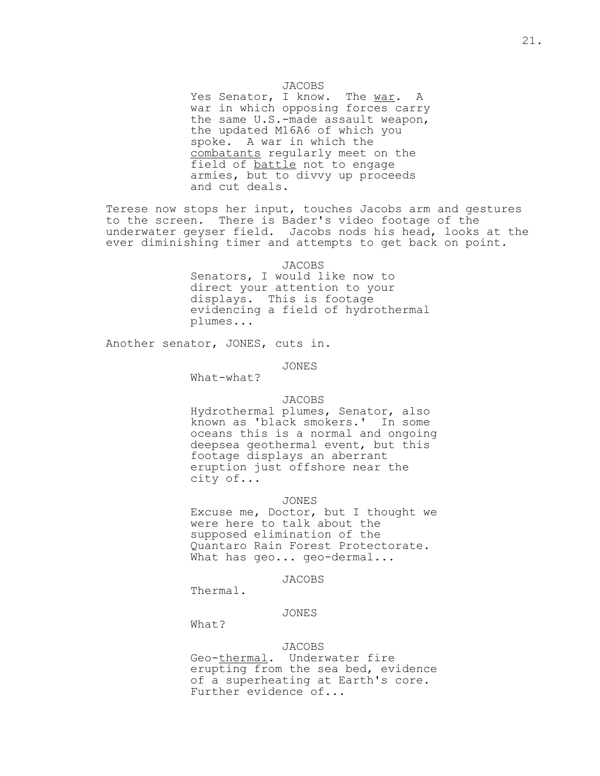Yes Senator, I know. The war. A war in which opposing forces carry the same U.S.-made assault weapon, the updated M16A6 of which you spoke. A war in which the combatants regularly meet on the field of battle not to engage armies, but to divvy up proceeds and cut deals.

Terese now stops her input, touches Jacobs arm and gestures to the screen. There is Bader's video footage of the underwater geyser field. Jacobs nods his head, looks at the ever diminishing timer and attempts to get back on point.

JACOBS

 Senators, I would like now to direct your attention to your displays. This is footage evidencing a field of hydrothermal plumes...

Another senator, JONES, cuts in.

JONES

What-what?

#### JACOBS

 Hydrothermal plumes, Senator, also known as 'black smokers.' In some oceans this is a normal and ongoing deepsea geothermal event, but this footage displays an aberrant eruption just offshore near the city of...

#### JONES

 Excuse me, Doctor, but I thought we were here to talk about the supposed elimination of the Quantaro Rain Forest Protectorate. What has geo... geo-dermal...

#### JACOBS

Thermal.

JONES

What?

# JACOBS

 Geo-thermal. Underwater fire erupting from the sea bed, evidence of a superheating at Earth's core. Further evidence of...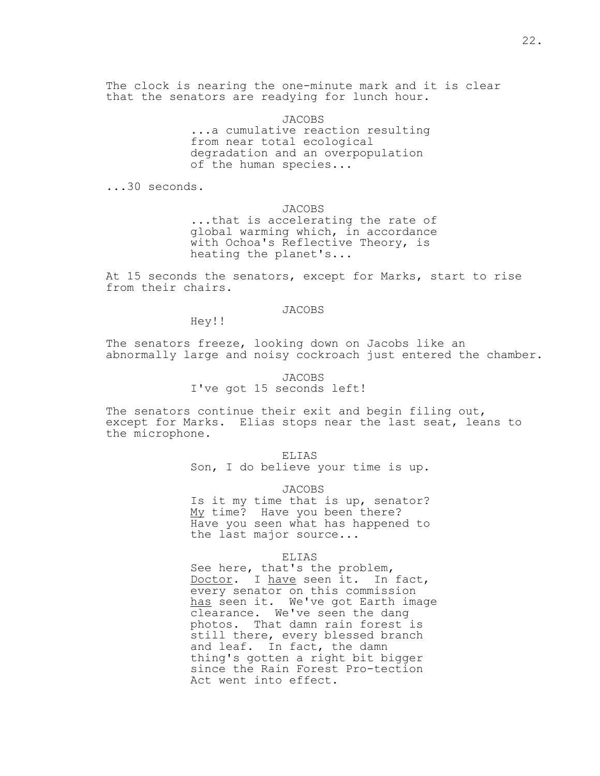The clock is nearing the one-minute mark and it is clear that the senators are readying for lunch hour.

> JACOBS ...a cumulative reaction resulting from near total ecological degradation and an overpopulation of the human species...

...30 seconds.

JACOBS

 ...that is accelerating the rate of global warming which, in accordance with Ochoa's Reflective Theory, is heating the planet's...

At 15 seconds the senators, except for Marks, start to rise from their chairs.

## JACOBS

Hey!!

The senators freeze, looking down on Jacobs like an abnormally large and noisy cockroach just entered the chamber.

# JACOBS I've got 15 seconds left!

The senators continue their exit and begin filing out, except for Marks. Elias stops near the last seat, leans to the microphone.

ELIAS

Son, I do believe your time is up.

## JACOBS

 Is it my time that is up, senator? My time? Have you been there? Have you seen what has happened to the last major source...

#### ELIAS

 See here, that's the problem, Doctor. I have seen it. In fact, every senator on this commission has seen it. We've got Earth image clearance. We've seen the dang photos. That damn rain forest is still there, every blessed branch and leaf. In fact, the damn thing's gotten a right bit bigger since the Rain Forest Pro-tection Act went into effect.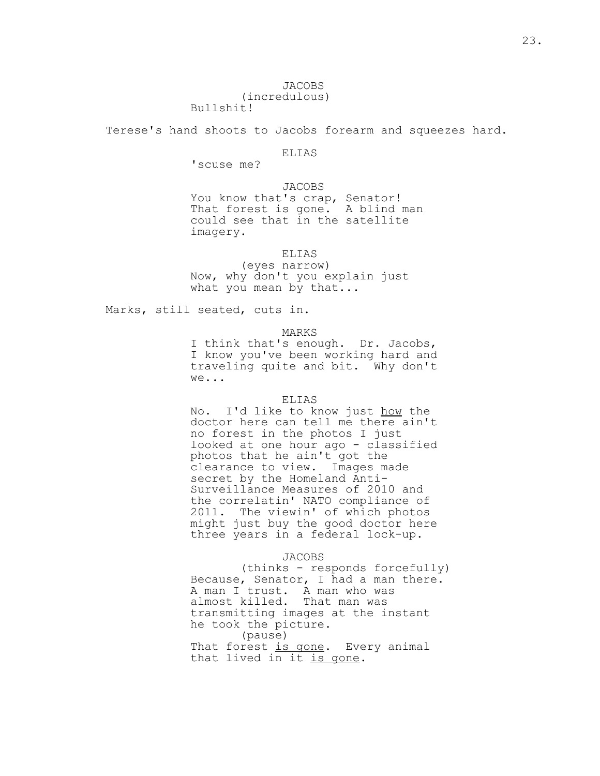Terese's hand shoots to Jacobs forearm and squeezes hard.

# **ELIAS**

'scuse me?

 JACOBS You know that's crap, Senator! That forest is gone. A blind man could see that in the satellite imagery.

ELIAS

 (eyes narrow) Now, why don't you explain just what you mean by that...

Marks, still seated, cuts in.

#### MARKS

 I think that's enough. Dr. Jacobs, I know you've been working hard and traveling quite and bit. Why don't we...

## ELIAS

 No. I'd like to know just how the doctor here can tell me there ain't no forest in the photos I just looked at one hour ago - classified photos that he ain't got the clearance to view. Images made secret by the Homeland Anti- Surveillance Measures of 2010 and the correlatin' NATO compliance of 2011. The viewin' of which photos might just buy the good doctor here three years in a federal lock-up.

JACOBS

 (thinks - responds forcefully) Because, Senator, I had a man there. A man I trust. A man who was almost killed. That man was transmitting images at the instant he took the picture. (pause) That forest is gone. Every animal that lived in it is gone.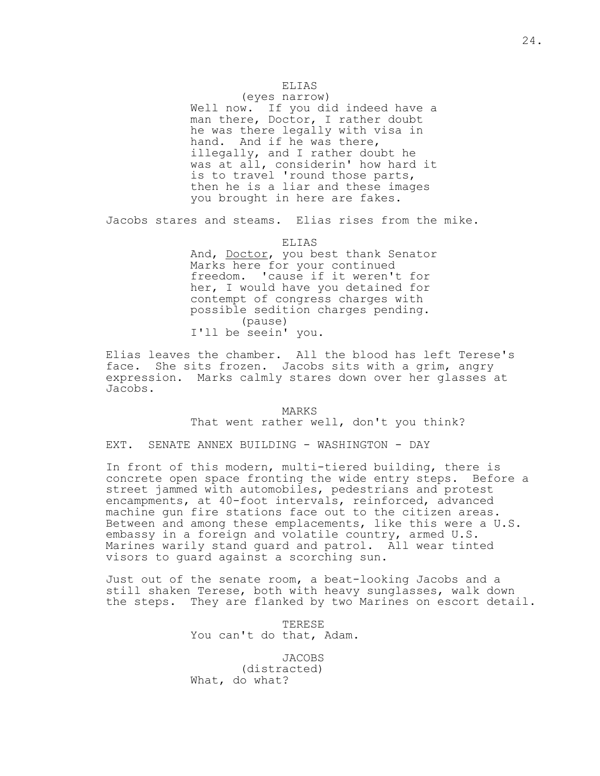# ELIAS

(eyes narrow)

Well now. If you did indeed have a man there, Doctor, I rather doubt he was there legally with visa in hand. And if he was there, illegally, and I rather doubt he was at all, considerin' how hard it is to travel 'round those parts, then he is a liar and these images you brought in here are fakes.

Jacobs stares and steams. Elias rises from the mike.

ELIAS

And, Doctor, you best thank Senator Marks here for your continued freedom. 'cause if it weren't for her, I would have you detained for contempt of congress charges with possible sedition charges pending. (pause) I'll be seein' you.

Elias leaves the chamber. All the blood has left Terese's face. She sits frozen. Jacobs sits with a grim, angry expression. Marks calmly stares down over her glasses at Jacobs.

> MARKS That went rather well, don't you think?

EXT. SENATE ANNEX BUILDING - WASHINGTON - DAY

In front of this modern, multi-tiered building, there is concrete open space fronting the wide entry steps. Before a street jammed with automobiles, pedestrians and protest encampments, at 40-foot intervals, reinforced, advanced machine gun fire stations face out to the citizen areas. Between and among these emplacements, like this were a U.S. embassy in a foreign and volatile country, armed U.S. Marines warily stand guard and patrol. All wear tinted visors to guard against a scorching sun.

Just out of the senate room, a beat-looking Jacobs and a still shaken Terese, both with heavy sunglasses, walk down the steps. They are flanked by two Marines on escort detail.

> TERESE You can't do that, Adam.

 JACOBS (distracted) What, do what?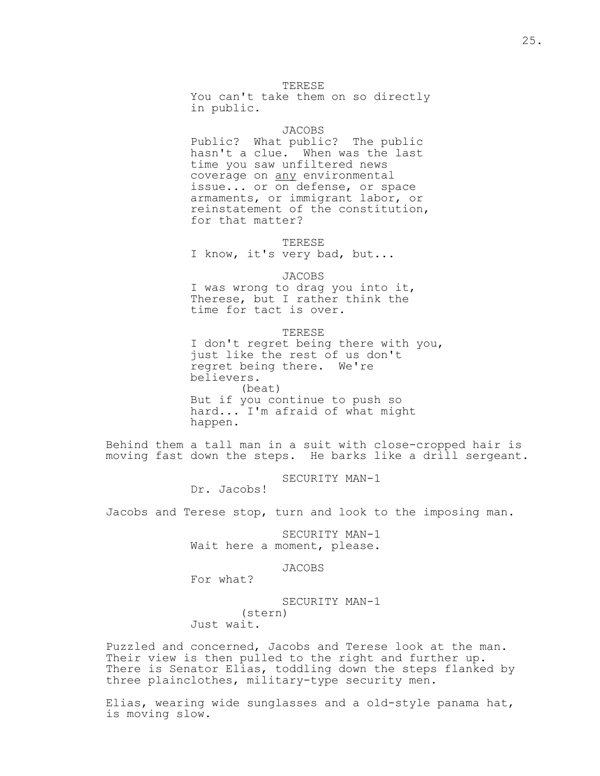TERESE

 You can't take them on so directly in public.

## JACOBS

 Public? What public? The public hasn't a clue. When was the last time you saw unfiltered news coverage on any environmental issue... or on defense, or space armaments, or immigrant labor, or reinstatement of the constitution, for that matter?

#### TERESE

I know, it's very bad, but...

#### JACOBS

 I was wrong to drag you into it, Therese, but I rather think the time for tact is over.

#### TERESE

 I don't regret being there with you, just like the rest of us don't regret being there. We're believers. (beat) But if you continue to push so hard... I'm afraid of what might happen.

Behind them a tall man in a suit with close-cropped hair is moving fast down the steps. He barks like a drill sergeant.

SECURITY MAN-1

Dr. Jacobs!

Jacobs and Terese stop, turn and look to the imposing man.

 SECURITY MAN-1 Wait here a moment, please.

## JACOBS

For what?

 SECURITY MAN-1 (stern) Just wait.

Puzzled and concerned, Jacobs and Terese look at the man. Their view is then pulled to the right and further up. There is Senator Elias, toddling down the steps flanked by three plainclothes, military-type security men.

Elias, wearing wide sunglasses and a old-style panama hat, is moving slow.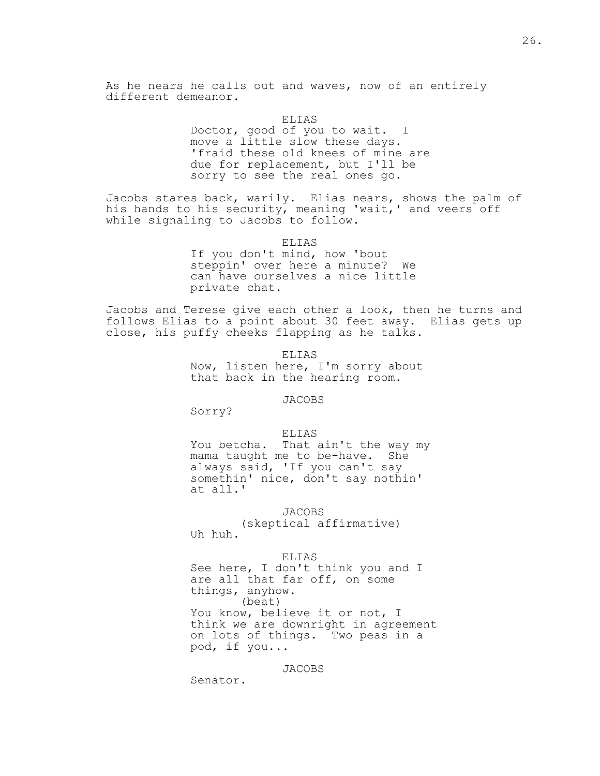As he nears he calls out and waves, now of an entirely different demeanor.

> ELIAS Doctor, good of you to wait. I move a little slow these days. 'fraid these old knees of mine are due for replacement, but I'll be sorry to see the real ones go.

Jacobs stares back, warily. Elias nears, shows the palm of his hands to his security, meaning 'wait,' and veers off while signaling to Jacobs to follow.

> ELIAS If you don't mind, how 'bout steppin' over here a minute? We can have ourselves a nice little private chat.

Jacobs and Terese give each other a look, then he turns and follows Elias to a point about 30 feet away. Elias gets up close, his puffy cheeks flapping as he talks.

> ELIAS Now, listen here, I'm sorry about that back in the hearing room.

> > JACOBS

Sorry?

#### ELIAS

 You betcha. That ain't the way my mama taught me to be-have. She always said, 'If you can't say somethin' nice, don't say nothin' at all.'

JACOBS

 (skeptical affirmative) Uh huh.

## ELIAS

 See here, I don't think you and I are all that far off, on some things, anyhow. (beat) You know, believe it or not, I think we are downright in agreement on lots of things. Two peas in a pod, if you...

JACOBS

Senator.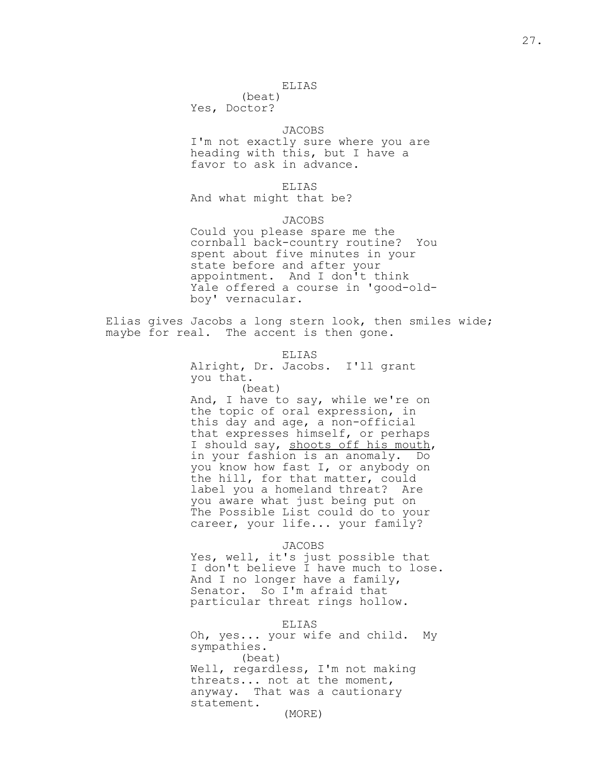## ELIAS

 (beat) Yes, Doctor?

## JACOBS

 I'm not exactly sure where you are heading with this, but I have a favor to ask in advance.

ELIAS

And what might that be?

JACOBS

 Could you please spare me the cornball back-country routine? You spent about five minutes in your state before and after your appointment. And I don't think Yale offered a course in 'good-old boy' vernacular.

Elias gives Jacobs a long stern look, then smiles wide; maybe for real. The accent is then gone.

ELIAS

 Alright, Dr. Jacobs. I'll grant you that.

(beat)

 And, I have to say, while we're on the topic of oral expression, in this day and age, a non-official that expresses himself, or perhaps I should say, shoots off his mouth, in your fashion is an anomaly. Do you know how fast I, or anybody on the hill, for that matter, could label you a homeland threat? Are you aware what just being put on The Possible List could do to your career, your life... your family?

JACOBS

 Yes, well, it's just possible that I don't believe I have much to lose. And I no longer have a family, Senator. So I'm afraid that particular threat rings hollow.

ELIAS

 Oh, yes... your wife and child. My sympathies. (beat) Well, regardless, I'm not making threats... not at the moment, anyway. That was a cautionary statement. (MORE)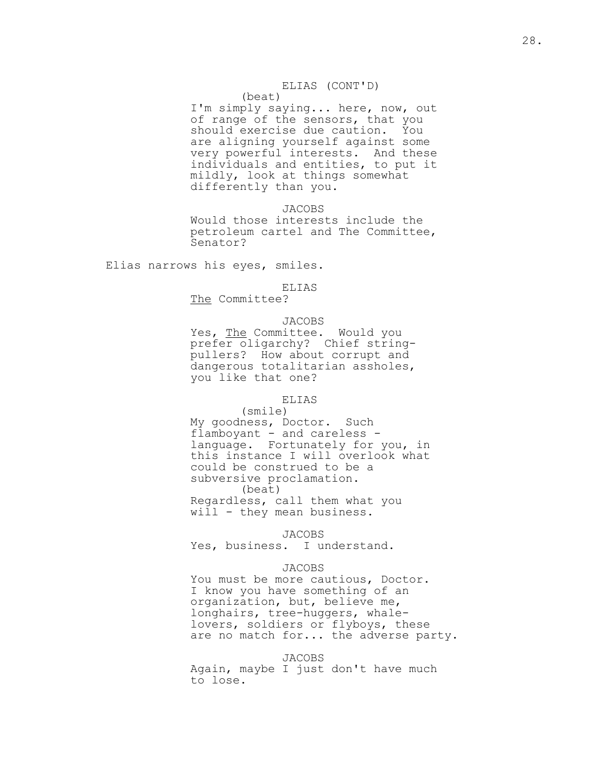# ELIAS (CONT'D)

# (beat)

 I'm simply saying... here, now, out of range of the sensors, that you should exercise due caution. You are aligning yourself against some very powerful interests. And these individuals and entities, to put it mildly, look at things somewhat differently than you.

JACOBS

 Would those interests include the petroleum cartel and The Committee, Senator?

Elias narrows his eyes, smiles.

#### ELIAS

The Committee?

# JACOBS

Yes, The Committee. Would you prefer oligarchy? Chief string pullers? How about corrupt and dangerous totalitarian assholes, you like that one?

#### ELIAS

 (smile) My goodness, Doctor. Such flamboyant - and careless language. Fortunately for you, in this instance I will overlook what could be construed to be a subversive proclamation. (beat) Regardless, call them what you will - they mean business.

#### JACOBS

Yes, business. I understand.

#### JACOBS

 You must be more cautious, Doctor. I know you have something of an organization, but, believe me, longhairs, tree-huggers, whale lovers, soldiers or flyboys, these are no match for... the adverse party.

#### JACOBS

 Again, maybe I just don't have much to lose.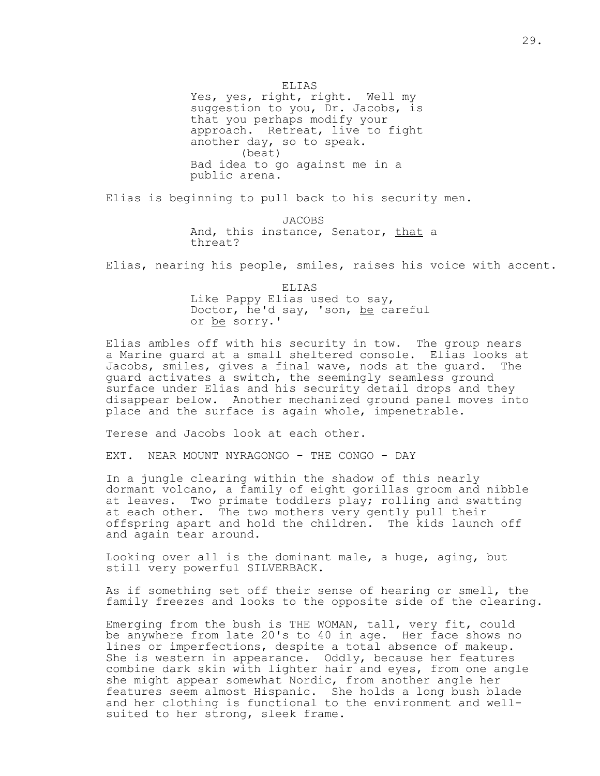ELIAS

 Yes, yes, right, right. Well my suggestion to you, Dr. Jacobs, is that you perhaps modify your approach. Retreat, live to fight another day, so to speak. (beat) Bad idea to go against me in a public arena.

Elias is beginning to pull back to his security men.

 JACOBS And, this instance, Senator, that a threat?

Elias, nearing his people, smiles, raises his voice with accent.

 ELIAS Like Pappy Elias used to say, Doctor, he'd say, 'son, be careful or be sorry.'

Elias ambles off with his security in tow. The group nears a Marine guard at a small sheltered console. Elias looks at Jacobs, smiles, gives a final wave, nods at the guard. The guard activates a switch, the seemingly seamless ground surface under Elias and his security detail drops and they disappear below. Another mechanized ground panel moves into place and the surface is again whole, impenetrable.

Terese and Jacobs look at each other.

EXT. NEAR MOUNT NYRAGONGO - THE CONGO - DAY

In a jungle clearing within the shadow of this nearly dormant volcano, a family of eight gorillas groom and nibble at leaves. Two primate toddlers play; rolling and swatting at each other. The two mothers very gently pull their offspring apart and hold the children. The kids launch off and again tear around.

Looking over all is the dominant male, a huge, aging, but still very powerful SILVERBACK.

As if something set off their sense of hearing or smell, the family freezes and looks to the opposite side of the clearing.

Emerging from the bush is THE WOMAN, tall, very fit, could be anywhere from late 20's to 40 in age. Her face shows no lines or imperfections, despite a total absence of makeup. She is western in appearance. Oddly, because her features combine dark skin with lighter hair and eyes, from one angle she might appear somewhat Nordic, from another angle her features seem almost Hispanic. She holds a long bush blade and her clothing is functional to the environment and wellsuited to her strong, sleek frame.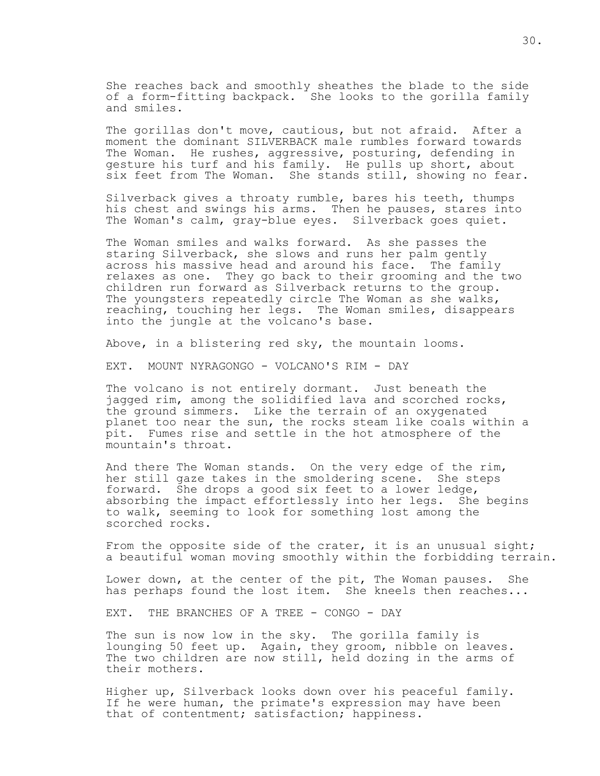She reaches back and smoothly sheathes the blade to the side of a form-fitting backpack. She looks to the gorilla family and smiles.

The gorillas don't move, cautious, but not afraid. After a moment the dominant SILVERBACK male rumbles forward towards The Woman. He rushes, aggressive, posturing, defending in gesture his turf and his family. He pulls up short, about six feet from The Woman. She stands still, showing no fear.

Silverback gives a throaty rumble, bares his teeth, thumps his chest and swings his arms. Then he pauses, stares into The Woman's calm, gray-blue eyes. Silverback goes quiet.

The Woman smiles and walks forward. As she passes the staring Silverback, she slows and runs her palm gently across his massive head and around his face. The family relaxes as one. They go back to their grooming and the two children run forward as Silverback returns to the group. The youngsters repeatedly circle The Woman as she walks, reaching, touching her legs. The Woman smiles, disappears into the jungle at the volcano's base.

Above, in a blistering red sky, the mountain looms.

EXT. MOUNT NYRAGONGO - VOLCANO'S RIM - DAY

The volcano is not entirely dormant. Just beneath the jagged rim, among the solidified lava and scorched rocks, the ground simmers. Like the terrain of an oxygenated planet too near the sun, the rocks steam like coals within a pit. Fumes rise and settle in the hot atmosphere of the mountain's throat.

And there The Woman stands. On the very edge of the rim, her still gaze takes in the smoldering scene. She steps forward. She drops a good six feet to a lower ledge, absorbing the impact effortlessly into her legs. She begins to walk, seeming to look for something lost among the scorched rocks.

From the opposite side of the crater, it is an unusual sight; a beautiful woman moving smoothly within the forbidding terrain.

Lower down, at the center of the pit, The Woman pauses. She has perhaps found the lost item. She kneels then reaches...

EXT. THE BRANCHES OF A TREE - CONGO - DAY

The sun is now low in the sky. The gorilla family is lounging 50 feet up. Again, they groom, nibble on leaves. The two children are now still, held dozing in the arms of their mothers.

Higher up, Silverback looks down over his peaceful family. If he were human, the primate's expression may have been that of contentment; satisfaction; happiness.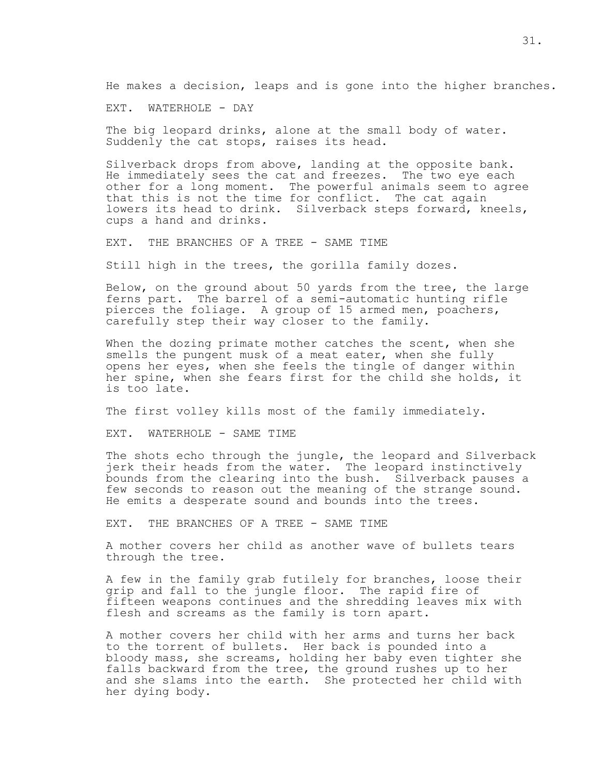He makes a decision, leaps and is gone into the higher branches.

EXT. WATERHOLE - DAY

The big leopard drinks, alone at the small body of water. Suddenly the cat stops, raises its head.

Silverback drops from above, landing at the opposite bank. He immediately sees the cat and freezes. The two eye each other for a long moment. The powerful animals seem to agree that this is not the time for conflict. The cat again lowers its head to drink. Silverback steps forward, kneels, cups a hand and drinks.

EXT. THE BRANCHES OF A TREE - SAME TIME

Still high in the trees, the gorilla family dozes.

Below, on the ground about 50 yards from the tree, the large ferns part. The barrel of a semi-automatic hunting rifle pierces the foliage. A group of 15 armed men, poachers, carefully step their way closer to the family.

When the dozing primate mother catches the scent, when she smells the pungent musk of a meat eater, when she fully opens her eyes, when she feels the tingle of danger within her spine, when she fears first for the child she holds, it is too late.

The first volley kills most of the family immediately.

EXT. WATERHOLE - SAME TIME

The shots echo through the jungle, the leopard and Silverback jerk their heads from the water. The leopard instinctively bounds from the clearing into the bush. Silverback pauses a few seconds to reason out the meaning of the strange sound. He emits a desperate sound and bounds into the trees.

EXT. THE BRANCHES OF A TREE - SAME TIME

A mother covers her child as another wave of bullets tears through the tree.

A few in the family grab futilely for branches, loose their grip and fall to the jungle floor. The rapid fire of fifteen weapons continues and the shredding leaves mix with flesh and screams as the family is torn apart.

A mother covers her child with her arms and turns her back to the torrent of bullets. Her back is pounded into a bloody mass, she screams, holding her baby even tighter she falls backward from the tree, the ground rushes up to her and she slams into the earth. She protected her child with her dying body.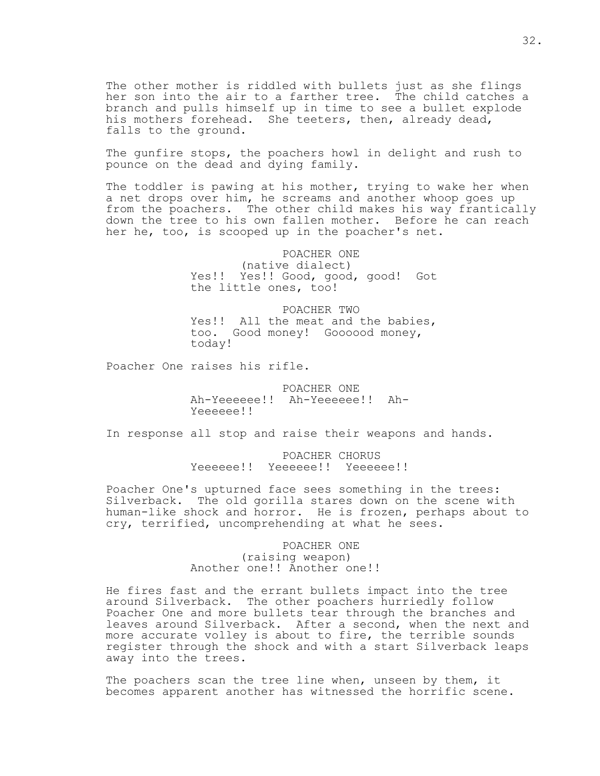The other mother is riddled with bullets just as she flings her son into the air to a farther tree. The child catches a branch and pulls himself up in time to see a bullet explode his mothers forehead. She teeters, then, already dead, falls to the ground.

The gunfire stops, the poachers howl in delight and rush to pounce on the dead and dying family.

The toddler is pawing at his mother, trying to wake her when a net drops over him, he screams and another whoop goes up from the poachers. The other child makes his way frantically down the tree to his own fallen mother. Before he can reach her he, too, is scooped up in the poacher's net.

> POACHER ONE (native dialect) Yes!! Yes!! Good, good, good! Got the little ones, too!

> POACHER TWO Yes!! All the meat and the babies, too. Good money! Goooood money, today!

Poacher One raises his rifle.

 POACHER ONE Ah-Yeeeeee!! Ah-Yeeeeee!! Ah- Yeeeeee!!

In response all stop and raise their weapons and hands.

 POACHER CHORUS Yeeeeee!! Yeeeeee!! Yeeeeee!!

Poacher One's upturned face sees something in the trees: Silverback. The old gorilla stares down on the scene with human-like shock and horror. He is frozen, perhaps about to cry, terrified, uncomprehending at what he sees.

> POACHER ONE (raising weapon) Another one!! Another one!!

He fires fast and the errant bullets impact into the tree around Silverback. The other poachers hurriedly follow Poacher One and more bullets tear through the branches and leaves around Silverback. After a second, when the next and more accurate volley is about to fire, the terrible sounds register through the shock and with a start Silverback leaps away into the trees.

The poachers scan the tree line when, unseen by them, it becomes apparent another has witnessed the horrific scene.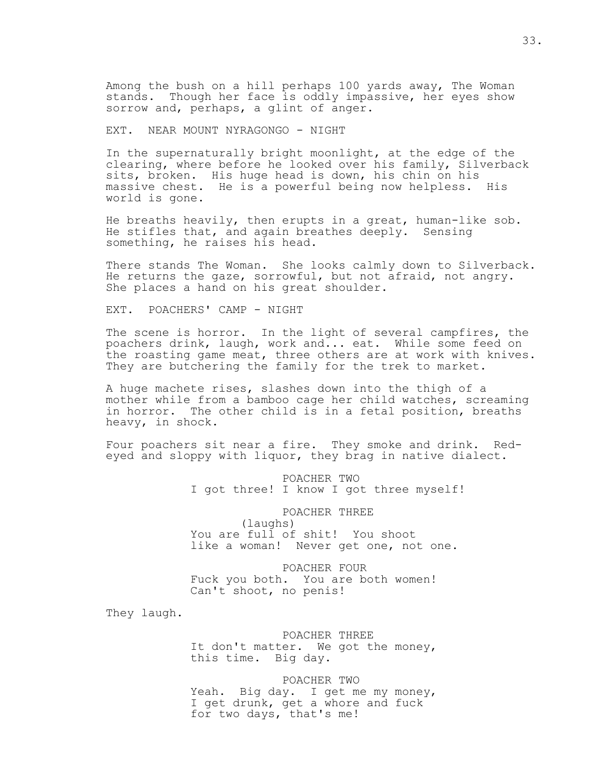Among the bush on a hill perhaps 100 yards away, The Woman stands. Though her face is oddly impassive, her eyes show sorrow and, perhaps, a glint of anger.

EXT. NEAR MOUNT NYRAGONGO - NIGHT

In the supernaturally bright moonlight, at the edge of the clearing, where before he looked over his family, Silverback sits, broken. His huge head is down, his chin on his massive chest. He is a powerful being now helpless. His world is gone.

He breaths heavily, then erupts in a great, human-like sob. He stifles that, and again breathes deeply. Sensing something, he raises his head.

There stands The Woman. She looks calmly down to Silverback. He returns the gaze, sorrowful, but not afraid, not angry. She places a hand on his great shoulder.

EXT. POACHERS' CAMP - NIGHT

The scene is horror. In the light of several campfires, the poachers drink, laugh, work and... eat. While some feed on the roasting game meat, three others are at work with knives. They are butchering the family for the trek to market.

A huge machete rises, slashes down into the thigh of a mother while from a bamboo cage her child watches, screaming in horror. The other child is in a fetal position, breaths heavy, in shock.

Four poachers sit near a fire. They smoke and drink. Redeyed and sloppy with liquor, they brag in native dialect.

> POACHER TWO I got three! I know I got three myself!

 POACHER THREE (laughs) You are full of shit! You shoot like a woman! Never get one, not one.

 POACHER FOUR Fuck you both. You are both women! Can't shoot, no penis!

They laugh.

 POACHER THREE It don't matter. We got the money, this time. Big day.

 POACHER TWO Yeah. Big day. I get me my money, I get drunk, get a whore and fuck for two days, that's me!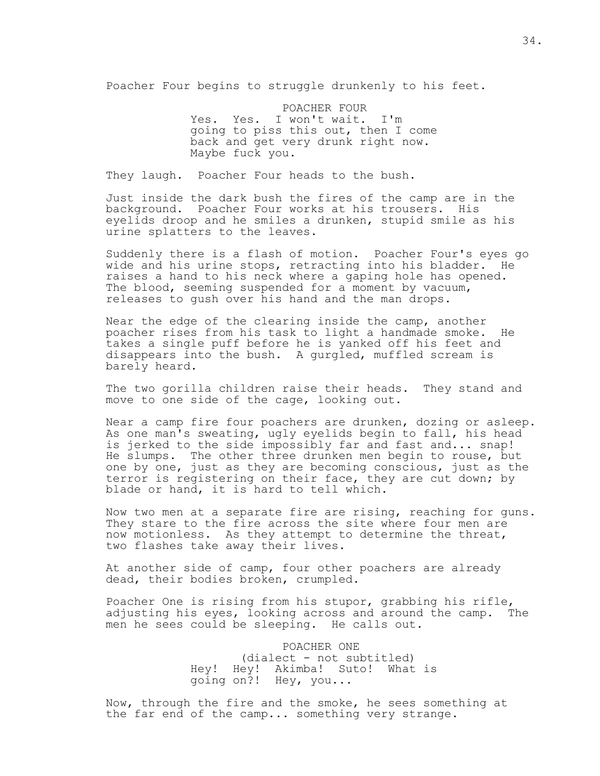Poacher Four begins to struggle drunkenly to his feet.

 POACHER FOUR Yes. Yes. I won't wait. I'm going to piss this out, then I come back and get very drunk right now. Maybe fuck you.

They laugh. Poacher Four heads to the bush.

Just inside the dark bush the fires of the camp are in the background. Poacher Four works at his trousers. His eyelids droop and he smiles a drunken, stupid smile as his urine splatters to the leaves.

Suddenly there is a flash of motion. Poacher Four's eyes go wide and his urine stops, retracting into his bladder. He raises a hand to his neck where a gaping hole has opened. The blood, seeming suspended for a moment by vacuum, releases to gush over his hand and the man drops.

Near the edge of the clearing inside the camp, another poacher rises from his task to light a handmade smoke. He takes a single puff before he is yanked off his feet and disappears into the bush. A gurgled, muffled scream is barely heard.

The two gorilla children raise their heads. They stand and move to one side of the cage, looking out.

Near a camp fire four poachers are drunken, dozing or asleep. As one man's sweating, ugly eyelids begin to fall, his head is jerked to the side impossibly far and fast and... snap! He slumps. The other three drunken men begin to rouse, but one by one, just as they are becoming conscious, just as the terror is registering on their face, they are cut down; by blade or hand, it is hard to tell which.

Now two men at a separate fire are rising, reaching for guns. They stare to the fire across the site where four men are now motionless. As they attempt to determine the threat, two flashes take away their lives.

At another side of camp, four other poachers are already dead, their bodies broken, crumpled.

Poacher One is rising from his stupor, grabbing his rifle, adjusting his eyes, looking across and around the camp. The men he sees could be sleeping. He calls out.

> POACHER ONE (dialect - not subtitled) Hey! Hey! Akimba! Suto! What is going on?! Hey, you...

Now, through the fire and the smoke, he sees something at the far end of the camp... something very strange.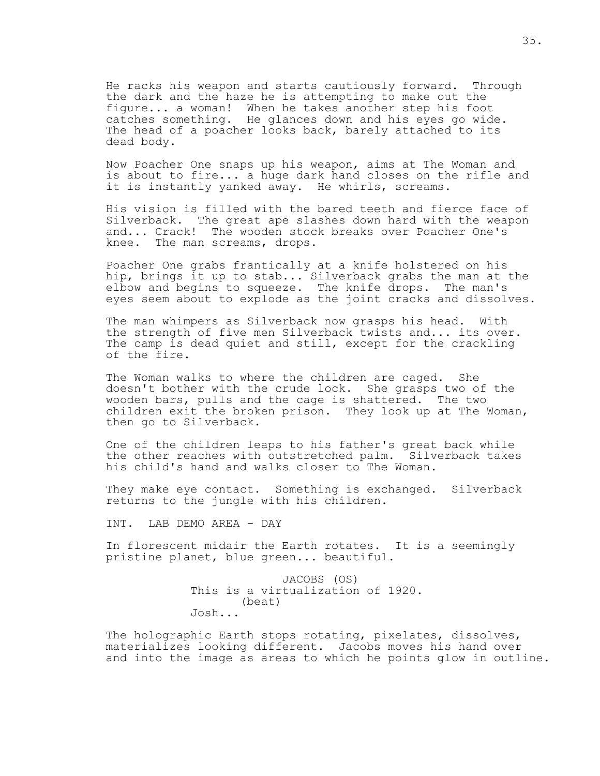He racks his weapon and starts cautiously forward. Through the dark and the haze he is attempting to make out the figure... a woman! When he takes another step his foot catches something. He glances down and his eyes go wide. The head of a poacher looks back, barely attached to its dead body.

Now Poacher One snaps up his weapon, aims at The Woman and is about to fire... a huge dark hand closes on the rifle and it is instantly yanked away. He whirls, screams.

His vision is filled with the bared teeth and fierce face of Silverback. The great ape slashes down hard with the weapon and... Crack! The wooden stock breaks over Poacher One's knee. The man screams, drops.

Poacher One grabs frantically at a knife holstered on his hip, brings it up to stab... Silverback grabs the man at the elbow and begins to squeeze. The knife drops. The man's eyes seem about to explode as the joint cracks and dissolves.

The man whimpers as Silverback now grasps his head. With the strength of five men Silverback twists and... its over. The camp is dead quiet and still, except for the crackling of the fire.

The Woman walks to where the children are caged. She doesn't bother with the crude lock. She grasps two of the wooden bars, pulls and the cage is shattered. The two children exit the broken prison. They look up at The Woman, then go to Silverback.

One of the children leaps to his father's great back while the other reaches with outstretched palm. Silverback takes his child's hand and walks closer to The Woman.

They make eye contact. Something is exchanged. Silverback returns to the jungle with his children.

INT. LAB DEMO AREA - DAY

In florescent midair the Earth rotates. It is a seemingly pristine planet, blue green... beautiful.

> JACOBS (OS) This is a virtualization of 1920. (beat) Josh...

The holographic Earth stops rotating, pixelates, dissolves, materializes looking different. Jacobs moves his hand over and into the image as areas to which he points glow in outline.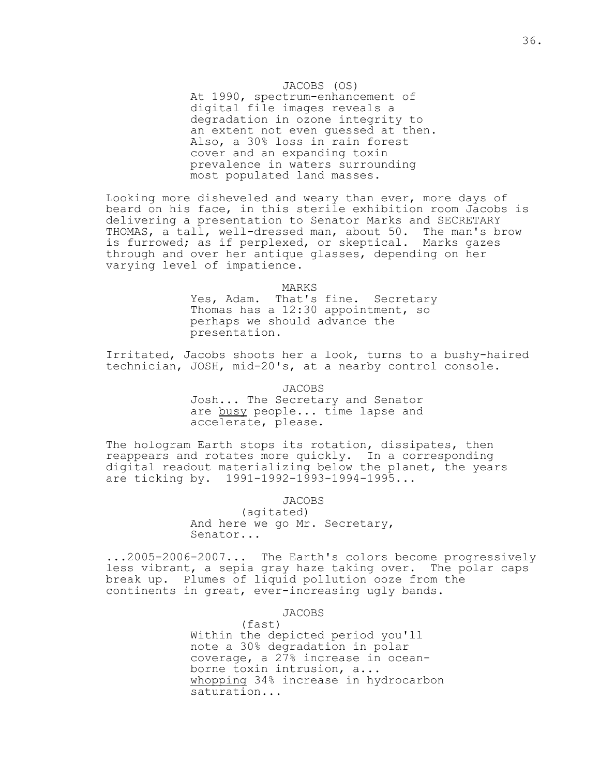### JACOBS (OS)

 At 1990, spectrum-enhancement of digital file images reveals a degradation in ozone integrity to an extent not even guessed at then. Also, a 30% loss in rain forest cover and an expanding toxin prevalence in waters surrounding most populated land masses.

Looking more disheveled and weary than ever, more days of beard on his face, in this sterile exhibition room Jacobs is delivering a presentation to Senator Marks and SECRETARY THOMAS, a tall, well-dressed man, about 50. The man's brow is furrowed; as if perplexed, or skeptical. Marks gazes through and over her antique glasses, depending on her varying level of impatience.

#### MARKS

 Yes, Adam. That's fine. Secretary Thomas has a 12:30 appointment, so perhaps we should advance the presentation.

Irritated, Jacobs shoots her a look, turns to a bushy-haired technician, JOSH, mid-20's, at a nearby control console.

JACOBS

 Josh... The Secretary and Senator are busy people... time lapse and accelerate, please.

The hologram Earth stops its rotation, dissipates, then reappears and rotates more quickly. In a corresponding digital readout materializing below the planet, the years are ticking by. 1991-1992-1993-1994-1995...

JACOBS

(agitated) And here we go Mr. Secretary, Senator...

...2005-2006-2007... The Earth's colors become progressively less vibrant, a sepia gray haze taking over. The polar caps break up. Plumes of liquid pollution ooze from the continents in great, ever-increasing ugly bands.

JACOBS

 (fast) Within the depicted period you'll note a 30% degradation in polar coverage, a 27% increase in ocean borne toxin intrusion, a... whopping 34% increase in hydrocarbon saturation...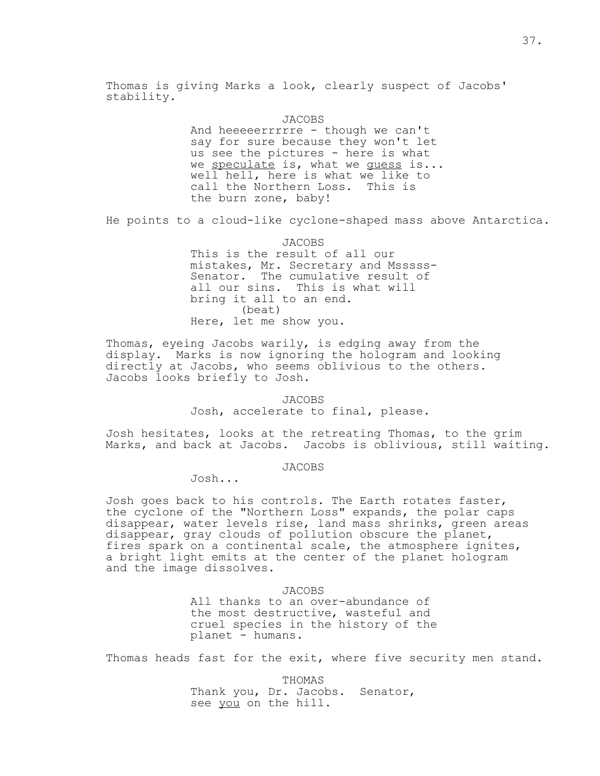Thomas is giving Marks a look, clearly suspect of Jacobs' stability.

> JACOBS And heeeeerrrrre - though we can't say for sure because they won't let us see the pictures - here is what we speculate is, what we quess is... well hell, here is what we like to call the Northern Loss. This is the burn zone, baby!

He points to a cloud-like cyclone-shaped mass above Antarctica.

JACOBS

 This is the result of all our mistakes, Mr. Secretary and Msssss- Senator. The cumulative result of all our sins. This is what will bring it all to an end. (beat) Here, let me show you.

Thomas, eyeing Jacobs warily, is edging away from the display. Marks is now ignoring the hologram and looking directly at Jacobs, who seems oblivious to the others. Jacobs looks briefly to Josh.

> JACOBS Josh, accelerate to final, please.

Josh hesitates, looks at the retreating Thomas, to the grim Marks, and back at Jacobs. Jacobs is oblivious, still waiting.

JACOBS

Josh...

Josh goes back to his controls. The Earth rotates faster, the cyclone of the "Northern Loss" expands, the polar caps disappear, water levels rise, land mass shrinks, green areas disappear, gray clouds of pollution obscure the planet, fires spark on a continental scale, the atmosphere ignites, a bright light emits at the center of the planet hologram and the image dissolves.

JACOBS

 All thanks to an over-abundance of the most destructive, wasteful and cruel species in the history of the planet - humans.

Thomas heads fast for the exit, where five security men stand.

 THOMAS Thank you, Dr. Jacobs. Senator, see you on the hill.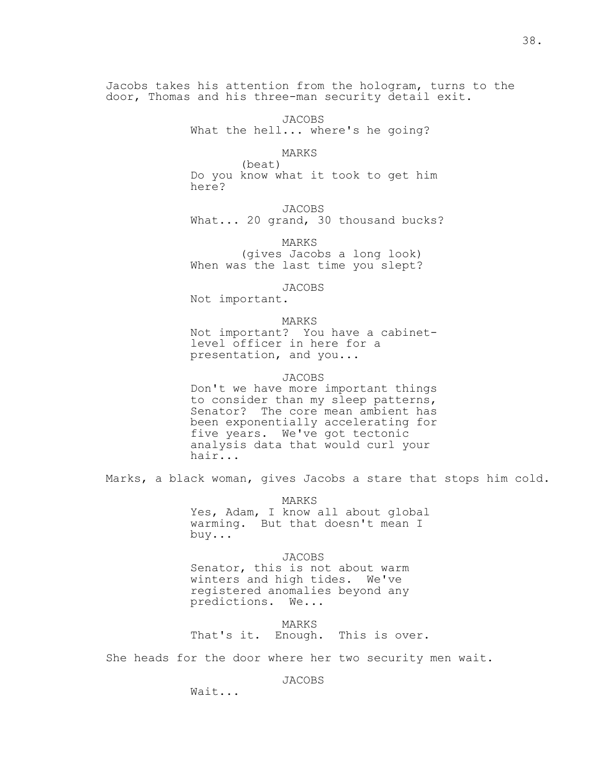Jacobs takes his attention from the hologram, turns to the door, Thomas and his three-man security detail exit.

38.

 JACOBS What the hell... where's he going?

 MARKS (beat) Do you know what it took to get him here?

 JACOBS What... 20 grand, 30 thousand bucks?

 MARKS (gives Jacobs a long look) When was the last time you slept?

JACOBS

Not important.

 MARKS Not important? You have a cabinet level officer in here for a presentation, and you...

 JACOBS Don't we have more important things to consider than my sleep patterns, Senator? The core mean ambient has been exponentially accelerating for five years. We've got tectonic analysis data that would curl your

Marks, a black woman, gives Jacobs a stare that stops him cold.

 MARKS Yes, Adam, I know all about global warming. But that doesn't mean I buy...

 JACOBS Senator, this is not about warm winters and high tides. We've registered anomalies beyond any predictions. We...

 MARKS That's it. Enough. This is over.

She heads for the door where her two security men wait.

JACOBS

Wait...

hair...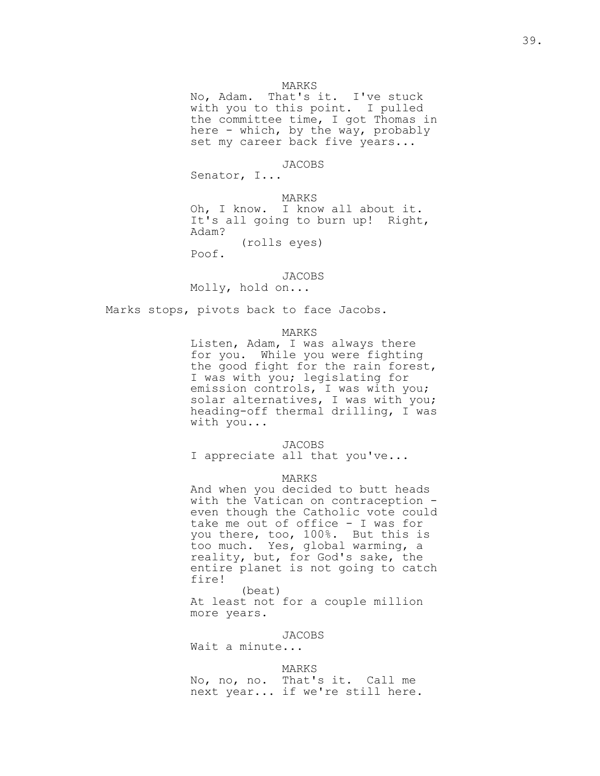### MARKS

 No, Adam. That's it. I've stuck with you to this point. I pulled the committee time, I got Thomas in here - which, by the way, probably set my career back five years...

### JACOBS

Senator, I...

 MARKS Oh, I know. I know all about it. It's all going to burn up! Right, Adam? (rolls eyes)

Poof.

## JACOBS

Molly, hold on...

Marks stops, pivots back to face Jacobs.

#### MARKS

 Listen, Adam, I was always there for you. While you were fighting the good fight for the rain forest, I was with you; legislating for emission controls, I was with you; solar alternatives, I was with you; heading-off thermal drilling, I was with you...

### JACOBS

I appreciate all that you've...

### MARKS

 And when you decided to butt heads with the Vatican on contraception even though the Catholic vote could take me out of office - I was for you there, too, 100%. But this is too much. Yes, global warming, a reality, but, for God's sake, the entire planet is not going to catch fire!

 (beat) At least not for a couple million

more years.

JACOBS

Wait a minute...

## MARKS

 No, no, no. That's it. Call me next year... if we're still here.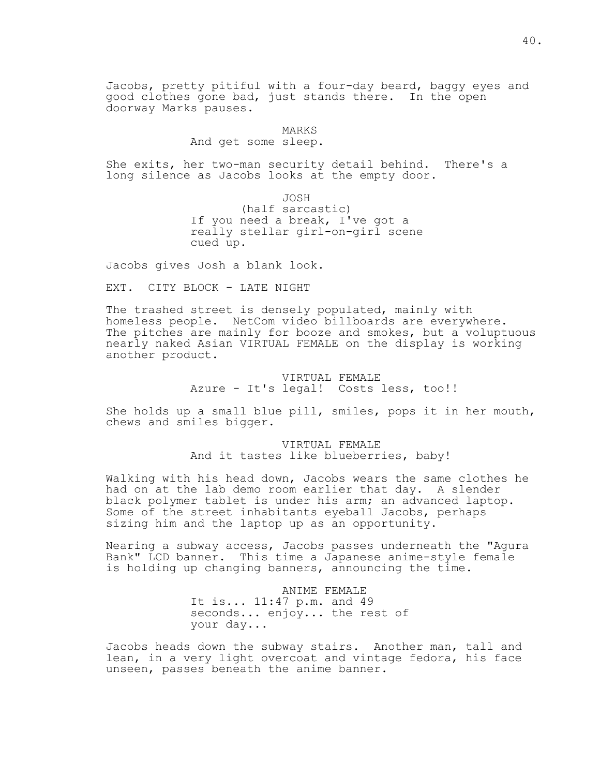Jacobs, pretty pitiful with a four-day beard, baggy eyes and good clothes gone bad, just stands there. In the open doorway Marks pauses.

## MARKS

## And get some sleep.

She exits, her two-man security detail behind. There's a long silence as Jacobs looks at the empty door.

 JOSH (half sarcastic) If you need a break, I've got a really stellar girl-on-girl scene cued up.

Jacobs gives Josh a blank look.

EXT. CITY BLOCK - LATE NIGHT

The trashed street is densely populated, mainly with homeless people. NetCom video billboards are everywhere. The pitches are mainly for booze and smokes, but a voluptuous nearly naked Asian VIRTUAL FEMALE on the display is working another product.

> VIRTUAL FEMALE Azure - It's legal! Costs less, too!!

She holds up a small blue pill, smiles, pops it in her mouth, chews and smiles bigger.

> VIRTUAL FEMALE And it tastes like blueberries, baby!

Walking with his head down, Jacobs wears the same clothes he had on at the lab demo room earlier that day. A slender black polymer tablet is under his arm; an advanced laptop. Some of the street inhabitants eyeball Jacobs, perhaps sizing him and the laptop up as an opportunity.

Nearing a subway access, Jacobs passes underneath the "Agura Bank" LCD banner. This time a Japanese anime-style female is holding up changing banners, announcing the time.

> ANIME FEMALE It is... 11:47 p.m. and 49 seconds... enjoy... the rest of your day...

Jacobs heads down the subway stairs. Another man, tall and lean, in a very light overcoat and vintage fedora, his face unseen, passes beneath the anime banner.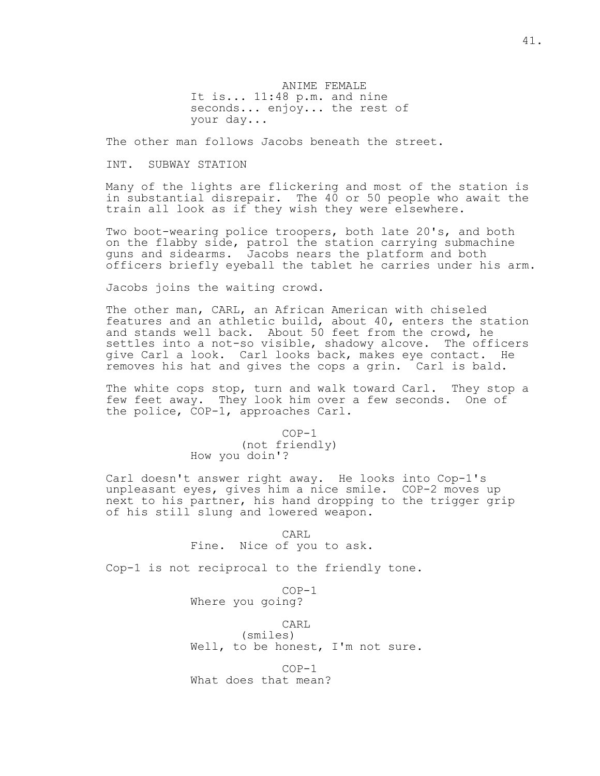ANIME FEMALE It is... 11:48 p.m. and nine seconds... enjoy... the rest of your day...

The other man follows Jacobs beneath the street.

INT. SUBWAY STATION

Many of the lights are flickering and most of the station is in substantial disrepair. The 40 or 50 people who await the train all look as if they wish they were elsewhere.

Two boot-wearing police troopers, both late 20's, and both on the flabby side, patrol the station carrying submachine guns and sidearms. Jacobs nears the platform and both officers briefly eyeball the tablet he carries under his arm.

Jacobs joins the waiting crowd.

The other man, CARL, an African American with chiseled features and an athletic build, about 40, enters the station and stands well back. About 50 feet from the crowd, he settles into a not-so visible, shadowy alcove. The officers give Carl a look. Carl looks back, makes eye contact. He removes his hat and gives the cops a grin. Carl is bald.

The white cops stop, turn and walk toward Carl. They stop a few feet away. They look him over a few seconds. One of the police, COP-1, approaches Carl.

> COP-1 (not friendly) How you doin'?

Carl doesn't answer right away. He looks into Cop-1's unpleasant eyes, gives him a nice smile. COP-2 moves up next to his partner, his hand dropping to the trigger grip of his still slung and lowered weapon.

> CARL Fine. Nice of you to ask.

Cop-1 is not reciprocal to the friendly tone.

 COP-1 Where you going?

CARL

 (smiles) Well, to be honest, I'm not sure.

 COP-1 What does that mean?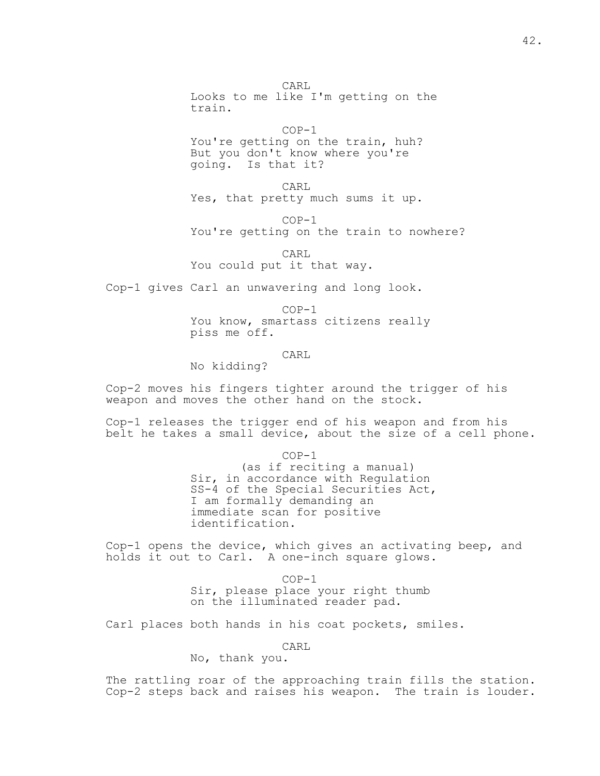CARL Looks to me like I'm getting on the train.

 $COP-1$  You're getting on the train, huh? But you don't know where you're going. Is that it?

**CARL** Yes, that pretty much sums it up.

 $COP-1$ 

You're getting on the train to nowhere?

 CARL You could put it that way.

Cop-1 gives Carl an unwavering and long look.

 COP-1 You know, smartass citizens really piss me off.

**CARL** No kidding?

Cop-2 moves his fingers tighter around the trigger of his weapon and moves the other hand on the stock.

Cop-1 releases the trigger end of his weapon and from his belt he takes a small device, about the size of a cell phone.

COP-1

 (as if reciting a manual) Sir, in accordance with Regulation SS-4 of the Special Securities Act, I am formally demanding an immediate scan for positive identification.

Cop-1 opens the device, which gives an activating beep, and holds it out to Carl. A one-inch square glows.

> COP-1 Sir, please place your right thumb on the illuminated reader pad.

Carl places both hands in his coat pockets, smiles.

CARL

No, thank you.

The rattling roar of the approaching train fills the station. Cop-2 steps back and raises his weapon. The train is louder.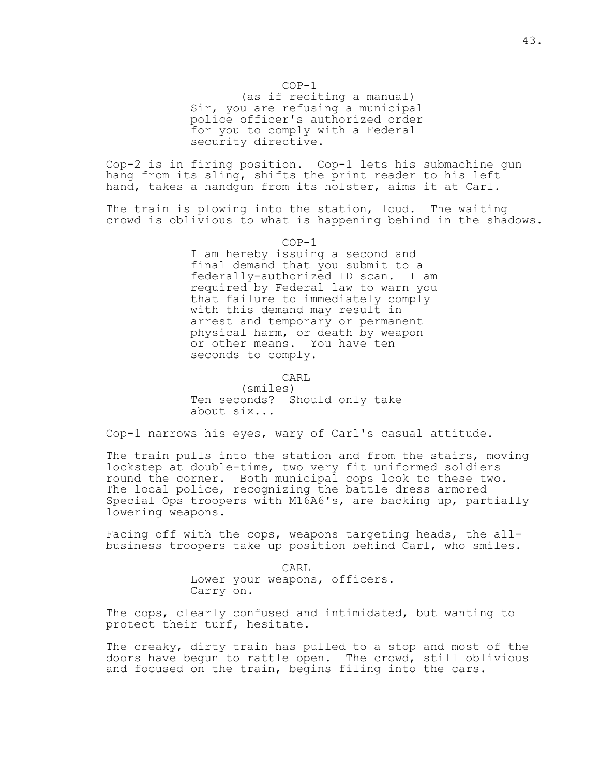### COP-1

 (as if reciting a manual) Sir, you are refusing a municipal police officer's authorized order for you to comply with a Federal security directive.

Cop-2 is in firing position. Cop-1 lets his submachine gun hang from its sling, shifts the print reader to his left hand, takes a handgun from its holster, aims it at Carl.

The train is plowing into the station, loud. The waiting crowd is oblivious to what is happening behind in the shadows.

COP-1

 I am hereby issuing a second and final demand that you submit to a federally-authorized ID scan. I am required by Federal law to warn you that failure to immediately comply with this demand may result in arrest and temporary or permanent physical harm, or death by weapon or other means. You have ten seconds to comply.

**CARL** 

 (smiles) Ten seconds? Should only take about six...

Cop-1 narrows his eyes, wary of Carl's casual attitude.

The train pulls into the station and from the stairs, moving lockstep at double-time, two very fit uniformed soldiers round the corner. Both municipal cops look to these two. The local police, recognizing the battle dress armored Special Ops troopers with M16A6's, are backing up, partially lowering weapons.

Facing off with the cops, weapons targeting heads, the allbusiness troopers take up position behind Carl, who smiles.

**CARL**  Lower your weapons, officers. Carry on.

The cops, clearly confused and intimidated, but wanting to protect their turf, hesitate.

The creaky, dirty train has pulled to a stop and most of the doors have begun to rattle open. The crowd, still oblivious and focused on the train, begins filing into the cars.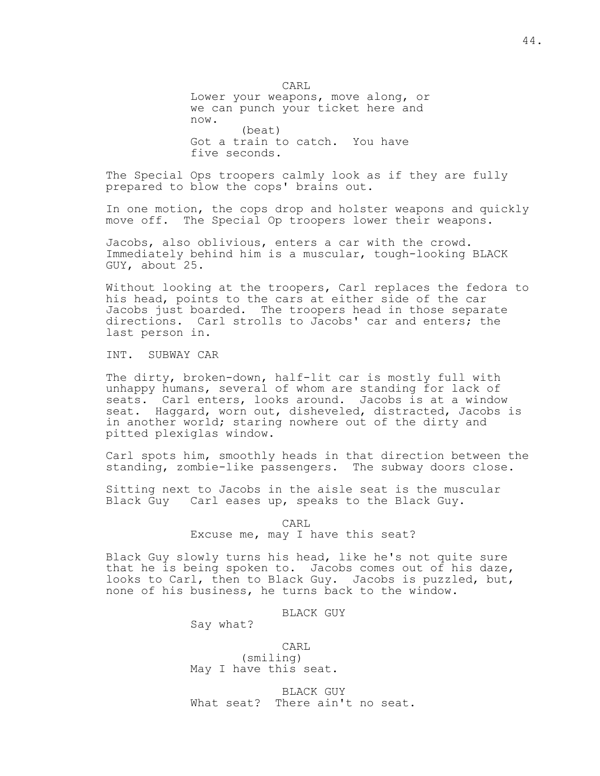CARL Lower your weapons, move along, or we can punch your ticket here and now. (beat) Got a train to catch. You have five seconds.

The Special Ops troopers calmly look as if they are fully prepared to blow the cops' brains out.

In one motion, the cops drop and holster weapons and quickly move off. The Special Op troopers lower their weapons.

Jacobs, also oblivious, enters a car with the crowd. Immediately behind him is a muscular, tough-looking BLACK GUY, about 25.

Without looking at the troopers, Carl replaces the fedora to his head, points to the cars at either side of the car Jacobs just boarded. The troopers head in those separate directions. Carl strolls to Jacobs' car and enters; the last person in.

INT. SUBWAY CAR

The dirty, broken-down, half-lit car is mostly full with unhappy humans, several of whom are standing for lack of seats. Carl enters, looks around. Jacobs is at a window seat. Haggard, worn out, disheveled, distracted, Jacobs is in another world; staring nowhere out of the dirty and pitted plexiglas window.

Carl spots him, smoothly heads in that direction between the standing, zombie-like passengers. The subway doors close.

Sitting next to Jacobs in the aisle seat is the muscular Black Guy Carl eases up, speaks to the Black Guy.

CARL

Excuse me, may I have this seat?

Black Guy slowly turns his head, like he's not quite sure that he is being spoken to. Jacobs comes out of his daze, looks to Carl, then to Black Guy. Jacobs is puzzled, but, none of his business, he turns back to the window.

BLACK GUY

Say what?

 CARL (smiling) May I have this seat.

 BLACK GUY What seat? There ain't no seat.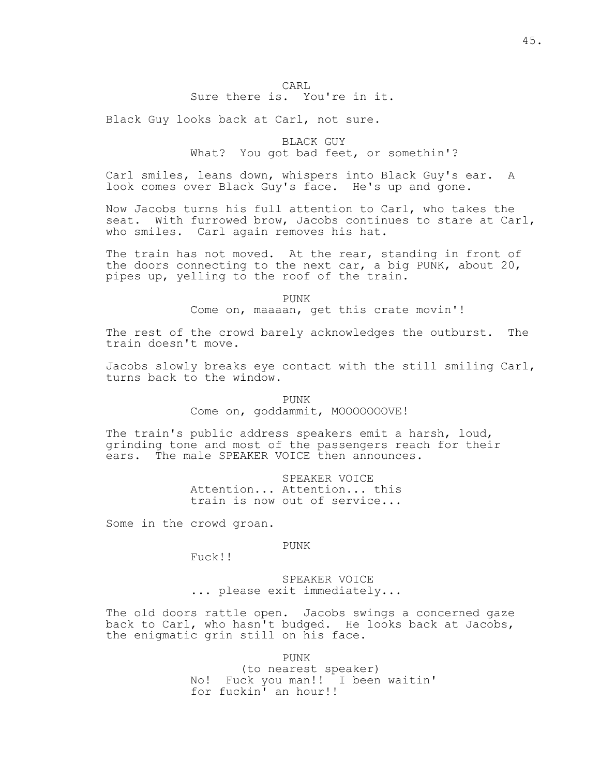## CARL Sure there is. You're in it.

Black Guy looks back at Carl, not sure.

## BLACK GUY What? You got bad feet, or somethin'?

Carl smiles, leans down, whispers into Black Guy's ear. A look comes over Black Guy's face. He's up and gone.

Now Jacobs turns his full attention to Carl, who takes the seat. With furrowed brow, Jacobs continues to stare at Carl, who smiles. Carl again removes his hat.

The train has not moved. At the rear, standing in front of the doors connecting to the next car, a big PUNK, about 20, pipes up, yelling to the roof of the train.

PUNK

Come on, maaaan, get this crate movin'!

The rest of the crowd barely acknowledges the outburst. The train doesn't move.

Jacobs slowly breaks eye contact with the still smiling Carl, turns back to the window.

PUNK Come on, goddammit, MOOOOOOOVE!

The train's public address speakers emit a harsh, loud, grinding tone and most of the passengers reach for their ears. The male SPEAKER VOICE then announces.

> SPEAKER VOICE Attention... Attention... this train is now out of service...

Some in the crowd groan.

PUNK

Fuck!!

 SPEAKER VOICE ... please exit immediately...

The old doors rattle open. Jacobs swings a concerned gaze back to Carl, who hasn't budged. He looks back at Jacobs, the enigmatic grin still on his face.

PUNK (to nearest speaker) No! Fuck you man!! I been waitin' for fuckin' an hour!!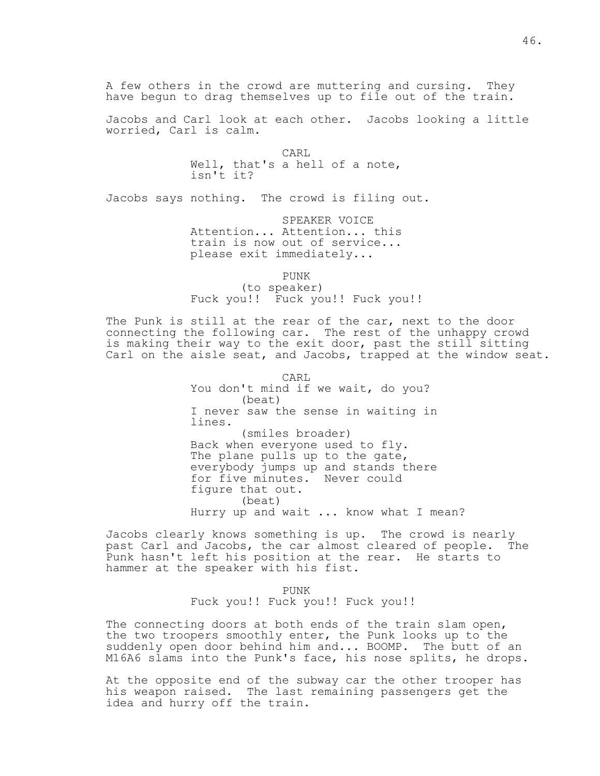A few others in the crowd are muttering and cursing. They have begun to drag themselves up to file out of the train.

Jacobs and Carl look at each other. Jacobs looking a little worried, Carl is calm.

**CARL**  Well, that's a hell of a note, isn't it?

Jacobs says nothing. The crowd is filing out.

 SPEAKER VOICE Attention... Attention... this train is now out of service... please exit immediately...

PUNK (to speaker) Fuck you!! Fuck you!! Fuck you!!

The Punk is still at the rear of the car, next to the door connecting the following car. The rest of the unhappy crowd is making their way to the exit door, past the still sitting Carl on the aisle seat, and Jacobs, trapped at the window seat.

**CARL**  You don't mind if we wait, do you? (beat) I never saw the sense in waiting in lines. (smiles broader) Back when everyone used to fly. The plane pulls up to the gate, everybody jumps up and stands there for five minutes. Never could figure that out. (beat) Hurry up and wait ... know what I mean?

Jacobs clearly knows something is up. The crowd is nearly past Carl and Jacobs, the car almost cleared of people. The Punk hasn't left his position at the rear. He starts to hammer at the speaker with his fist.

PUNK Fuck you!! Fuck you!! Fuck you!!

The connecting doors at both ends of the train slam open, the two troopers smoothly enter, the Punk looks up to the suddenly open door behind him and... BOOMP. The butt of an M16A6 slams into the Punk's face, his nose splits, he drops.

At the opposite end of the subway car the other trooper has his weapon raised. The last remaining passengers get the idea and hurry off the train.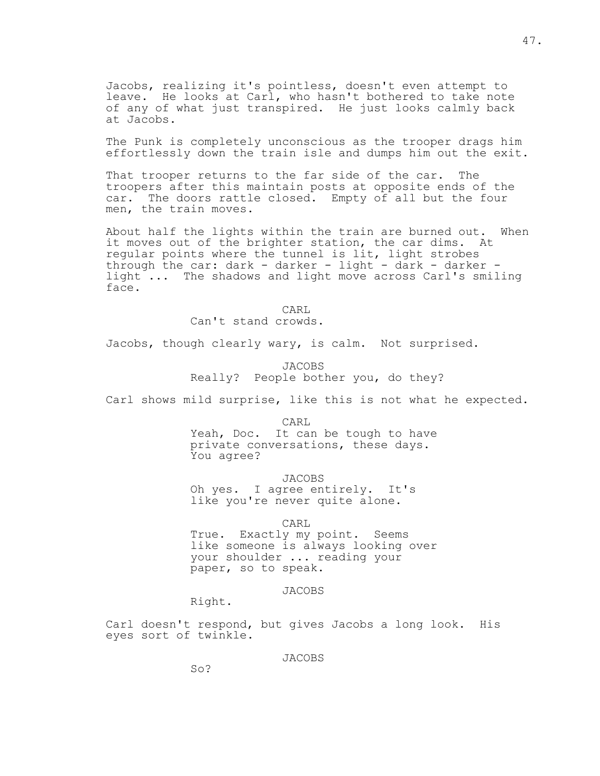Jacobs, realizing it's pointless, doesn't even attempt to leave. He looks at Carl, who hasn't bothered to take note of any of what just transpired. He just looks calmly back at Jacobs.

The Punk is completely unconscious as the trooper drags him effortlessly down the train isle and dumps him out the exit.

That trooper returns to the far side of the car. The troopers after this maintain posts at opposite ends of the car. The doors rattle closed. Empty of all but the four men, the train moves.

About half the lights within the train are burned out. When it moves out of the brighter station, the car dims. At regular points where the tunnel is lit, light strobes through the car: dark - darker - light - dark - darker light ... The shadows and light move across Carl's smiling face.

**CARL** Can't stand crowds.

Jacobs, though clearly wary, is calm. Not surprised.

 JACOBS Really? People bother you, do they?

Carl shows mild surprise, like this is not what he expected.

CARL

 Yeah, Doc. It can be tough to have private conversations, these days. You agree?

JACOBS

 Oh yes. I agree entirely. It's like you're never quite alone.

CARL

 True. Exactly my point. Seems like someone is always looking over your shoulder ... reading your paper, so to speak.

JACOBS

Right.

Carl doesn't respond, but gives Jacobs a long look. His eyes sort of twinkle.

JACOBS

So?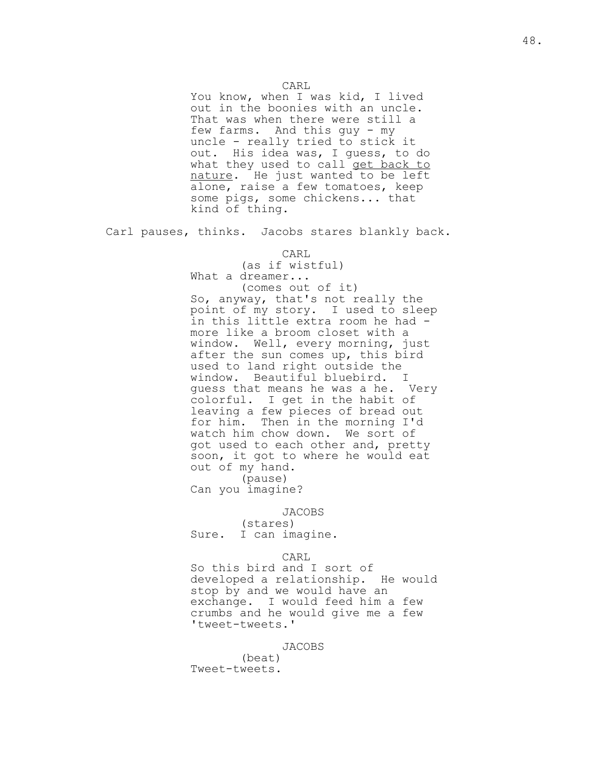You know, when I was kid, I lived out in the boonies with an uncle. That was when there were still a few farms. And this guy - my uncle - really tried to stick it out. His idea was, I guess, to do what they used to call get back to nature. He just wanted to be left alone, raise a few tomatoes, keep some pigs, some chickens... that kind of thing.

Carl pauses, thinks. Jacobs stares blankly back.

 CARL (as if wistful) What a dreamer... (comes out of it) So, anyway, that's not really the point of my story. I used to sleep in this little extra room he had more like a broom closet with a window. Well, every morning, just after the sun comes up, this bird used to land right outside the window. Beautiful bluebird. I guess that means he was a he. Very colorful. I get in the habit of leaving a few pieces of bread out for him. Then in the morning I'd watch him chow down. We sort of got used to each other and, pretty soon, it got to where he would eat out of my hand. (pause)

Can you imagine?

#### JACOBS

 (stares) Sure. I can imagine.

# **CARL**

 So this bird and I sort of developed a relationship. He would stop by and we would have an exchange. I would feed him a few crumbs and he would give me a few 'tweet-tweets.'

JACOBS

 (beat) Tweet-tweets.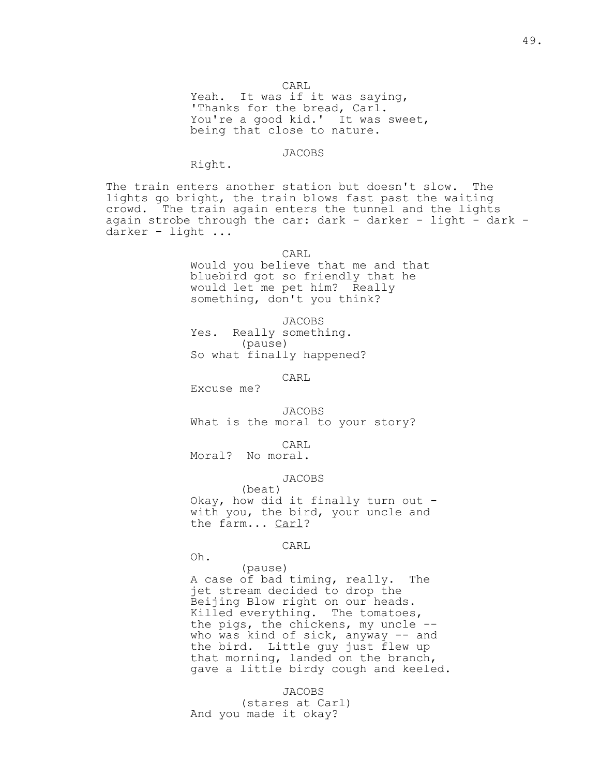CARL

Yeah. It was if it was saying, 'Thanks for the bread, Carl. You're a good kid.' It was sweet, being that close to nature.

#### JACOBS

Right.

The train enters another station but doesn't slow. The lights go bright, the train blows fast past the waiting crowd. The train again enters the tunnel and the lights again strobe through the car: dark - darker - light - dark darker - light ...

CARL

 Would you believe that me and that bluebird got so friendly that he would let me pet him? Really something, don't you think?

 JACOBS Yes. Really something. (pause) So what finally happened?

CARL

Excuse me?

 JACOBS What is the moral to your story?

**CARL** 

Moral? No moral.

JACOBS

 (beat) Okay, how did it finally turn out with you, the bird, your uncle and the farm... Carl?

CARL

Oh.

 (pause) A case of bad timing, really. The jet stream decided to drop the Beijing Blow right on our heads. Killed everything. The tomatoes, the pigs, the chickens, my uncle - who was kind of sick, anyway -- and the bird. Little guy just flew up that morning, landed on the branch, gave a little birdy cough and keeled.

 JACOBS (stares at Carl) And you made it okay?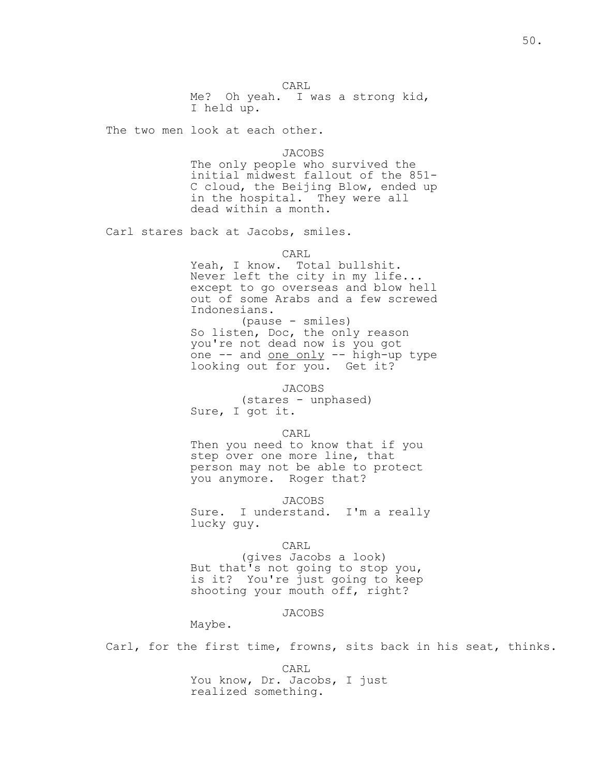**CARL**  Me? Oh yeah. I was a strong kid, I held up.

The two men look at each other.

JACOBS

 The only people who survived the initial midwest fallout of the 851- C cloud, the Beijing Blow, ended up in the hospital. They were all dead within a month.

Carl stares back at Jacobs, smiles.

CARL

Yeah, I know. Total bullshit. Never left the city in my life... except to go overseas and blow hell out of some Arabs and a few screwed Indonesians.

 (pause - smiles) So listen, Doc, the only reason you're not dead now is you got one -- and one only -- high-up type looking out for you. Get it?

JACOBS

 (stares - unphased) Sure, I got it.

CARL

 Then you need to know that if you step over one more line, that person may not be able to protect you anymore. Roger that?

JACOBS

 Sure. I understand. I'm a really lucky guy.

CARL

 (gives Jacobs a look) But that's not going to stop you, is it? You're just going to keep shooting your mouth off, right?

JACOBS

Maybe.

Carl, for the first time, frowns, sits back in his seat, thinks.

 CARL You know, Dr. Jacobs, I just realized something.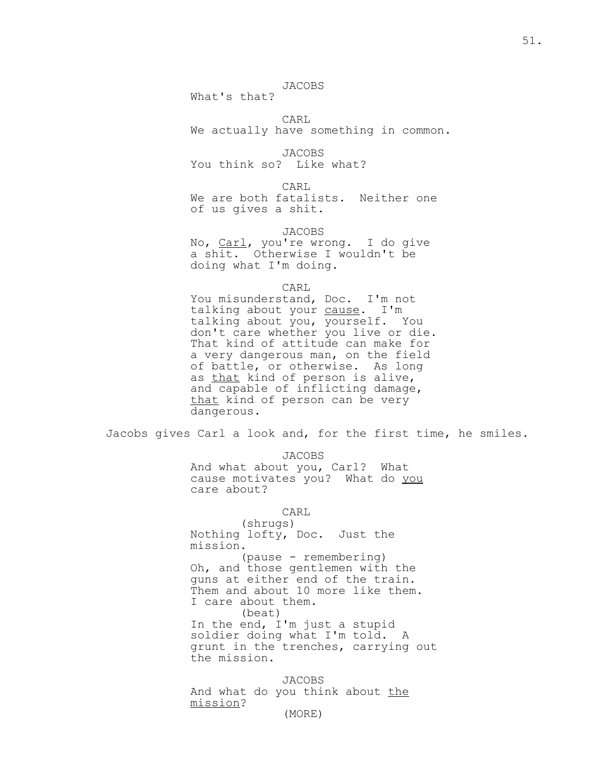## JACOBS

What's that?

CARL

We actually have something in common.

 JACOBS You think so? Like what?

**CARL**  We are both fatalists. Neither one of us gives a shit.

JACOBS

 No, Carl, you're wrong. I do give a shit. Otherwise I wouldn't be doing what I'm doing.

**CARL** 

You misunderstand, Doc. I'm not talking about your cause. I'm talking about you, yourself. You don't care whether you live or die. That kind of attitude can make for a very dangerous man, on the field of battle, or otherwise. As long as that kind of person is alive, and capable of inflicting damage, that kind of person can be very dangerous.

Jacobs gives Carl a look and, for the first time, he smiles.

JACOBS

 And what about you, Carl? What cause motivates you? What do you care about?

**CARL** 

 (shrugs) Nothing lofty, Doc. Just the mission.

 (pause - remembering) Oh, and those gentlemen with the guns at either end of the train. Them and about 10 more like them. I care about them. (beat) In the end, I'm just a stupid soldier doing what I'm told. A grunt in the trenches, carrying out the mission.

 JACOBS And what do you think about the mission?

(MORE)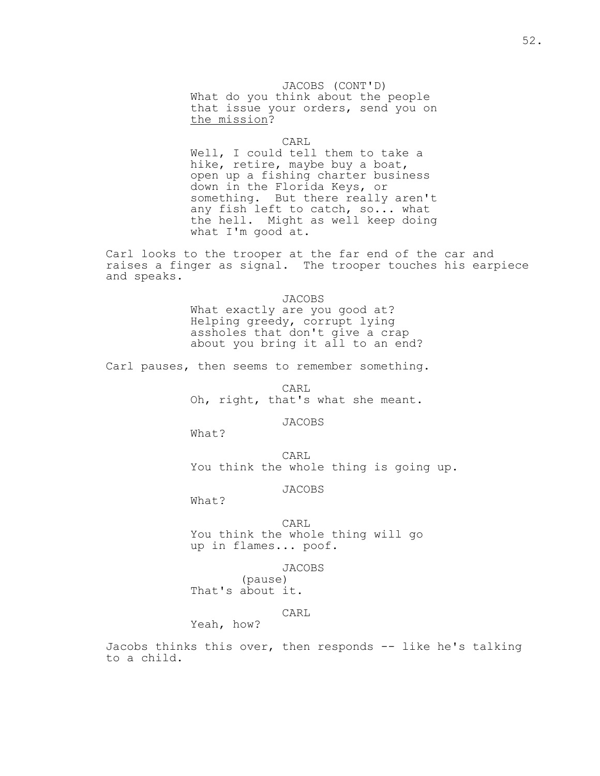JACOBS (CONT'D) What do you think about the people that issue your orders, send you on the mission?

**CARL** 

 Well, I could tell them to take a hike, retire, maybe buy a boat, open up a fishing charter business down in the Florida Keys, or something. But there really aren't any fish left to catch, so... what the hell. Might as well keep doing what I'm good at.

Carl looks to the trooper at the far end of the car and raises a finger as signal. The trooper touches his earpiece and speaks.

JACOBS

 What exactly are you good at? Helping greedy, corrupt lying assholes that don't give a crap about you bring it all to an end?

Carl pauses, then seems to remember something.

 CARL Oh, right, that's what she meant.

JACOBS

What?

**CARL** You think the whole thing is going up.

JACOBS

What?

CARL

 You think the whole thing will go up in flames... poof.

JACOBS

 (pause) That's about it.

CARL

Yeah, how?

Jacobs thinks this over, then responds -- like he's talking to a child.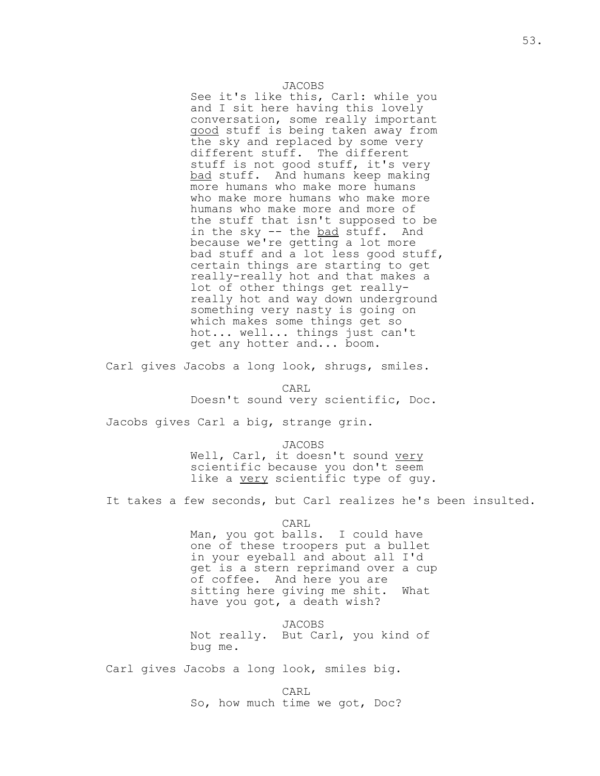### JACOBS

 See it's like this, Carl: while you and I sit here having this lovely conversation, some really important good stuff is being taken away from the sky and replaced by some very different stuff. The different stuff is not good stuff, it's very bad stuff. And humans keep making more humans who make more humans who make more humans who make more humans who make more and more of the stuff that isn't supposed to be in the sky -- the bad stuff. And because we're getting a lot more bad stuff and a lot less good stuff, certain things are starting to get really-really hot and that makes a lot of other things get really really hot and way down underground something very nasty is going on which makes some things get so hot... well... things just can't get any hotter and... boom.

Carl gives Jacobs a long look, shrugs, smiles.

**CARL** Doesn't sound very scientific, Doc.

Jacobs gives Carl a big, strange grin.

 JACOBS Well, Carl, it doesn't sound very scientific because you don't seem like a very scientific type of guy.

It takes a few seconds, but Carl realizes he's been insulted.

CARL

 Man, you got balls. I could have one of these troopers put a bullet in your eyeball and about all I'd get is a stern reprimand over a cup of coffee. And here you are sitting here giving me shit. What have you got, a death wish?

 JACOBS Not really. But Carl, you kind of bug me.

Carl gives Jacobs a long look, smiles big.

**CARL** So, how much time we got, Doc?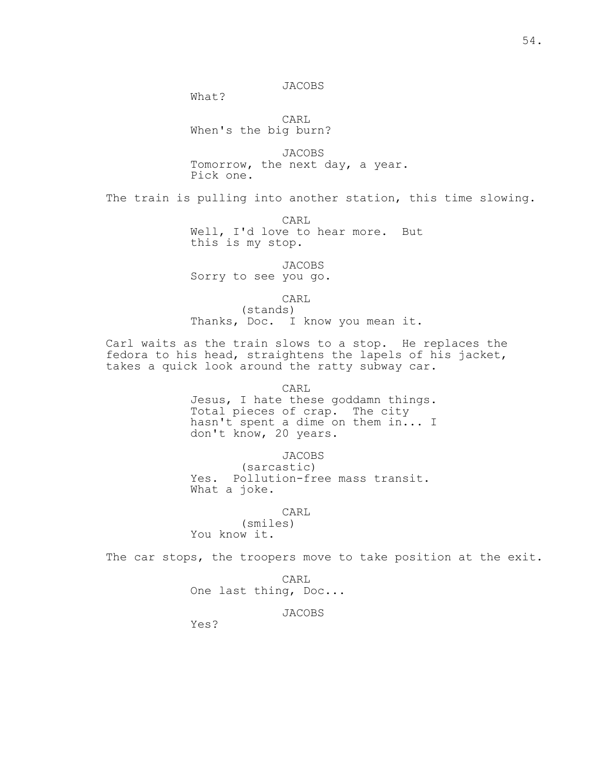## JACOBS

What?

 CARL When's the big burn?

 JACOBS Tomorrow, the next day, a year. Pick one.

The train is pulling into another station, this time slowing.

 CARL Well, I'd love to hear more. But this is my stop.

JACOBS

Sorry to see you go.

CARL

 (stands) Thanks, Doc. I know you mean it.

Carl waits as the train slows to a stop. He replaces the fedora to his head, straightens the lapels of his jacket, takes a quick look around the ratty subway car.

> CARL Jesus, I hate these goddamn things. Total pieces of crap. The city hasn't spent a dime on them in... I don't know, 20 years.

> > JACOBS

 (sarcastic) Yes. Pollution-free mass transit. What a joke.

CARL

 (smiles) You know it.

The car stops, the troopers move to take position at the exit.

**CARL** One last thing, Doc...

JACOBS

Yes?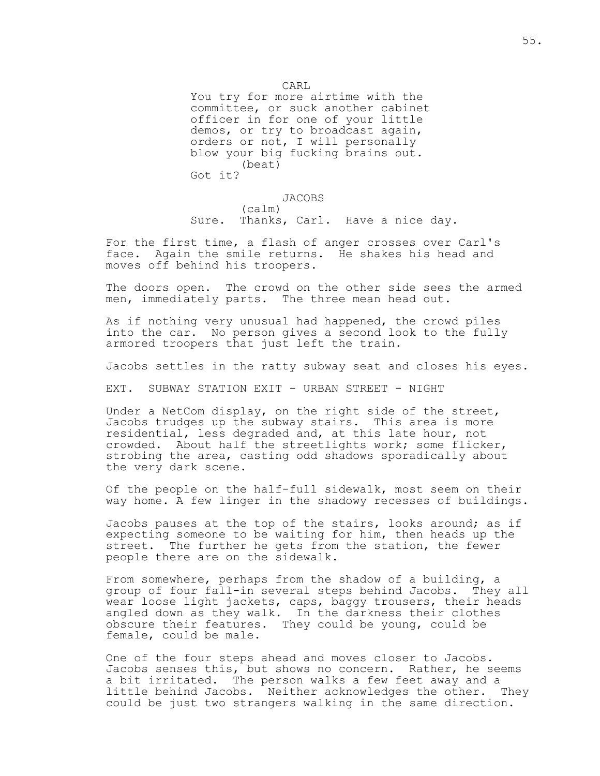CARL

 You try for more airtime with the committee, or suck another cabinet officer in for one of your little demos, or try to broadcast again, orders or not, I will personally blow your big fucking brains out. (beat) Got it?

JACOBS

 (calm) Sure. Thanks, Carl. Have a nice day.

For the first time, a flash of anger crosses over Carl's face. Again the smile returns. He shakes his head and moves off behind his troopers.

The doors open. The crowd on the other side sees the armed men, immediately parts. The three mean head out.

As if nothing very unusual had happened, the crowd piles into the car. No person gives a second look to the fully armored troopers that just left the train.

Jacobs settles in the ratty subway seat and closes his eyes.

EXT. SUBWAY STATION EXIT - URBAN STREET - NIGHT

Under a NetCom display, on the right side of the street, Jacobs trudges up the subway stairs. This area is more residential, less degraded and, at this late hour, not crowded. About half the streetlights work; some flicker, strobing the area, casting odd shadows sporadically about the very dark scene.

Of the people on the half-full sidewalk, most seem on their way home. A few linger in the shadowy recesses of buildings.

Jacobs pauses at the top of the stairs, looks around; as if expecting someone to be waiting for him, then heads up the street. The further he gets from the station, the fewer people there are on the sidewalk.

From somewhere, perhaps from the shadow of a building, a group of four fall-in several steps behind Jacobs. They all wear loose light jackets, caps, baggy trousers, their heads angled down as they walk. In the darkness their clothes obscure their features. They could be young, could be female, could be male.

One of the four steps ahead and moves closer to Jacobs. Jacobs senses this, but shows no concern. Rather, he seems a bit irritated. The person walks a few feet away and a little behind Jacobs. Neither acknowledges the other. They could be just two strangers walking in the same direction.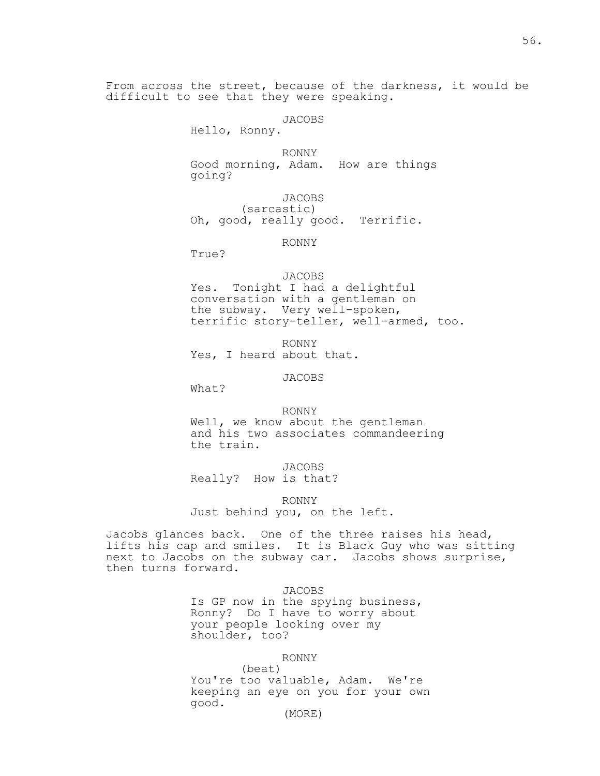From across the street, because of the darkness, it would be difficult to see that they were speaking.

## JACOBS

Hello, Ronny.

 RONNY Good morning, Adam. How are things going?

 JACOBS (sarcastic) Oh, good, really good. Terrific.

## RONNY

True?

## JACOBS

 Yes. Tonight I had a delightful conversation with a gentleman on the subway. Very well-spoken, terrific story-teller, well-armed, too.

 RONNY Yes, I heard about that.

## JACOBS

What?

RONNY

 Well, we know about the gentleman and his two associates commandeering the train.

JACOBS

Really? How is that?

RONNY

Just behind you, on the left.

Jacobs glances back. One of the three raises his head, lifts his cap and smiles. It is Black Guy who was sitting next to Jacobs on the subway car. Jacobs shows surprise, then turns forward.

JACOBS

 Is GP now in the spying business, Ronny? Do I have to worry about your people looking over my shoulder, too?

#### RONNY

 (beat) You're too valuable, Adam. We're keeping an eye on you for your own good.

#### (MORE)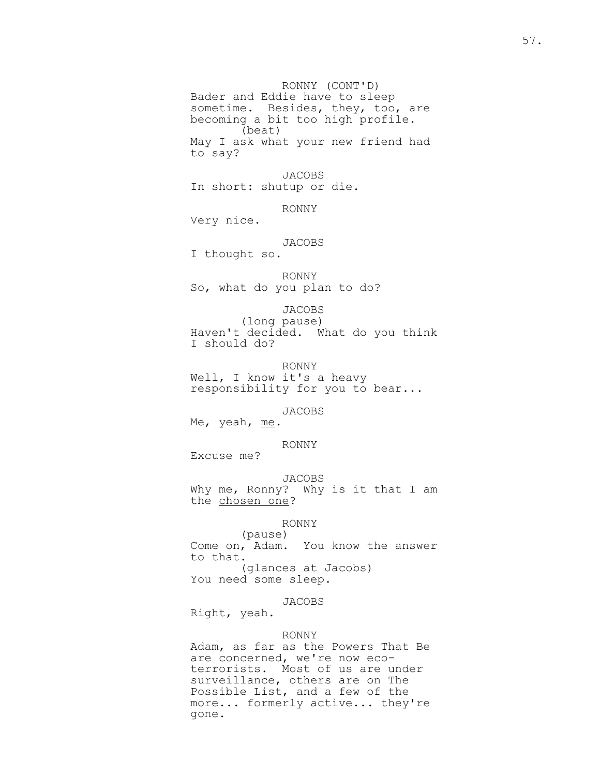RONNY (CONT'D) Bader and Eddie have to sleep sometime. Besides, they, too, are becoming a bit too high profile. (beat) May I ask what your new friend had to say?

> JACOBS In short: shutup or die.

> > RONNY

Very nice.

# JACOBS

I thought so.

 RONNY So, what do you plan to do?

JACOBS

 (long pause) Haven't decided. What do you think I should do?

RONNY

Well, I know it's a heavy responsibility for you to bear...

JACOBS

Me, yeah, me.

RONNY

Excuse me?

 JACOBS Why me, Ronny? Why is it that I am the chosen one?

## RONNY

 (pause) Come on, Adam. You know the answer to that. (glances at Jacobs) You need some sleep.

JACOBS

Right, yeah.

## RONNY

 Adam, as far as the Powers That Be are concerned, we're now eco terrorists. Most of us are under surveillance, others are on The Possible List, and a few of the more... formerly active... they're gone.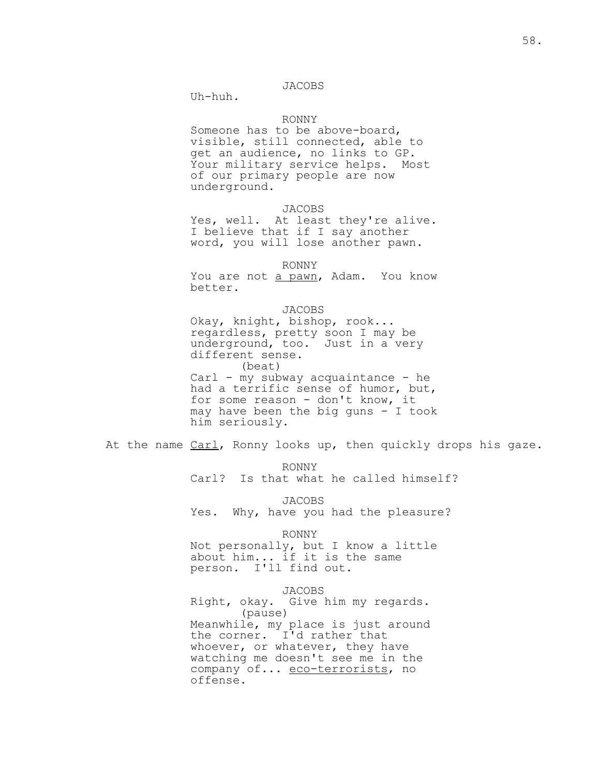## JACOBS

Uh-huh.

## RONNY

 Someone has to be above-board, visible, still connected, able to get an audience, no links to GP. Your military service helps. Most of our primary people are now underground.

### JACOBS

Yes, well. At least they're alive. I believe that if I say another word, you will lose another pawn.

#### RONNY

You are not a pawn, Adam. You know better.

#### JACOBS

 Okay, knight, bishop, rook... regardless, pretty soon I may be underground, too. Just in a very different sense. (beat) Carl - my subway acquaintance - he had a terrific sense of humor, but, for some reason - don't know, it may have been the big guns  $-$  I took him seriously.

At the name Carl, Ronny looks up, then quickly drops his gaze.

RONNY

Carl? Is that what he called himself?

 JACOBS Yes. Why, have you had the pleasure?

#### RONNY

 Not personally, but I know a little about him... if it is the same person. I'll find out.

## JACOBS

 Right, okay. Give him my regards. (pause) Meanwhile, my place is just around the corner. I'd rather that whoever, or whatever, they have watching me doesn't see me in the company of... eco-terrorists, no offense.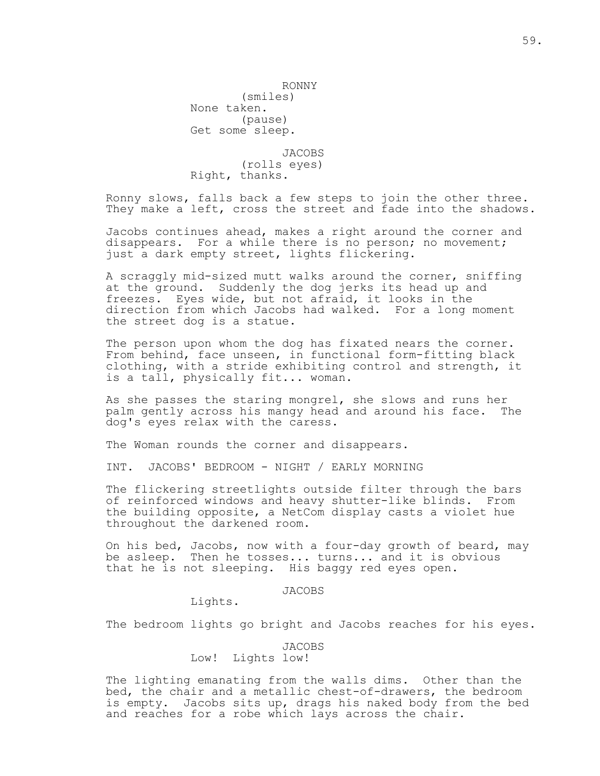(smiles) None taken. (pause) Get some sleep.

 JACOBS (rolls eyes) Right, thanks.

Ronny slows, falls back a few steps to join the other three. They make a left, cross the street and fade into the shadows.

Jacobs continues ahead, makes a right around the corner and disappears. For a while there is no person; no movement; just a dark empty street, lights flickering.

A scraggly mid-sized mutt walks around the corner, sniffing at the ground. Suddenly the dog jerks its head up and freezes. Eyes wide, but not afraid, it looks in the direction from which Jacobs had walked. For a long moment the street dog is a statue.

The person upon whom the dog has fixated nears the corner. From behind, face unseen, in functional form-fitting black clothing, with a stride exhibiting control and strength, it is a tall, physically fit... woman.

As she passes the staring mongrel, she slows and runs her palm gently across his mangy head and around his face. The dog's eyes relax with the caress.

The Woman rounds the corner and disappears.

INT. JACOBS' BEDROOM - NIGHT / EARLY MORNING

The flickering streetlights outside filter through the bars of reinforced windows and heavy shutter-like blinds. From the building opposite, a NetCom display casts a violet hue throughout the darkened room.

On his bed, Jacobs, now with a four-day growth of beard, may be asleep. Then he tosses... turns... and it is obvious that he is not sleeping. His baggy red eyes open.

### JACOBS

Lights.

The bedroom lights go bright and Jacobs reaches for his eyes.

## JACOBS Low! Lights low!

The lighting emanating from the walls dims. Other than the bed, the chair and a metallic chest-of-drawers, the bedroom is empty. Jacobs sits up, drags his naked body from the bed and reaches for a robe which lays across the chair.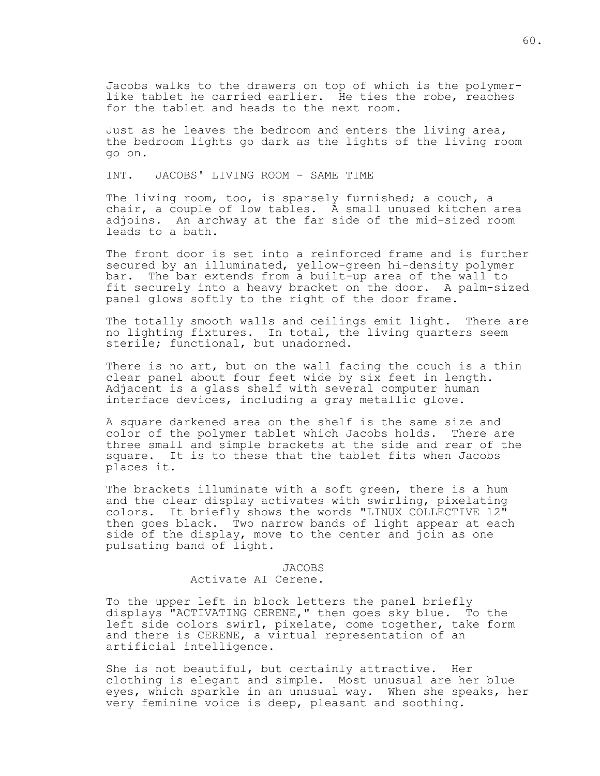Jacobs walks to the drawers on top of which is the polymerlike tablet he carried earlier. He ties the robe, reaches for the tablet and heads to the next room.

Just as he leaves the bedroom and enters the living area, the bedroom lights go dark as the lights of the living room go on.

INT. JACOBS' LIVING ROOM - SAME TIME

The living room, too, is sparsely furnished; a couch, a chair, a couple of low tables. A small unused kitchen area adjoins. An archway at the far side of the mid-sized room leads to a bath.

The front door is set into a reinforced frame and is further secured by an illuminated, yellow-green hi-density polymer bar. The bar extends from a built-up area of the wall to fit securely into a heavy bracket on the door. A palm-sized panel glows softly to the right of the door frame.

The totally smooth walls and ceilings emit light. There are no lighting fixtures. In total, the living quarters seem sterile; functional, but unadorned.

There is no art, but on the wall facing the couch is a thin clear panel about four feet wide by six feet in length. Adjacent is a glass shelf with several computer human interface devices, including a gray metallic glove.

A square darkened area on the shelf is the same size and color of the polymer tablet which Jacobs holds. There are three small and simple brackets at the side and rear of the square. It is to these that the tablet fits when Jacobs places it.

The brackets illuminate with a soft green, there is a hum and the clear display activates with swirling, pixelating colors. It briefly shows the words "LINUX COLLECTIVE 12" then goes black. Two narrow bands of light appear at each side of the display, move to the center and join as one pulsating band of light.

#### JACOBS

# Activate AI Cerene.

To the upper left in block letters the panel briefly displays "ACTIVATING CERENE," then goes sky blue. To the left side colors swirl, pixelate, come together, take form and there is CERENE, a virtual representation of an artificial intelligence.

She is not beautiful, but certainly attractive. Her clothing is elegant and simple. Most unusual are her blue eyes, which sparkle in an unusual way. When she speaks, her very feminine voice is deep, pleasant and soothing.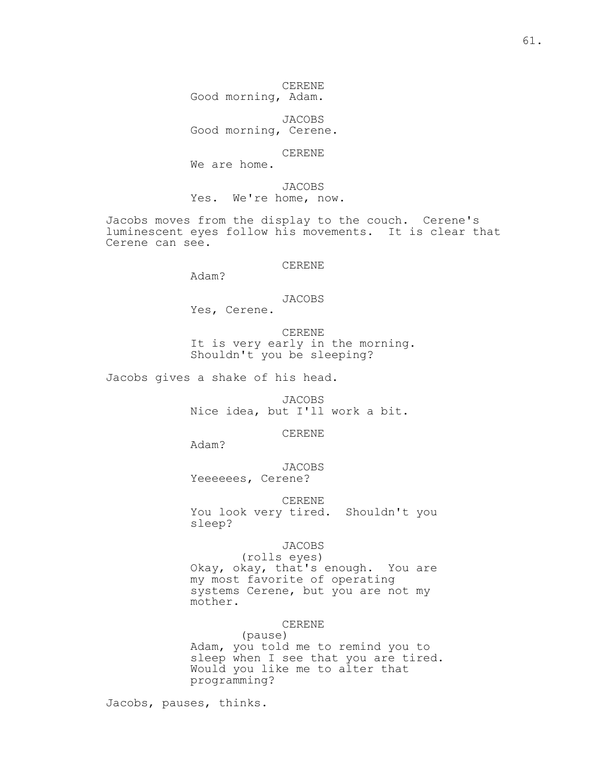CERENE Good morning, Adam.

 JACOBS Good morning, Cerene.

CERENE

We are home.

 JACOBS Yes. We're home, now.

Jacobs moves from the display to the couch. Cerene's luminescent eyes follow his movements. It is clear that Cerene can see.

CERENE

Adam?

## JACOBS

Yes, Cerene.

 CERENE It is very early in the morning. Shouldn't you be sleeping?

Jacobs gives a shake of his head.

 JACOBS Nice idea, but I'll work a bit.

CERENE

Adam?

 JACOBS Yeeeeees, Cerene?

 CERENE You look very tired. Shouldn't you sleep?

## JACOBS

 (rolls eyes) Okay, okay, that's enough. You are my most favorite of operating systems Cerene, but you are not my mother.

## CERENE

 (pause) Adam, you told me to remind you to sleep when I see that you are tired. Would you like me to alter that programming?

Jacobs, pauses, thinks.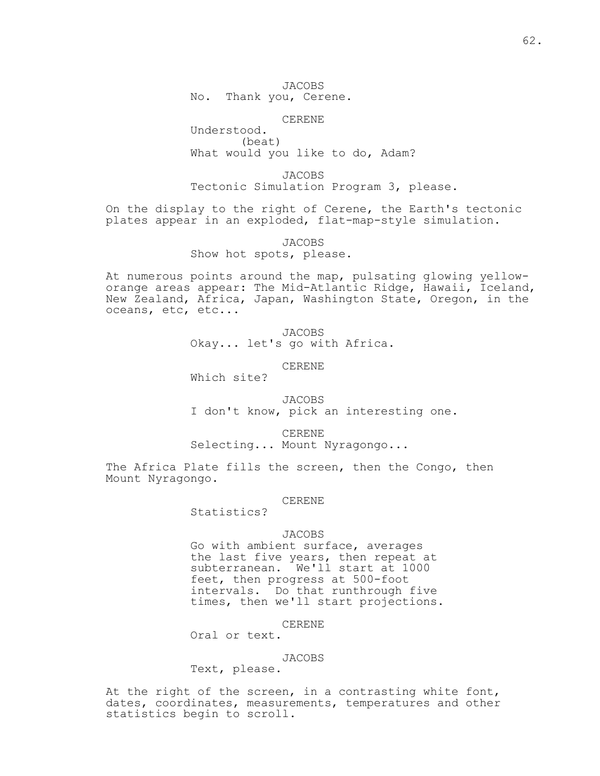JACOBS No. Thank you, Cerene.

CERENE

 Understood. (beat) What would you like to do, Adam?

 JACOBS Tectonic Simulation Program 3, please.

On the display to the right of Cerene, the Earth's tectonic plates appear in an exploded, flat-map-style simulation.

> JACOBS Show hot spots, please.

At numerous points around the map, pulsating glowing yelloworange areas appear: The Mid-Atlantic Ridge, Hawaii, Iceland, New Zealand, Africa, Japan, Washington State, Oregon, in the oceans, etc, etc...

> JACOBS Okay... let's go with Africa.

> > CERENE

Which site?

 JACOBS I don't know, pick an interesting one.

CERENE

Selecting... Mount Nyragongo...

The Africa Plate fills the screen, then the Congo, then Mount Nyragongo.

#### CERENE

Statistics?

#### JACOBS

 Go with ambient surface, averages the last five years, then repeat at subterranean. We'll start at 1000 feet, then progress at 500-foot intervals. Do that runthrough five times, then we'll start projections.

CERENE

Oral or text.

## JACOBS

Text, please.

At the right of the screen, in a contrasting white font, dates, coordinates, measurements, temperatures and other statistics begin to scroll.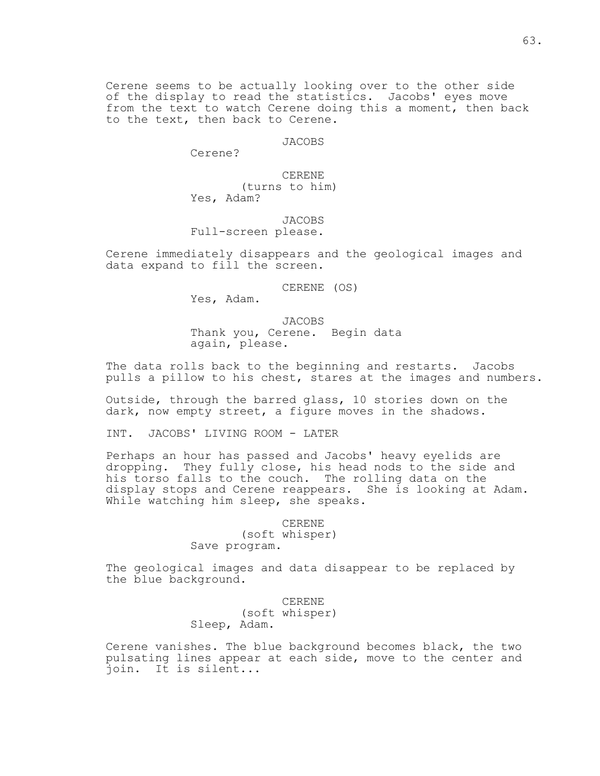Cerene seems to be actually looking over to the other side of the display to read the statistics. Jacobs' eyes move from the text to watch Cerene doing this a moment, then back to the text, then back to Cerene.

JACOBS

Cerene?

CERENE

 (turns to him) Yes, Adam?

JACOBS

Full-screen please.

Cerene immediately disappears and the geological images and data expand to fill the screen.

CERENE (OS)

Yes, Adam.

 JACOBS Thank you, Cerene. Begin data again, please.

The data rolls back to the beginning and restarts. Jacobs pulls a pillow to his chest, stares at the images and numbers.

Outside, through the barred glass, 10 stories down on the dark, now empty street, a figure moves in the shadows.

INT. JACOBS' LIVING ROOM - LATER

Perhaps an hour has passed and Jacobs' heavy eyelids are dropping. They fully close, his head nods to the side and his torso falls to the couch. The rolling data on the display stops and Cerene reappears. She is looking at Adam. While watching him sleep, she speaks.

> CERENE (soft whisper) Save program.

The geological images and data disappear to be replaced by the blue background.

> CERENE (soft whisper) Sleep, Adam.

Cerene vanishes. The blue background becomes black, the two pulsating lines appear at each side, move to the center and join. It is silent...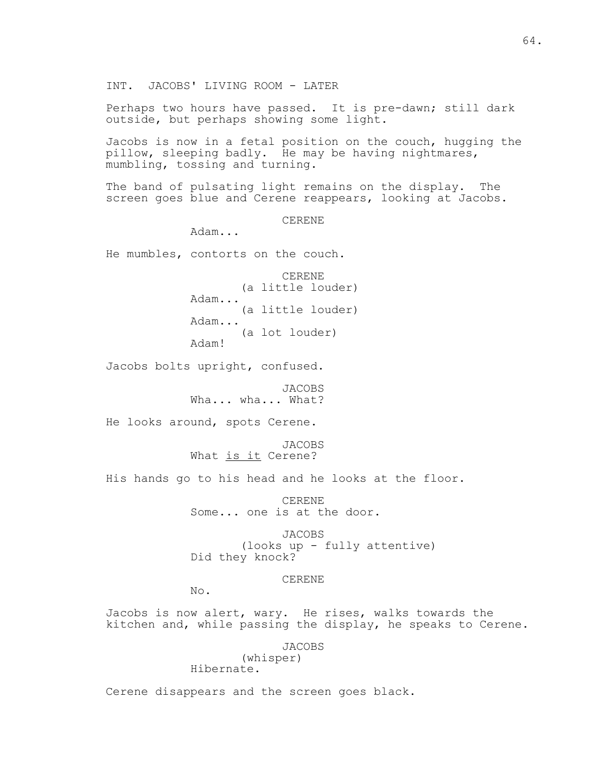INT. JACOBS' LIVING ROOM - LATER

Perhaps two hours have passed. It is pre-dawn; still dark outside, but perhaps showing some light.

Jacobs is now in a fetal position on the couch, hugging the pillow, sleeping badly. He may be having nightmares, mumbling, tossing and turning.

The band of pulsating light remains on the display. The screen goes blue and Cerene reappears, looking at Jacobs.

CERENE

Adam...

He mumbles, contorts on the couch.

 CERENE (a little louder) Adam... (a little louder) Adam... (a lot louder) Adam!

Jacobs bolts upright, confused.

 JACOBS Wha... wha... What?

He looks around, spots Cerene.

 JACOBS What is it Cerene?

His hands go to his head and he looks at the floor.

 CERENE Some... one is at the door.

 JACOBS (looks up - fully attentive) Did they knock?

CERENE

No.

Jacobs is now alert, wary. He rises, walks towards the kitchen and, while passing the display, he speaks to Cerene.

> JACOBS (whisper)

Hibernate.

Cerene disappears and the screen goes black.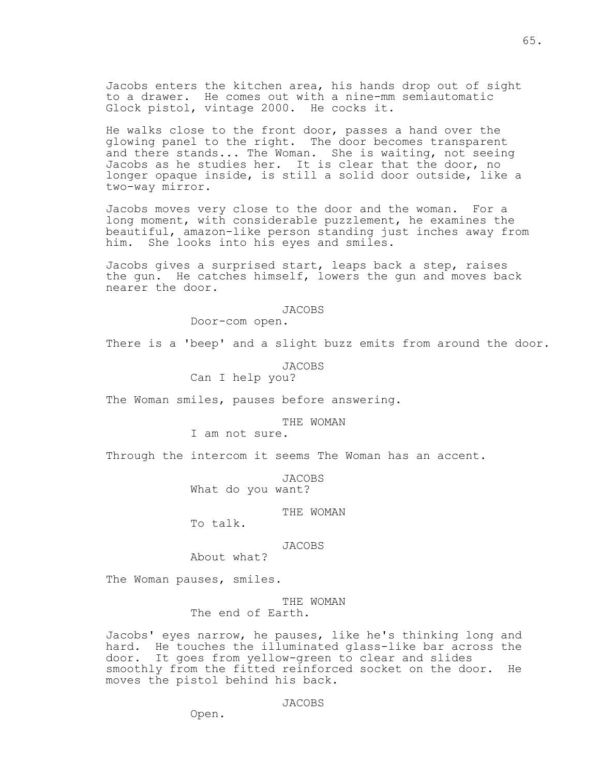Jacobs enters the kitchen area, his hands drop out of sight to a drawer. He comes out with a nine-mm semiautomatic Glock pistol, vintage 2000. He cocks it.

He walks close to the front door, passes a hand over the glowing panel to the right. The door becomes transparent and there stands... The Woman. She is waiting, not seeing Jacobs as he studies her. It is clear that the door, no longer opaque inside, is still a solid door outside, like a two-way mirror.

Jacobs moves very close to the door and the woman. For a long moment, with considerable puzzlement, he examines the beautiful, amazon-like person standing just inches away from him. She looks into his eyes and smiles.

Jacobs gives a surprised start, leaps back a step, raises the gun. He catches himself, lowers the gun and moves back nearer the door.

#### JACOBS

Door-com open.

There is a 'beep' and a slight buzz emits from around the door.

## JACOBS

Can I help you?

The Woman smiles, pauses before answering.

## THE WOMAN

I am not sure.

Through the intercom it seems The Woman has an accent.

JACOBS

What do you want?

## THE WOMAN

To talk.

### JACOBS

About what?

The Woman pauses, smiles.

## THE WOMAN The end of Earth.

Jacobs' eyes narrow, he pauses, like he's thinking long and hard. He touches the illuminated glass-like bar across the door. It goes from yellow-green to clear and slides smoothly from the fitted reinforced socket on the door. He moves the pistol behind his back.

### JACOBS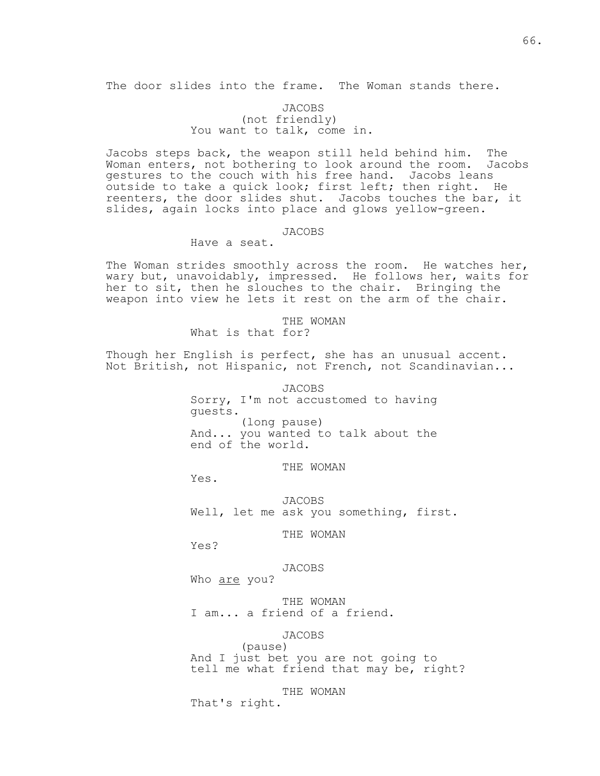The door slides into the frame. The Woman stands there.

## JACOBS (not friendly) You want to talk, come in.

Jacobs steps back, the weapon still held behind him. The Woman enters, not bothering to look around the room. Jacobs gestures to the couch with his free hand. Jacobs leans outside to take a quick look; first left; then right. He reenters, the door slides shut. Jacobs touches the bar, it slides, again locks into place and glows yellow-green.

## JACOBS

## Have a seat.

The Woman strides smoothly across the room. He watches her, wary but, unavoidably, impressed. He follows her, waits for her to sit, then he slouches to the chair. Bringing the weapon into view he lets it rest on the arm of the chair.

> THE WOMAN What is that for?

Though her English is perfect, she has an unusual accent. Not British, not Hispanic, not French, not Scandinavian...

> JACOBS Sorry, I'm not accustomed to having guests. (long pause) And... you wanted to talk about the end of the world.

> > THE WOMAN

Yes.

 JACOBS Well, let me ask you something, first.

THE WOMAN

Yes?

## JACOBS

Who are you?

 THE WOMAN I am... a friend of a friend.

## JACOBS

 (pause) And I just bet you are not going to tell me what friend that may be, right?

THE WOMAN

That's right.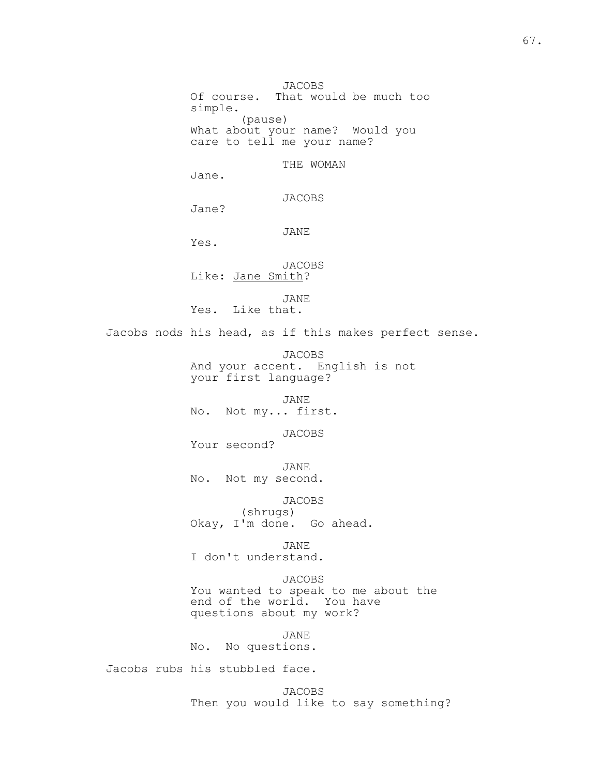JACOBS Of course. That would be much too simple. (pause) What about your name? Would you care to tell me your name?

THE WOMAN

Jane.

JACOBS

Jane?

JANE

Yes.

 JACOBS Like: Jane Smith?

 JANE Yes. Like that.

Jacobs nods his head, as if this makes perfect sense.

 JACOBS And your accent. English is not your first language?

 JANE No. Not my... first.

 JACOBS Your second?

 JANE No. Not my second.

 JACOBS (shrugs) Okay, I'm done. Go ahead.

 JANE I don't understand.

 JACOBS You wanted to speak to me about the end of the world. You have questions about my work?

 JANE No. No questions.

Jacobs rubs his stubbled face.

 JACOBS Then you would like to say something?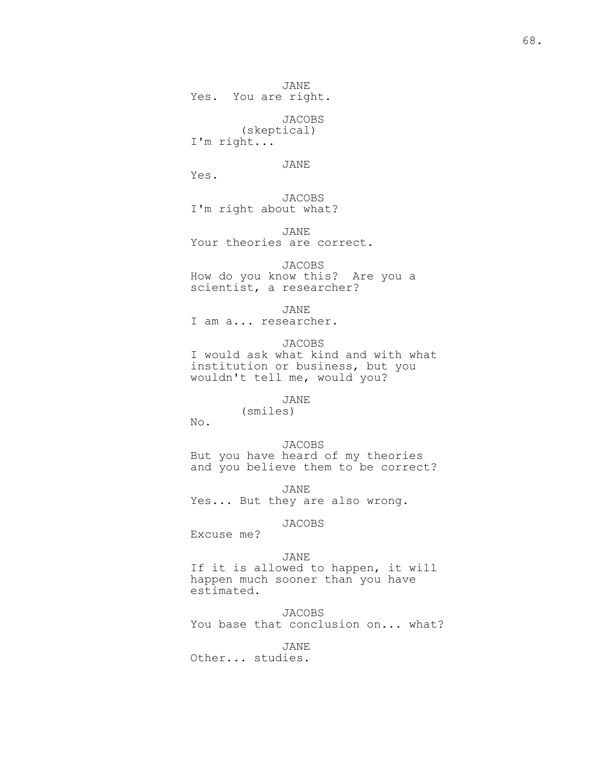JANE Yes. You are right.

 JACOBS (skeptical) I'm right...

JANE

Yes.

 JACOBS I'm right about what?

 JANE Your theories are correct.

 JACOBS How do you know this? Are you a scientist, a researcher?

 JANE I am a... researcher.

> JACOBS I would ask what kind and with what institution or business, but you wouldn't tell me, would you?

> > JANE

(smiles)

No.

 JACOBS But you have heard of my theories and you believe them to be correct?

 JANE Yes... But they are also wrong.

# JACOBS

Excuse me?

### JANE

 If it is allowed to happen, it will happen much sooner than you have estimated.

JACOBS

You base that conclusion on... what?

JANE

Other... studies.

 $68.$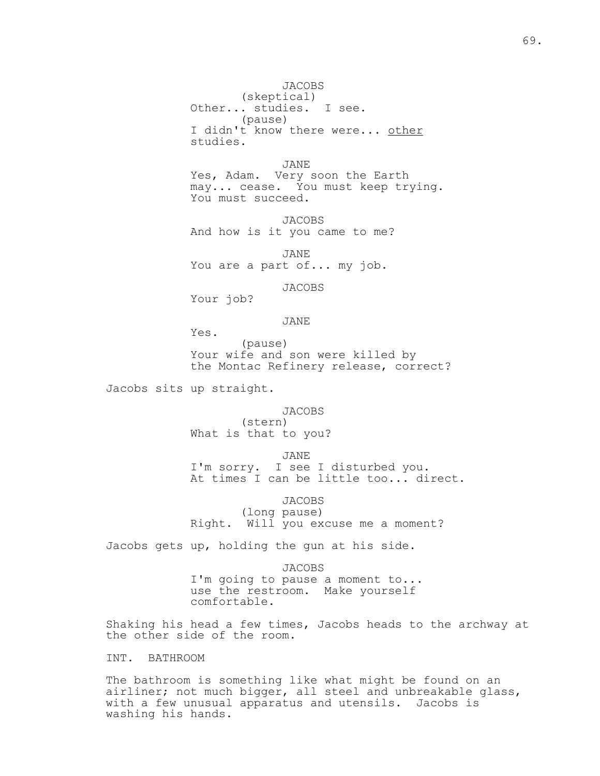JACOBS (skeptical) Other... studies. I see. (pause) I didn't know there were... other studies.

 JANE Yes, Adam. Very soon the Earth may... cease. You must keep trying. You must succeed.

 JACOBS And how is it you came to me?

 JANE You are a part of... my job.

JACOBS

Your job?

JANE

Yes.

 (pause) Your wife and son were killed by the Montac Refinery release, correct?

Jacobs sits up straight.

 JACOBS (stern) What is that to you?

JANE<br>I'm sorry. I see I see I disturbed you. At times I can be little too... direct.

JACOBS

 (long pause) Right. Will you excuse me a moment?

Jacobs gets up, holding the gun at his side.

 JACOBS I'm going to pause a moment to... use the restroom. Make yourself comfortable.

Shaking his head a few times, Jacobs heads to the archway at the other side of the room.

# INT. BATHROOM

The bathroom is something like what might be found on an airliner; not much bigger, all steel and unbreakable glass, with a few unusual apparatus and utensils. Jacobs is washing his hands.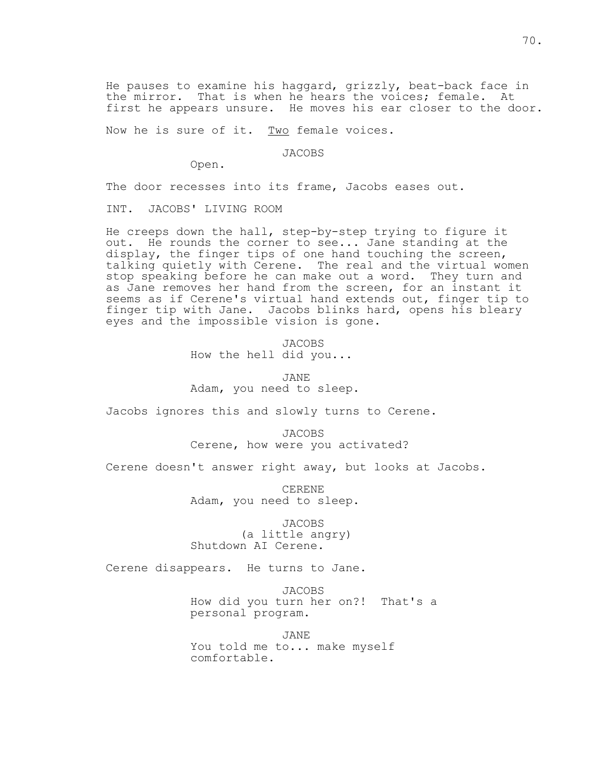He pauses to examine his haggard, grizzly, beat-back face in the mirror. That is when he hears the voices; female. At first he appears unsure. He moves his ear closer to the door.

Now he is sure of it. Two female voices.

JACOBS

Open.

The door recesses into its frame, Jacobs eases out.

INT. JACOBS' LIVING ROOM

He creeps down the hall, step-by-step trying to figure it out. He rounds the corner to see... Jane standing at the display, the finger tips of one hand touching the screen, talking quietly with Cerene. The real and the virtual women stop speaking before he can make out a word. They turn and as Jane removes her hand from the screen, for an instant it seems as if Cerene's virtual hand extends out, finger tip to finger tip with Jane. Jacobs blinks hard, opens his bleary eyes and the impossible vision is gone.

> JACOBS How the hell did you...

 JANE Adam, you need to sleep.

Jacobs ignores this and slowly turns to Cerene.

 JACOBS Cerene, how were you activated?

Cerene doesn't answer right away, but looks at Jacobs.

 CERENE Adam, you need to sleep.

 JACOBS (a little angry) Shutdown AI Cerene.

Cerene disappears. He turns to Jane.

 JACOBS How did you turn her on?! That's a personal program.

 JANE You told me to... make myself comfortable.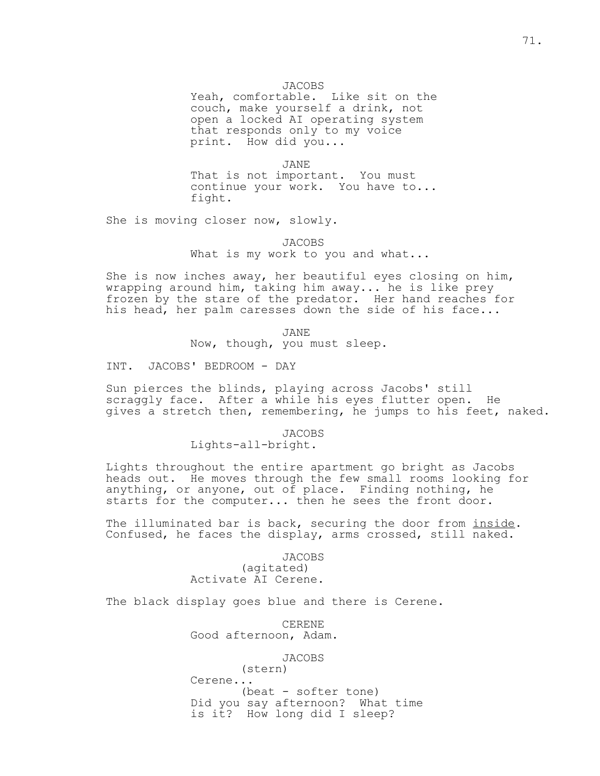## JACOBS

 Yeah, comfortable. Like sit on the couch, make yourself a drink, not open a locked AI operating system that responds only to my voice print. How did you...

 JANE That is not important. You must

 continue your work. You have to... fight.

She is moving closer now, slowly.

 JACOBS What is my work to you and what...

She is now inches away, her beautiful eyes closing on him, wrapping around him, taking him away... he is like prey frozen by the stare of the predator. Her hand reaches for his head, her palm caresses down the side of his face...

 JANE Now, though, you must sleep.

INT. JACOBS' BEDROOM - DAY

Sun pierces the blinds, playing across Jacobs' still scraggly face. After a while his eyes flutter open. He gives a stretch then, remembering, he jumps to his feet, naked.

JACOBS

Lights-all-bright.

Lights throughout the entire apartment go bright as Jacobs heads out. He moves through the few small rooms looking for anything, or anyone, out of place. Finding nothing, he starts for the computer... then he sees the front door.

The illuminated bar is back, securing the door from inside. Confused, he faces the display, arms crossed, still naked.

> JACOBS (agitated) Activate AI Cerene.

The black display goes blue and there is Cerene.

 CERENE Good afternoon, Adam.

JACOBS

 (stern) Cerene... (beat - softer tone) Did you say afternoon? What time is it? How long did I sleep?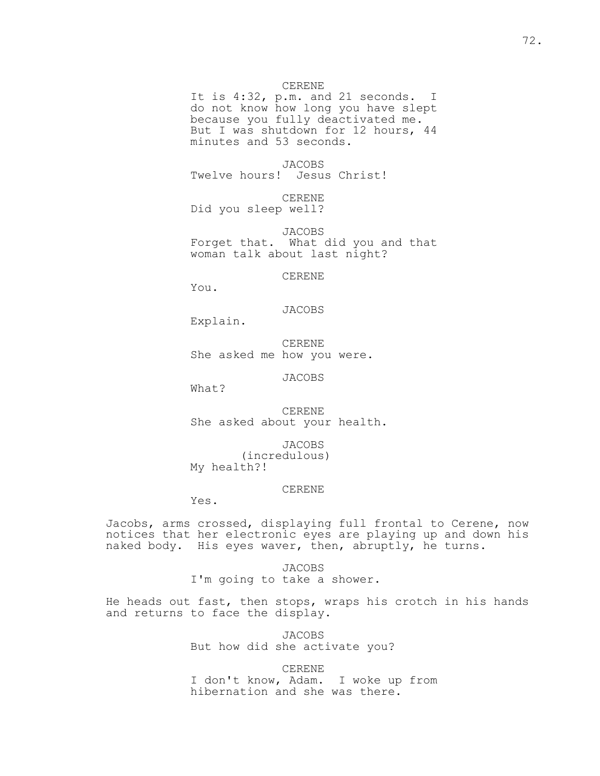### CERENE

 It is 4:32, p.m. and 21 seconds. I do not know how long you have slept because you fully deactivated me. But I was shutdown for 12 hours, 44 minutes and 53 seconds.

 JACOBS Twelve hours! Jesus Christ!

 CERENE Did you sleep well?

 JACOBS Forget that. What did you and that woman talk about last night?

CERENE

You.

### JACOBS

Explain.

 CERENE She asked me how you were.

JACOBS

What?

 CERENE She asked about your health.

 JACOBS (incredulous) My health?!

#### CERENE

Yes.

Jacobs, arms crossed, displaying full frontal to Cerene, now notices that her electronic eyes are playing up and down his naked body. His eyes waver, then, abruptly, he turns.

> JACOBS I'm going to take a shower.

He heads out fast, then stops, wraps his crotch in his hands and returns to face the display.

> JACOBS But how did she activate you?

 CERENE I don't know, Adam. I woke up from hibernation and she was there.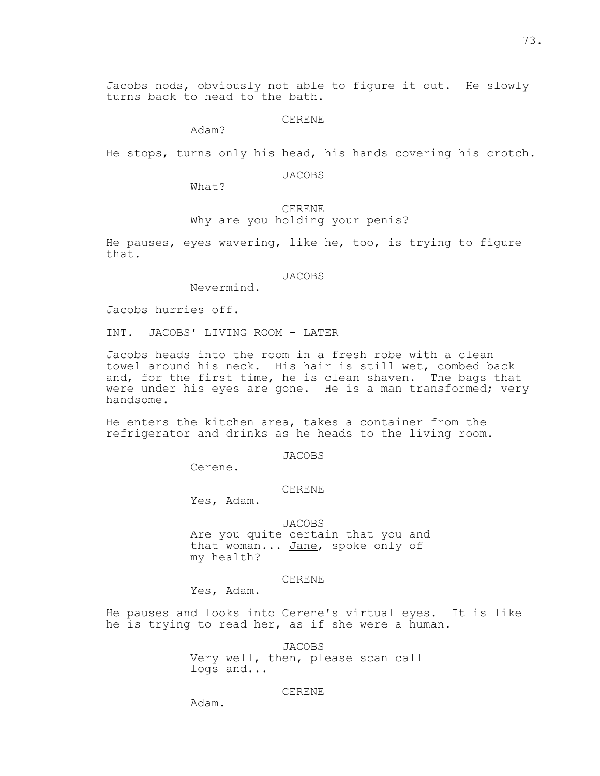Jacobs nods, obviously not able to figure it out. He slowly turns back to head to the bath.

CERENE

Adam?

He stops, turns only his head, his hands covering his crotch.

JACOBS

What?

 CERENE Why are you holding your penis?

He pauses, eyes wavering, like he, too, is trying to figure that.

JACOBS

Nevermind.

Jacobs hurries off.

INT. JACOBS' LIVING ROOM - LATER

Jacobs heads into the room in a fresh robe with a clean towel around his neck. His hair is still wet, combed back and, for the first time, he is clean shaven. The bags that were under his eyes are gone. He is a man transformed; very handsome.

He enters the kitchen area, takes a container from the refrigerator and drinks as he heads to the living room.

JACOBS

Cerene.

### CERENE

Yes, Adam.

# JACOBS

 Are you quite certain that you and that woman... Jane, spoke only of my health?

#### CERENE

Yes, Adam.

He pauses and looks into Cerene's virtual eyes. It is like he is trying to read her, as if she were a human.

> JACOBS Very well, then, please scan call logs and...

### CERENE

Adam.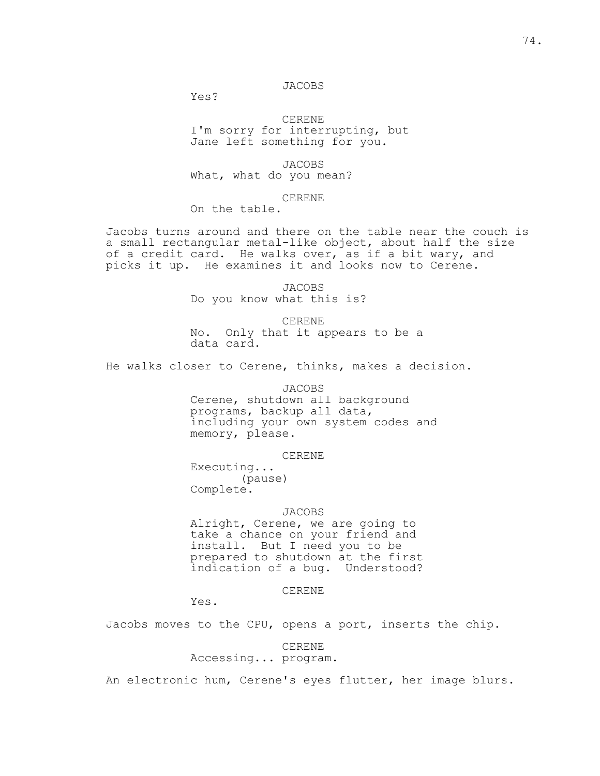## JACOBS

Yes?

 CERENE I'm sorry for interrupting, but Jane left something for you.

 JACOBS What, what do you mean?

### CERENE

On the table.

Jacobs turns around and there on the table near the couch is a small rectangular metal-like object, about half the size of a credit card. He walks over, as if a bit wary, and picks it up. He examines it and looks now to Cerene.

> JACOBS Do you know what this is?

 CERENE No. Only that it appears to be a data card.

He walks closer to Cerene, thinks, makes a decision.

### JACOBS

 Cerene, shutdown all background programs, backup all data, including your own system codes and memory, please.

CERENE

 Executing... (pause) Complete.

## JACOBS

 Alright, Cerene, we are going to take a chance on your friend and install. But I need you to be prepared to shutdown at the first indication of a bug. Understood?

CERENE

Yes.

Jacobs moves to the CPU, opens a port, inserts the chip.

 CERENE Accessing... program.

An electronic hum, Cerene's eyes flutter, her image blurs.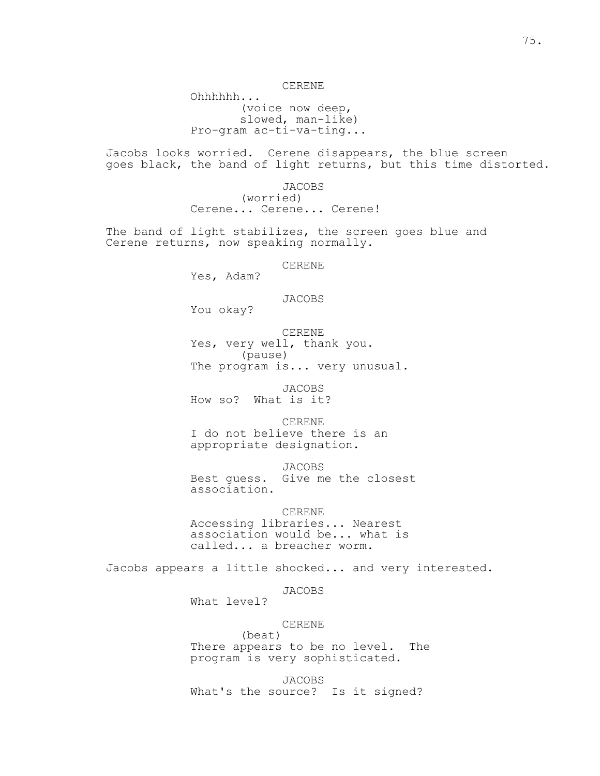Ohhhhhh... (voice now deep, slowed, man-like) Pro-gram ac-ti-va-ting...

Jacobs looks worried. Cerene disappears, the blue screen goes black, the band of light returns, but this time distorted.

> JACOBS (worried) Cerene... Cerene... Cerene!

The band of light stabilizes, the screen goes blue and Cerene returns, now speaking normally.

CERENE

Yes, Adam?

JACOBS

You okay?

 CERENE Yes, very well, thank you. (pause) The program is... very unusual.

 JACOBS How so? What is it?

 CERENE I do not believe there is an appropriate designation.

 JACOBS Best guess. Give me the closest association.

 CERENE Accessing libraries... Nearest association would be... what is called... a breacher worm.

Jacobs appears a little shocked... and very interested.

JACOBS

What level?

CERENE

 (beat) There appears to be no level. The program is very sophisticated.

 JACOBS What's the source? Is it signed?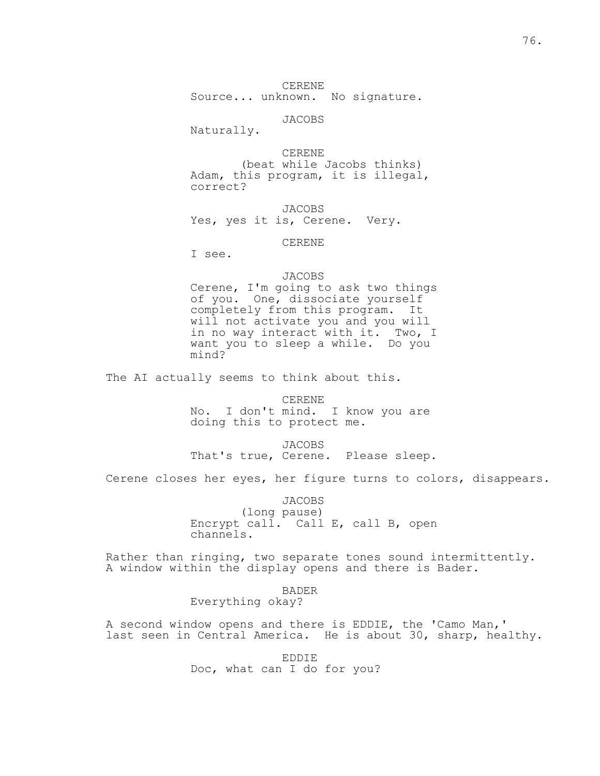CERENE Source... unknown. No signature.

JACOBS

Naturally.

 CERENE (beat while Jacobs thinks) Adam, this program, it is illegal, correct?

 JACOBS Yes, yes it is, Cerene. Very.

CERENE

I see.

# JACOBS

 Cerene, I'm going to ask two things of you. One, dissociate yourself completely from this program. It will not activate you and you will in no way interact with it. Two, I want you to sleep a while. Do you mind?

The AI actually seems to think about this.

 CERENE No. I don't mind. I know you are doing this to protect me.

 JACOBS That's true, Cerene. Please sleep.

Cerene closes her eyes, her figure turns to colors, disappears.

 JACOBS (long pause) Encrypt call. Call E, call B, open channels.

Rather than ringing, two separate tones sound intermittently. A window within the display opens and there is Bader.

BADER

Everything okay?

A second window opens and there is EDDIE, the 'Camo Man,' last seen in Central America. He is about 30, sharp, healthy.

> EDDIE Doc, what can I do for you?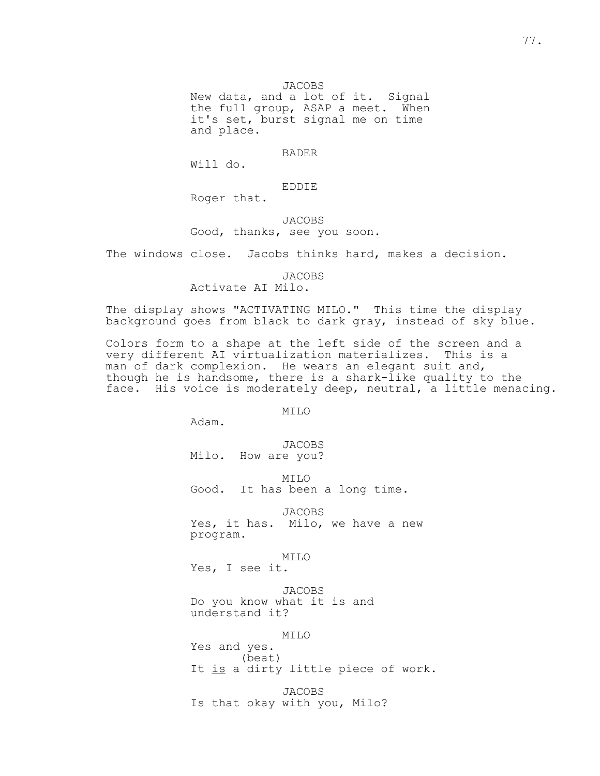JACOBS

 New data, and a lot of it. Signal the full group, ASAP a meet. When it's set, burst signal me on time and place.

## BADER

Will do.

EDDIE

Roger that.

# JACOBS

Good, thanks, see you soon.

The windows close. Jacobs thinks hard, makes a decision.

# JACOBS

Activate AI Milo.

The display shows "ACTIVATING MILO." This time the display background goes from black to dark gray, instead of sky blue.

Colors form to a shape at the left side of the screen and a very different AI virtualization materializes. This is a man of dark complexion. He wears an elegant suit and, though he is handsome, there is a shark-like quality to the face. His voice is moderately deep, neutral, a little menacing.

MILO

Adam.

 JACOBS Milo. How are you?

MILO

Good. It has been a long time.

JACOBS

 Yes, it has. Milo, we have a new program.

MILO

Yes, I see it.

 JACOBS Do you know what it is and understand it?

MILO

 Yes and yes. (beat) It is a dirty little piece of work.

 JACOBS Is that okay with you, Milo?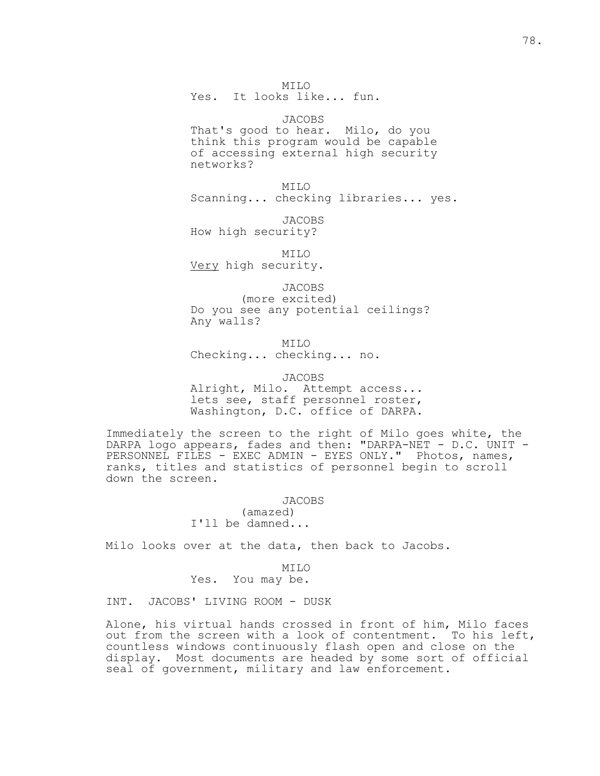MILO Yes. It looks like... fun.

 JACOBS That's good to hear. Milo, do you think this program would be capable of accessing external high security networks?

 MILO Scanning... checking libraries... yes.

 JACOBS How high security?

 MILO Very high security.

 JACOBS (more excited) Do you see any potential ceilings? Any walls?

 MILO Checking... checking... no.

 JACOBS Alright, Milo. Attempt access... lets see, staff personnel roster, Washington, D.C. office of DARPA.

Immediately the screen to the right of Milo goes white, the DARPA logo appears, fades and then: "DARPA-NET - D.C. UNIT - PERSONNEL FILES - EXEC ADMIN - EYES ONLY." Photos, names, ranks, titles and statistics of personnel begin to scroll down the screen.

> JACOBS (amazed) I'll be damned...

Milo looks over at the data, then back to Jacobs.

 MILO Yes. You may be.

INT. JACOBS' LIVING ROOM - DUSK

Alone, his virtual hands crossed in front of him, Milo faces out from the screen with a look of contentment. To his left, countless windows continuously flash open and close on the display. Most documents are headed by some sort of official seal of government, military and law enforcement.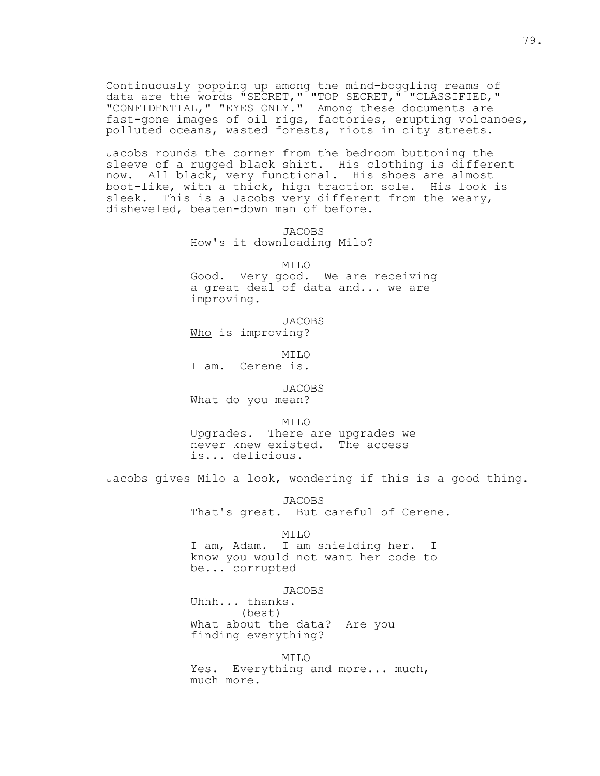Continuously popping up among the mind-boggling reams of data are the words "SECRET," "TOP SECRET," "CLASSIFIED," "CONFIDENTIAL," "EYES ONLY." Among these documents are fast-gone images of oil rigs, factories, erupting volcanoes, polluted oceans, wasted forests, riots in city streets.

Jacobs rounds the corner from the bedroom buttoning the sleeve of a rugged black shirt. His clothing is different now. All black, very functional. His shoes are almost boot-like, with a thick, high traction sole. His look is sleek. This is a Jacobs very different from the weary, disheveled, beaten-down man of before.

> JACOBS How's it downloading Milo?

> > MILO

 Good. Very good. We are receiving a great deal of data and... we are improving.

 JACOBS Who is improving?

 MILO I am. Cerene is.

 JACOBS What do you mean?

MILO

 Upgrades. There are upgrades we never knew existed. The access is... delicious.

Jacobs gives Milo a look, wondering if this is a good thing.

JACOBS

That's great. But careful of Cerene.

MILO

 I am, Adam. I am shielding her. I know you would not want her code to be... corrupted

JACOBS

 Uhhh... thanks. (beat) What about the data? Are you finding everything?

 MILO Yes. Everything and more... much, much more.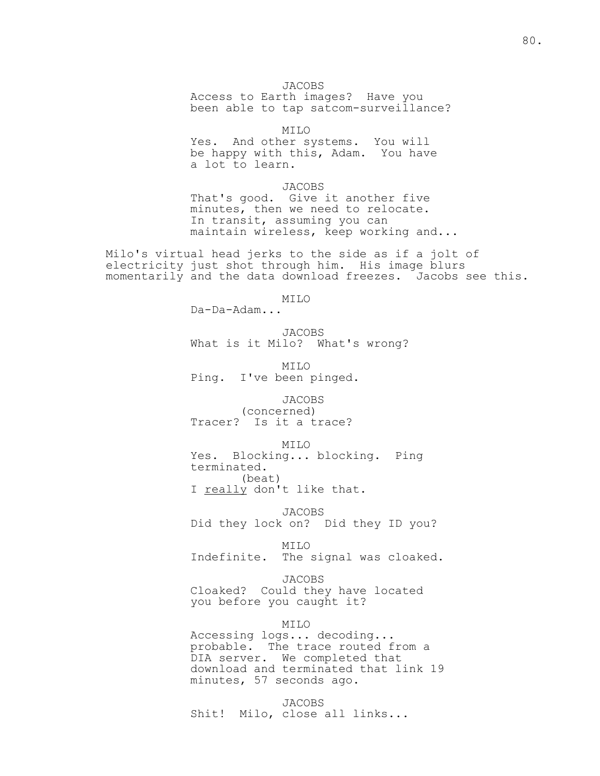JACOBS Access to Earth images? Have you been able to tap satcom-surveillance?

MILO

 Yes. And other systems. You will be happy with this, Adam. You have a lot to learn.

 JACOBS That's good. Give it another five minutes, then we need to relocate. In transit, assuming you can maintain wireless, keep working and...

Milo's virtual head jerks to the side as if a jolt of electricity just shot through him. His image blurs momentarily and the data download freezes. Jacobs see this.

 $MTLO$ 

Da-Da-Adam...

 JACOBS What is it Milo? What's wrong?

 MILO Ping. I've been pinged.

 JACOBS (concerned) Tracer? Is it a trace?

 MILO Yes. Blocking... blocking. Ping terminated. (beat) I really don't like that.

 JACOBS Did they lock on? Did they ID you?

 MILO Indefinite. The signal was cloaked.

 JACOBS Cloaked? Could they have located you before you caught it?

MILO

 Accessing logs... decoding... probable. The trace routed from a DIA server. We completed that download and terminated that link 19 minutes, 57 seconds ago.

 JACOBS Shit! Milo, close all links...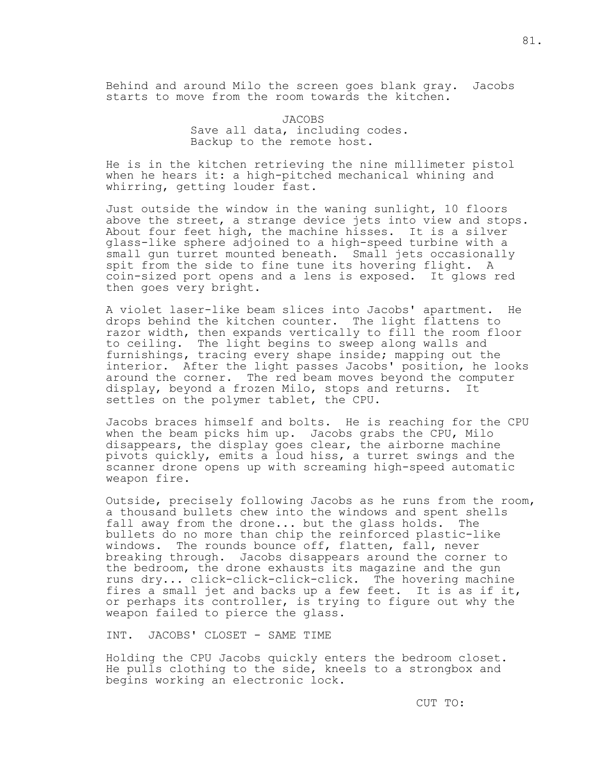Behind and around Milo the screen goes blank gray. Jacobs starts to move from the room towards the kitchen.

> JACOBS Save all data, including codes. Backup to the remote host.

He is in the kitchen retrieving the nine millimeter pistol when he hears it: a high-pitched mechanical whining and whirring, getting louder fast.

Just outside the window in the waning sunlight, 10 floors above the street, a strange device jets into view and stops. About four feet high, the machine hisses. It is a silver glass-like sphere adjoined to a high-speed turbine with a small gun turret mounted beneath. Small jets occasionally spit from the side to fine tune its hovering flight. A coin-sized port opens and a lens is exposed. It glows red then goes very bright.

A violet laser-like beam slices into Jacobs' apartment. He drops behind the kitchen counter. The light flattens to razor width, then expands vertically to fill the room floor to ceiling. The light begins to sweep along walls and furnishings, tracing every shape inside; mapping out the interior. After the light passes Jacobs' position, he looks around the corner. The red beam moves beyond the computer display, beyond a frozen Milo, stops and returns. It settles on the polymer tablet, the CPU.

Jacobs braces himself and bolts. He is reaching for the CPU when the beam picks him up. Jacobs grabs the CPU, Milo disappears, the display goes clear, the airborne machine pivots quickly, emits a loud hiss, a turret swings and the scanner drone opens up with screaming high-speed automatic weapon fire.

Outside, precisely following Jacobs as he runs from the room, a thousand bullets chew into the windows and spent shells fall away from the drone... but the glass holds. The bullets do no more than chip the reinforced plastic-like windows. The rounds bounce off, flatten, fall, never breaking through. Jacobs disappears around the corner to the bedroom, the drone exhausts its magazine and the gun runs dry... click-click-click-click. The hovering machine fires a small jet and backs up a few feet. It is as if it, or perhaps its controller, is trying to figure out why the weapon failed to pierce the glass.

INT. JACOBS' CLOSET - SAME TIME

Holding the CPU Jacobs quickly enters the bedroom closet. He pulls clothing to the side, kneels to a strongbox and begins working an electronic lock.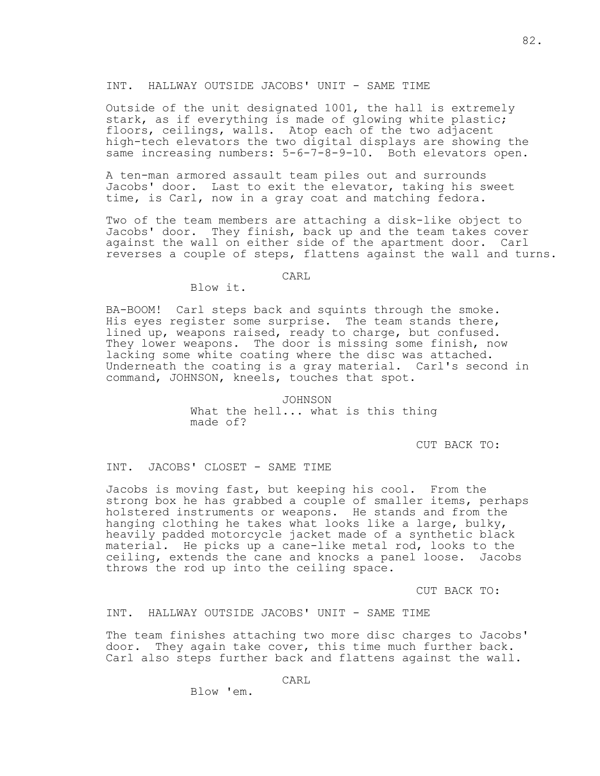### INT. HALLWAY OUTSIDE JACOBS' UNIT - SAME TIME

Outside of the unit designated 1001, the hall is extremely stark, as if everything is made of glowing white plastic; floors, ceilings, walls. Atop each of the two adjacent high-tech elevators the two digital displays are showing the same increasing numbers: 5-6-7-8-9-10. Both elevators open.

A ten-man armored assault team piles out and surrounds Jacobs' door. Last to exit the elevator, taking his sweet time, is Carl, now in a gray coat and matching fedora.

Two of the team members are attaching a disk-like object to Jacobs' door. They finish, back up and the team takes cover against the wall on either side of the apartment door. Carl reverses a couple of steps, flattens against the wall and turns.

# **CARL**

Blow it.

BA-BOOM! Carl steps back and squints through the smoke. His eyes register some surprise. The team stands there, lined up, weapons raised, ready to charge, but confused. They lower weapons. The door is missing some finish, now lacking some white coating where the disc was attached. Underneath the coating is a gray material. Carl's second in command, JOHNSON, kneels, touches that spot.

> JOHNSON What the hell... what is this thing made of?

> > CUT BACK TO:

INT. JACOBS' CLOSET - SAME TIME

Jacobs is moving fast, but keeping his cool. From the strong box he has grabbed a couple of smaller items, perhaps holstered instruments or weapons. He stands and from the hanging clothing he takes what looks like a large, bulky, heavily padded motorcycle jacket made of a synthetic black material. He picks up a cane-like metal rod, looks to the ceiling, extends the cane and knocks a panel loose. Jacobs throws the rod up into the ceiling space.

CUT BACK TO:

INT. HALLWAY OUTSIDE JACOBS' UNIT - SAME TIME

The team finishes attaching two more disc charges to Jacobs' door. They again take cover, this time much further back. Carl also steps further back and flattens against the wall.

CARL

Blow 'em.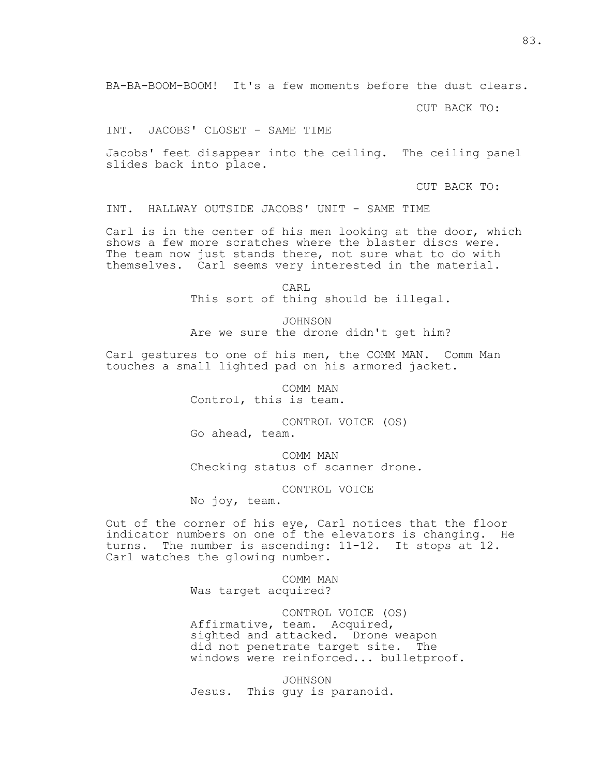BA-BA-BOOM-BOOM! It's a few moments before the dust clears.

CUT BACK TO:

INT. JACOBS' CLOSET - SAME TIME

Jacobs' feet disappear into the ceiling. The ceiling panel slides back into place.

CUT BACK TO:

INT. HALLWAY OUTSIDE JACOBS' UNIT - SAME TIME

Carl is in the center of his men looking at the door, which shows a few more scratches where the blaster discs were. The team now just stands there, not sure what to do with themselves. Carl seems very interested in the material.

**CARL** This sort of thing should be illegal.

> JOHNSON Are we sure the drone didn't get him?

Carl gestures to one of his men, the COMM MAN. Comm Man touches a small lighted pad on his armored jacket.

> COMM MAN Control, this is team.

 CONTROL VOICE (OS) Go ahead, team.

 COMM MAN Checking status of scanner drone.

CONTROL VOICE

No joy, team.

Out of the corner of his eye, Carl notices that the floor indicator numbers on one of the elevators is changing. He turns. The number is ascending: 11-12. It stops at 12. Carl watches the glowing number.

> COMM MAN Was target acquired?

 CONTROL VOICE (OS) Affirmative, team. Acquired, sighted and attacked. Drone weapon did not penetrate target site. The windows were reinforced... bulletproof.

 JOHNSON Jesus. This guy is paranoid.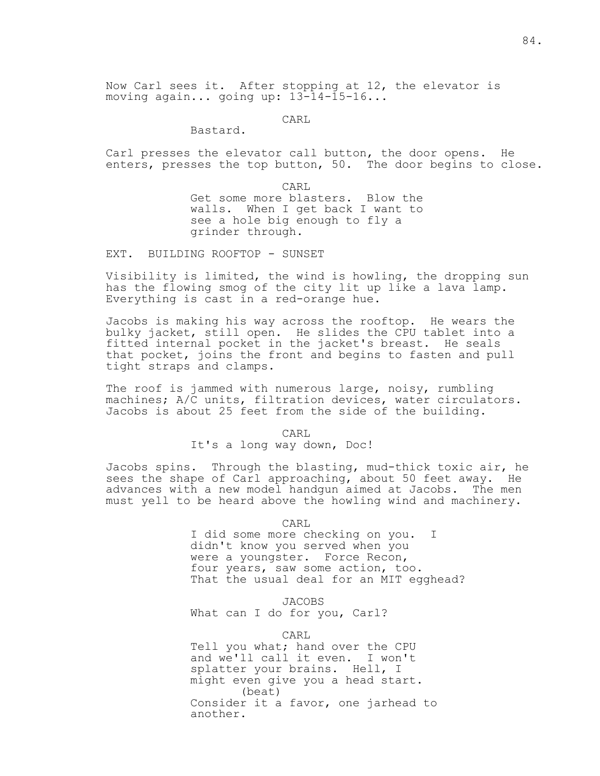**CARL** 

Bastard.

Carl presses the elevator call button, the door opens. He enters, presses the top button, 50. The door begins to close.

**CARL**  Get some more blasters. Blow the walls. When I get back I want to see a hole big enough to fly a grinder through.

EXT. BUILDING ROOFTOP - SUNSET

Visibility is limited, the wind is howling, the dropping sun has the flowing smog of the city lit up like a lava lamp. Everything is cast in a red-orange hue.

Jacobs is making his way across the rooftop. He wears the bulky jacket, still open. He slides the CPU tablet into a fitted internal pocket in the jacket's breast. He seals that pocket, joins the front and begins to fasten and pull tight straps and clamps.

The roof is jammed with numerous large, noisy, rumbling machines; A/C units, filtration devices, water circulators. Jacobs is about 25 feet from the side of the building.

CARL

It's a long way down, Doc!

Jacobs spins. Through the blasting, mud-thick toxic air, he sees the shape of Carl approaching, about 50 feet away. He advances with a new model handgun aimed at Jacobs. The men must yell to be heard above the howling wind and machinery.

CARL

 I did some more checking on you. I didn't know you served when you were a youngster. Force Recon, four years, saw some action, too. That the usual deal for an MIT egghead?

 JACOBS What can I do for you, Carl?

CARL

 Tell you what; hand over the CPU and we'll call it even. I won't splatter your brains. Hell, I might even give you a head start. (beat) Consider it a favor, one jarhead to another.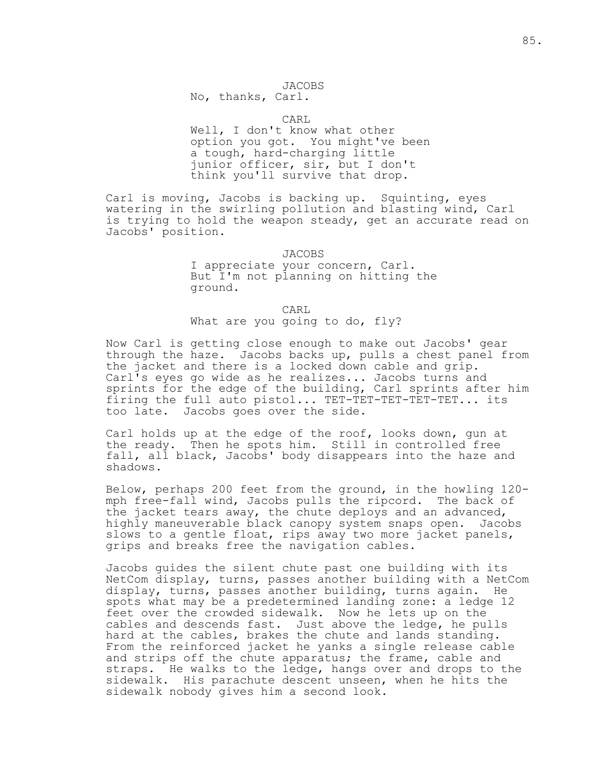## JACOBS

No, thanks, Carl.

CARL

 Well, I don't know what other option you got. You might've been a tough, hard-charging little junior officer, sir, but I don't think you'll survive that drop.

Carl is moving, Jacobs is backing up. Squinting, eyes watering in the swirling pollution and blasting wind, Carl is trying to hold the weapon steady, get an accurate read on Jacobs' position.

> JACOBS I appreciate your concern, Carl. But I'm not planning on hitting the ground.

 CARL What are you going to do, fly?

Now Carl is getting close enough to make out Jacobs' gear through the haze. Jacobs backs up, pulls a chest panel from the jacket and there is a locked down cable and grip. Carl's eyes go wide as he realizes... Jacobs turns and sprints for the edge of the building, Carl sprints after him firing the full auto pistol... TET-TET-TET-TET-TET... its too late. Jacobs goes over the side.

Carl holds up at the edge of the roof, looks down, gun at the ready. Then he spots him. Still in controlled free fall, all black, Jacobs' body disappears into the haze and shadows.

Below, perhaps 200 feet from the ground, in the howling 120 mph free-fall wind, Jacobs pulls the ripcord. The back of the jacket tears away, the chute deploys and an advanced, highly maneuverable black canopy system snaps open. Jacobs slows to a gentle float, rips away two more jacket panels, grips and breaks free the navigation cables.

Jacobs guides the silent chute past one building with its NetCom display, turns, passes another building with a NetCom display, turns, passes another building, turns again. He spots what may be a predetermined landing zone: a ledge 12 feet over the crowded sidewalk. Now he lets up on the cables and descends fast. Just above the ledge, he pulls hard at the cables, brakes the chute and lands standing. From the reinforced jacket he yanks a single release cable and strips off the chute apparatus; the frame, cable and straps. He walks to the ledge, hangs over and drops to the sidewalk. His parachute descent unseen, when he hits the sidewalk nobody gives him a second look.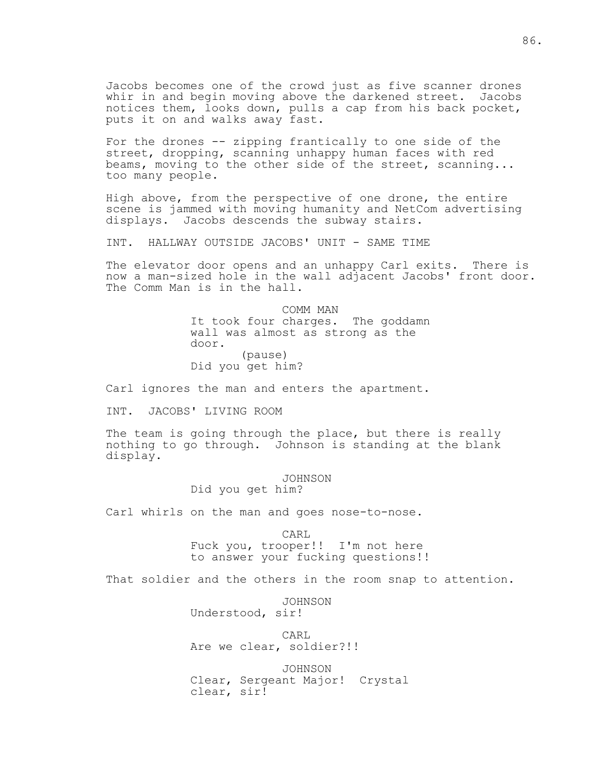Jacobs becomes one of the crowd just as five scanner drones whir in and begin moving above the darkened street. Jacobs notices them, looks down, pulls a cap from his back pocket, puts it on and walks away fast.

For the drones -- zipping frantically to one side of the street, dropping, scanning unhappy human faces with red beams, moving to the other side of the street, scanning... too many people.

High above, from the perspective of one drone, the entire scene is jammed with moving humanity and NetCom advertising displays. Jacobs descends the subway stairs.

INT. HALLWAY OUTSIDE JACOBS' UNIT - SAME TIME

The elevator door opens and an unhappy Carl exits. There is now a man-sized hole in the wall adjacent Jacobs' front door. The Comm Man is in the hall.

> COMM MAN It took four charges. The goddamn wall was almost as strong as the door. (pause) Did you get him?

Carl ignores the man and enters the apartment.

INT. JACOBS' LIVING ROOM

The team is going through the place, but there is really nothing to go through. Johnson is standing at the blank display.

> JOHNSON Did you get him?

Carl whirls on the man and goes nose-to-nose.

**CARL**  Fuck you, trooper!! I'm not here to answer your fucking questions!!

That soldier and the others in the room snap to attention.

 JOHNSON Understood, sir! **CARL** Are we clear, soldier?!!

> JOHNSON Clear, Sergeant Major! Crystal clear, sir!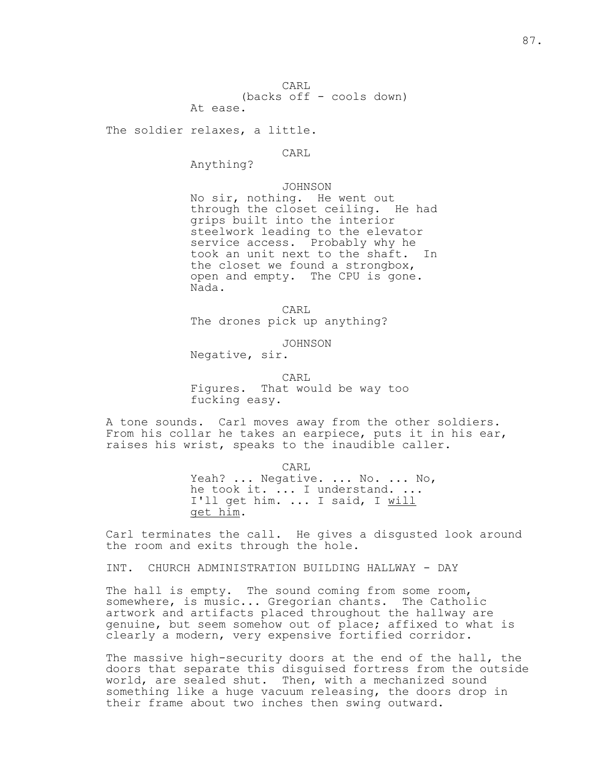CARL (backs off - cools down) At ease.

The soldier relaxes, a little.

**CARL** 

Anything?

 JOHNSON No sir, nothing. He went out through the closet ceiling. He had grips built into the interior steelwork leading to the elevator service access. Probably why he took an unit next to the shaft. In the closet we found a strongbox, open and empty. The CPU is gone. Nada.

**CARL** The drones pick up anything?

JOHNSON

Negative, sir.

**CARL** 

 Figures. That would be way too fucking easy.

A tone sounds. Carl moves away from the other soldiers. From his collar he takes an earpiece, puts it in his ear, raises his wrist, speaks to the inaudible caller.

> CARL Yeah? ... Negative. ... No. ... No, he took it. ... I understand. ... I'll get him. ... I said, I will get him.

Carl terminates the call. He gives a disgusted look around the room and exits through the hole.

INT. CHURCH ADMINISTRATION BUILDING HALLWAY - DAY

The hall is empty. The sound coming from some room, somewhere, is music... Gregorian chants. The Catholic artwork and artifacts placed throughout the hallway are genuine, but seem somehow out of place; affixed to what is clearly a modern, very expensive fortified corridor.

The massive high-security doors at the end of the hall, the doors that separate this disguised fortress from the outside world, are sealed shut. Then, with a mechanized sound something like a huge vacuum releasing, the doors drop in their frame about two inches then swing outward.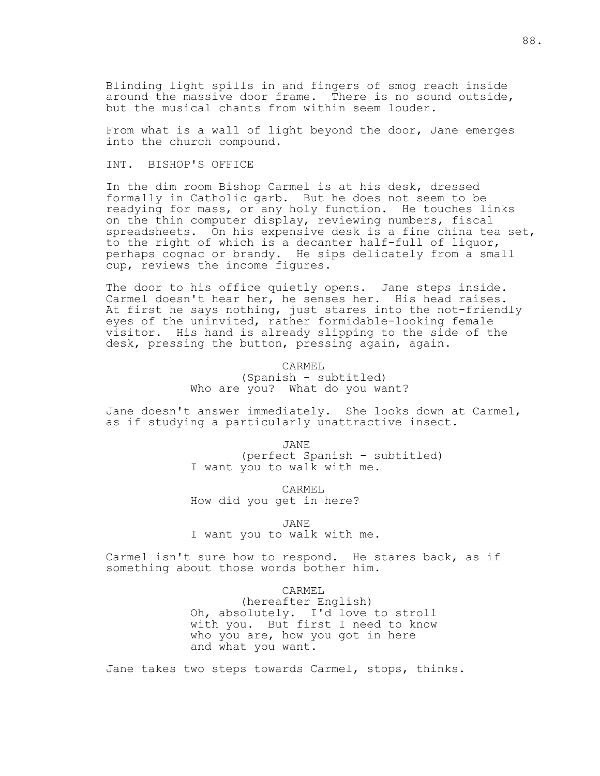Blinding light spills in and fingers of smog reach inside around the massive door frame. There is no sound outside, but the musical chants from within seem louder.

From what is a wall of light beyond the door, Jane emerges into the church compound.

# INT. BISHOP'S OFFICE

In the dim room Bishop Carmel is at his desk, dressed formally in Catholic garb. But he does not seem to be readying for mass, or any holy function. He touches links on the thin computer display, reviewing numbers, fiscal spreadsheets. On his expensive desk is a fine china tea set, to the right of which is a decanter half-full of liquor, perhaps cognac or brandy. He sips delicately from a small cup, reviews the income figures.

The door to his office quietly opens. Jane steps inside. Carmel doesn't hear her, he senses her. His head raises. At first he says nothing, just stares into the not-friendly eyes of the uninvited, rather formidable-looking female visitor. His hand is already slipping to the side of the desk, pressing the button, pressing again, again.

CARMEL

 (Spanish - subtitled) Who are you? What do you want?

Jane doesn't answer immediately. She looks down at Carmel, as if studying a particularly unattractive insect.

 JANE (perfect Spanish - subtitled) I want you to walk with me.

> CARMEL How did you get in here?

> > JANE

I want you to walk with me.

Carmel isn't sure how to respond. He stares back, as if something about those words bother him.

CARMEL

 (hereafter English) Oh, absolutely. I'd love to stroll with you. But first I need to know who you are, how you got in here and what you want.

Jane takes two steps towards Carmel, stops, thinks.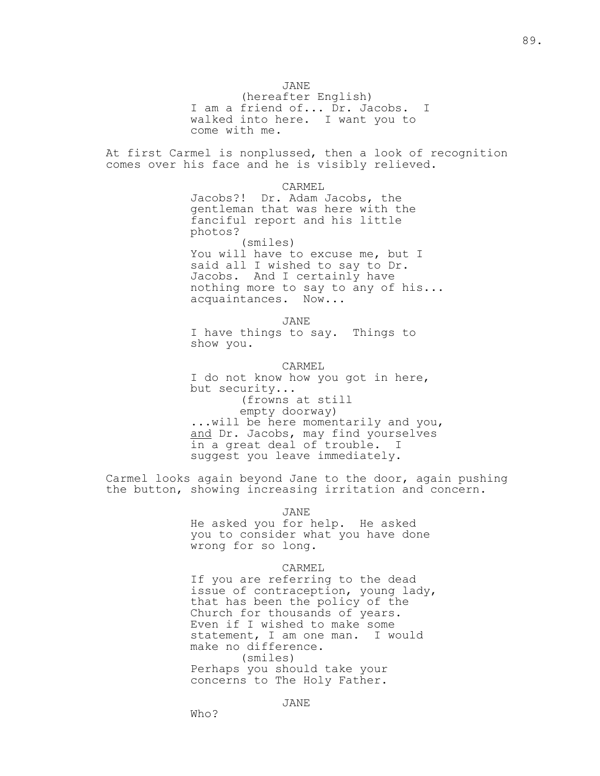JANE

 (hereafter English) I am a friend of... Dr. Jacobs. I walked into here. I want you to come with me.

At first Carmel is nonplussed, then a look of recognition comes over his face and he is visibly relieved.

> CARMEL Jacobs?! Dr. Adam Jacobs, the gentleman that was here with the fanciful report and his little photos? (smiles) You will have to excuse me, but I

 said all I wished to say to Dr. Jacobs. And I certainly have nothing more to say to any of his... acquaintances. Now...

 JANE I have things to say. Things to show you.

> CARMEL I do not know how you got in here, but security... (frowns at still empty doorway) ...will be here momentarily and you, and Dr. Jacobs, may find yourselves in a great deal of trouble. I suggest you leave immediately.

Carmel looks again beyond Jane to the door, again pushing the button, showing increasing irritation and concern.

JANE

 He asked you for help. He asked you to consider what you have done wrong for so long.

### CARMEL

 If you are referring to the dead issue of contraception, young lady, that has been the policy of the Church for thousands of years. Even if I wished to make some statement, I am one man. I would make no difference. (smiles) Perhaps you should take your concerns to The Holy Father.

Who?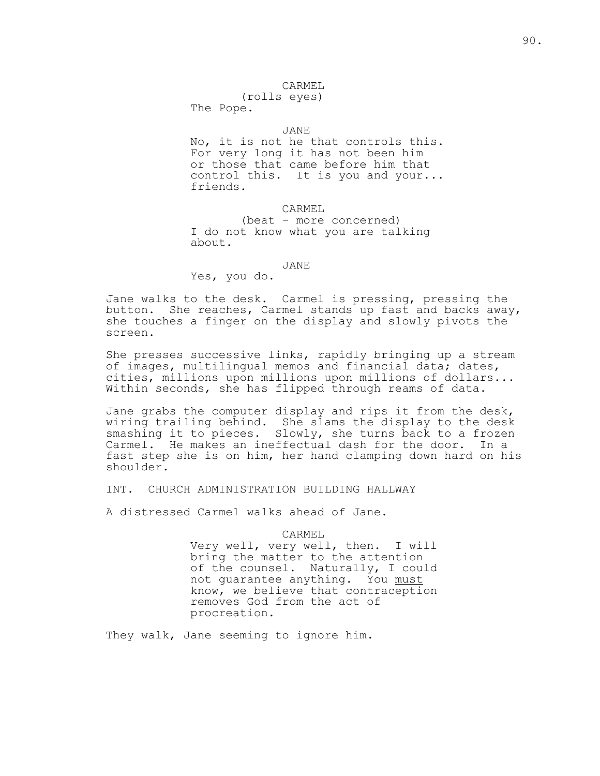### CARMEL

(rolls eyes)

The Pope.

## JANE

 No, it is not he that controls this. For very long it has not been him or those that came before him that control this. It is you and your... friends.

CARMEL

 (beat - more concerned) I do not know what you are talking about.

# JANE

Yes, you do.

Jane walks to the desk. Carmel is pressing, pressing the button. She reaches, Carmel stands up fast and backs away, she touches a finger on the display and slowly pivots the screen.

She presses successive links, rapidly bringing up a stream of images, multilingual memos and financial data; dates, cities, millions upon millions upon millions of dollars... Within seconds, she has flipped through reams of data.

Jane grabs the computer display and rips it from the desk, wiring trailing behind. She slams the display to the desk smashing it to pieces. Slowly, she turns back to a frozen Carmel. He makes an ineffectual dash for the door. In a fast step she is on him, her hand clamping down hard on his shoulder.

INT. CHURCH ADMINISTRATION BUILDING HALLWAY

A distressed Carmel walks ahead of Jane.

CARMEL

 Very well, very well, then. I will bring the matter to the attention of the counsel. Naturally, I could not guarantee anything. You must know, we believe that contraception removes God from the act of procreation.

They walk, Jane seeming to ignore him.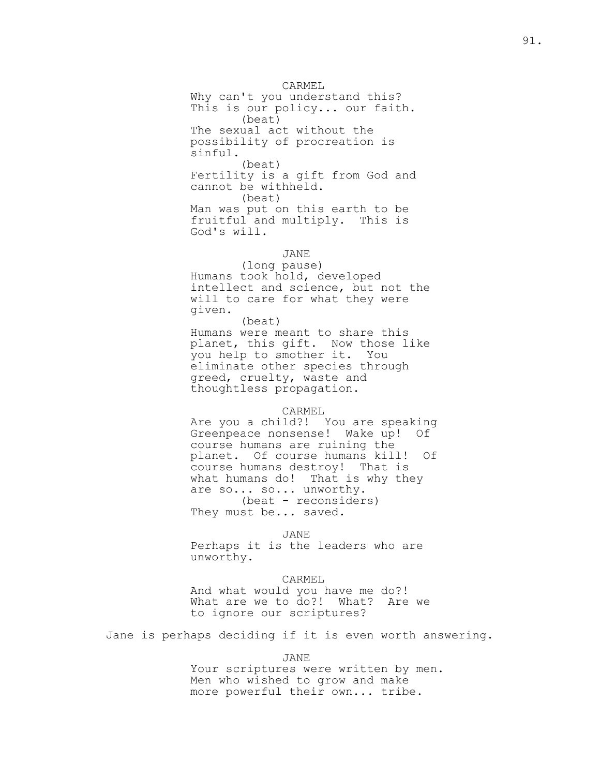CARMEL Why can't you understand this? This is our policy... our faith. (beat) The sexual act without the possibility of procreation is sinful. (beat) Fertility is a gift from God and cannot be withheld. (beat) Man was put on this earth to be fruitful and multiply. This is God's will.

# JANE

 (long pause) Humans took hold, developed intellect and science, but not the will to care for what they were given.

 (beat) Humans were meant to share this planet, this gift. Now those like you help to smother it. You eliminate other species through greed, cruelty, waste and thoughtless propagation.

#### CARMEL

 Are you a child?! You are speaking Greenpeace nonsense! Wake up! Of course humans are ruining the planet. Of course humans kill! Of course humans destroy! That is what humans do! That is why they are so... so... unworthy. (beat - reconsiders) They must be... saved.

# JANE

 Perhaps it is the leaders who are unworthy.

#### CARMEL

 And what would you have me do?! What are we to do?! What? Are we to ignore our scriptures?

Jane is perhaps deciding if it is even worth answering.

JANE

 Your scriptures were written by men. Men who wished to grow and make more powerful their own... tribe.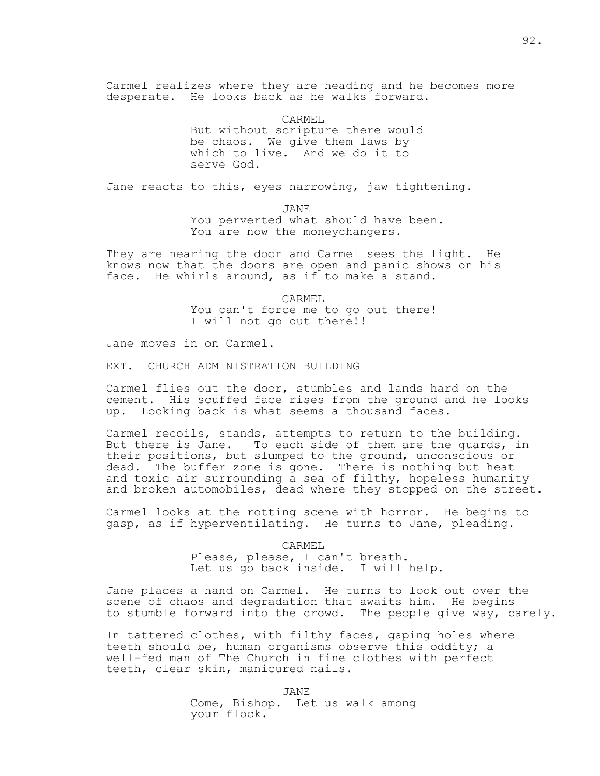Carmel realizes where they are heading and he becomes more desperate. He looks back as he walks forward.

> CARMEL But without scripture there would be chaos. We give them laws by which to live. And we do it to serve God.

Jane reacts to this, eyes narrowing, jaw tightening.

 JANE You perverted what should have been. You are now the moneychangers.

They are nearing the door and Carmel sees the light. He knows now that the doors are open and panic shows on his face. He whirls around, as if to make a stand.

> CARMEL You can't force me to go out there! I will not go out there!!

Jane moves in on Carmel.

EXT. CHURCH ADMINISTRATION BUILDING

Carmel flies out the door, stumbles and lands hard on the cement. His scuffed face rises from the ground and he looks up. Looking back is what seems a thousand faces.

Carmel recoils, stands, attempts to return to the building. But there is Jane. To each side of them are the guards, in their positions, but slumped to the ground, unconscious or dead. The buffer zone is gone. There is nothing but heat and toxic air surrounding a sea of filthy, hopeless humanity and broken automobiles, dead where they stopped on the street.

Carmel looks at the rotting scene with horror. He begins to gasp, as if hyperventilating. He turns to Jane, pleading.

> CARMEL Please, please, I can't breath. Let us go back inside. I will help.

Jane places a hand on Carmel. He turns to look out over the scene of chaos and degradation that awaits him. He begins to stumble forward into the crowd. The people give way, barely.

In tattered clothes, with filthy faces, gaping holes where teeth should be, human organisms observe this oddity; a well-fed man of The Church in fine clothes with perfect teeth, clear skin, manicured nails.

> JANE Come, Bishop. Let us walk among your flock.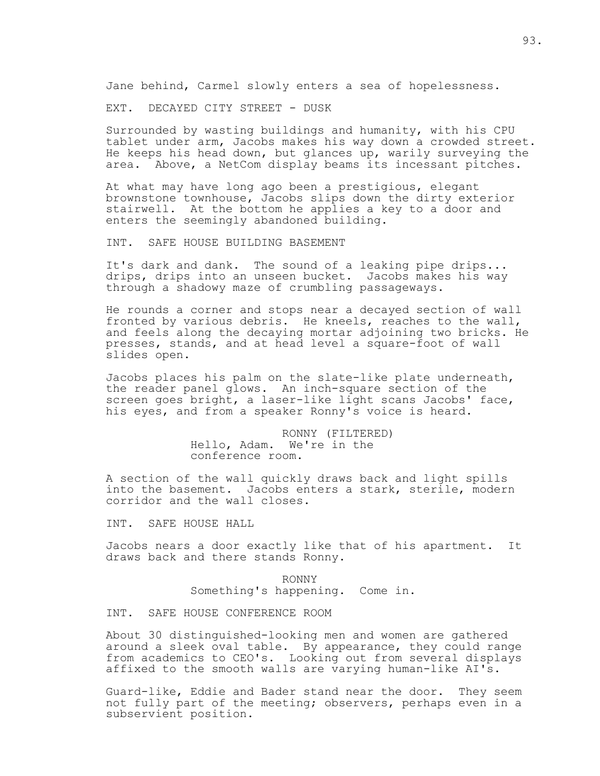Jane behind, Carmel slowly enters a sea of hopelessness.

EXT. DECAYED CITY STREET - DUSK

Surrounded by wasting buildings and humanity, with his CPU tablet under arm, Jacobs makes his way down a crowded street. He keeps his head down, but glances up, warily surveying the area. Above, a NetCom display beams its incessant pitches.

At what may have long ago been a prestigious, elegant brownstone townhouse, Jacobs slips down the dirty exterior stairwell. At the bottom he applies a key to a door and enters the seemingly abandoned building.

INT. SAFE HOUSE BUILDING BASEMENT

It's dark and dank. The sound of a leaking pipe drips... drips, drips into an unseen bucket. Jacobs makes his way through a shadowy maze of crumbling passageways.

He rounds a corner and stops near a decayed section of wall fronted by various debris. He kneels, reaches to the wall, and feels along the decaying mortar adjoining two bricks. He presses, stands, and at head level a square-foot of wall slides open.

Jacobs places his palm on the slate-like plate underneath, the reader panel glows. An inch-square section of the screen goes bright, a laser-like light scans Jacobs' face, his eyes, and from a speaker Ronny's voice is heard.

> RONNY (FILTERED) Hello, Adam. We're in the conference room.

A section of the wall quickly draws back and light spills into the basement. Jacobs enters a stark, sterile, modern corridor and the wall closes.

INT. SAFE HOUSE HALL

Jacobs nears a door exactly like that of his apartment. It draws back and there stands Ronny.

> RONNY Something's happening. Come in.

INT. SAFE HOUSE CONFERENCE ROOM

About 30 distinguished-looking men and women are gathered around a sleek oval table. By appearance, they could range from academics to CEO's. Looking out from several displays affixed to the smooth walls are varying human-like AI's.

Guard-like, Eddie and Bader stand near the door. They seem not fully part of the meeting; observers, perhaps even in a subservient position.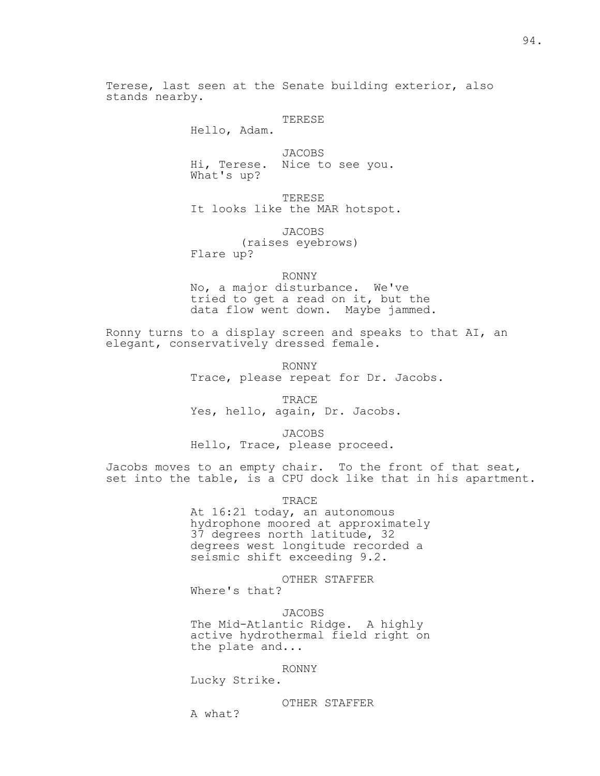Terese, last seen at the Senate building exterior, also stands nearby.

## TERESE

Hello, Adam.

 JACOBS Hi, Terese. Nice to see you. What's up?

 TERESE It looks like the MAR hotspot.

 JACOBS (raises eyebrows) Flare up?

 RONNY No, a major disturbance. We've tried to get a read on it, but the data flow went down. Maybe jammed.

Ronny turns to a display screen and speaks to that AI, an elegant, conservatively dressed female.

> RONNY Trace, please repeat for Dr. Jacobs.

 TRACE Yes, hello, again, Dr. Jacobs.

JACOBS

Hello, Trace, please proceed.

Jacobs moves to an empty chair. To the front of that seat, set into the table, is a CPU dock like that in his apartment.

TRACE

 At 16:21 today, an autonomous hydrophone moored at approximately 37 degrees north latitude, 32 degrees west longitude recorded a seismic shift exceeding 9.2.

 OTHER STAFFER Where's that?

 JACOBS The Mid-Atlantic Ridge. A highly active hydrothermal field right on the plate and...

RONNY

Lucky Strike.

OTHER STAFFER

A what?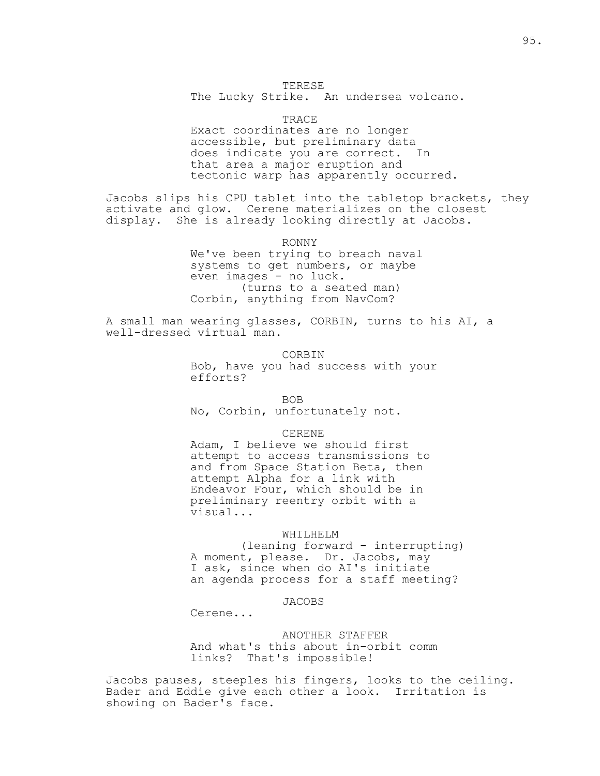# TERESE

The Lucky Strike. An undersea volcano.

TRACE

 Exact coordinates are no longer accessible, but preliminary data does indicate you are correct. In that area a major eruption and tectonic warp has apparently occurred.

Jacobs slips his CPU tablet into the tabletop brackets, they activate and glow. Cerene materializes on the closest display. She is already looking directly at Jacobs.

RONNY

 We've been trying to breach naval systems to get numbers, or maybe even images - no luck. (turns to a seated man) Corbin, anything from NavCom?

A small man wearing glasses, CORBIN, turns to his AI, a well-dressed virtual man.

> CORBIN Bob, have you had success with your efforts?

<u>BOB</u> BOB

No, Corbin, unfortunately not.

CERENE

 Adam, I believe we should first attempt to access transmissions to and from Space Station Beta, then attempt Alpha for a link with Endeavor Four, which should be in preliminary reentry orbit with a visual...

#### WHILHELM

 (leaning forward - interrupting) A moment, please. Dr. Jacobs, may I ask, since when do AI's initiate an agenda process for a staff meeting?

JACOBS

Cerene...

 ANOTHER STAFFER And what's this about in-orbit comm links? That's impossible!

Jacobs pauses, steeples his fingers, looks to the ceiling. Bader and Eddie give each other a look. Irritation is showing on Bader's face.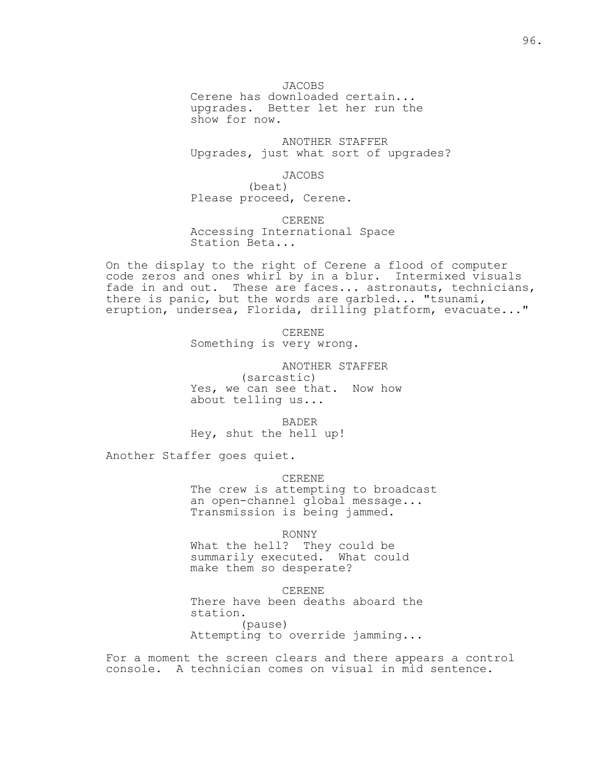JACOBS Cerene has downloaded certain... upgrades. Better let her run the show for now.

 ANOTHER STAFFER Upgrades, just what sort of upgrades?

JACOBS

 (beat) Please proceed, Cerene.

 CERENE Accessing International Space Station Beta...

On the display to the right of Cerene a flood of computer code zeros and ones whirl by in a blur. Intermixed visuals fade in and out. These are faces... astronauts, technicians, there is panic, but the words are garbled... "tsunami, eruption, undersea, Florida, drilling platform, evacuate..."

> CERENE Something is very wrong.

 ANOTHER STAFFER (sarcastic) Yes, we can see that. Now how about telling us...

 BADER Hey, shut the hell up!

Another Staffer goes quiet.

 CERENE The crew is attempting to broadcast an open-channel global message... Transmission is being jammed.

RONNY

 What the hell? They could be summarily executed. What could make them so desperate?

 CERENE There have been deaths aboard the station. (pause) Attempting to override jamming...

For a moment the screen clears and there appears a control console. A technician comes on visual in mid sentence.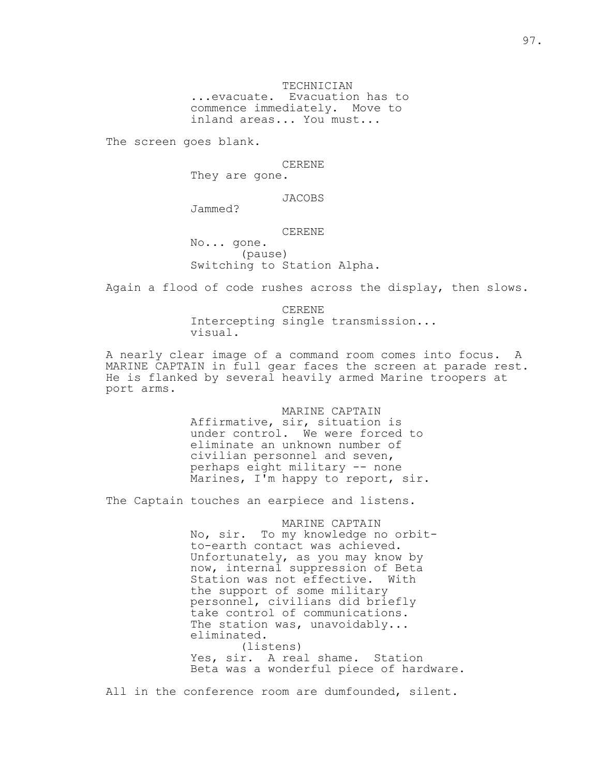TECHNICIAN ...evacuate. Evacuation has to commence immediately. Move to inland areas... You must...

The screen goes blank.

CERENE

They are gone.

JACOBS

Jammed?

### CERENE

 No... gone. (pause) Switching to Station Alpha.

Again a flood of code rushes across the display, then slows.

 CERENE Intercepting single transmission... visual.

A nearly clear image of a command room comes into focus. A MARINE CAPTAIN in full gear faces the screen at parade rest. He is flanked by several heavily armed Marine troopers at port arms.

> MARINE CAPTAIN Affirmative, sir, situation is under control. We were forced to eliminate an unknown number of civilian personnel and seven, perhaps eight military -- none Marines, I'm happy to report, sir.

The Captain touches an earpiece and listens.

 MARINE CAPTAIN No, sir. To my knowledge no orbit to-earth contact was achieved. Unfortunately, as you may know by now, internal suppression of Beta Station was not effective. With the support of some military personnel, civilians did briefly take control of communications. The station was, unavoidably... eliminated. (listens) Yes, sir. A real shame. Station

Beta was a wonderful piece of hardware.

All in the conference room are dumfounded, silent.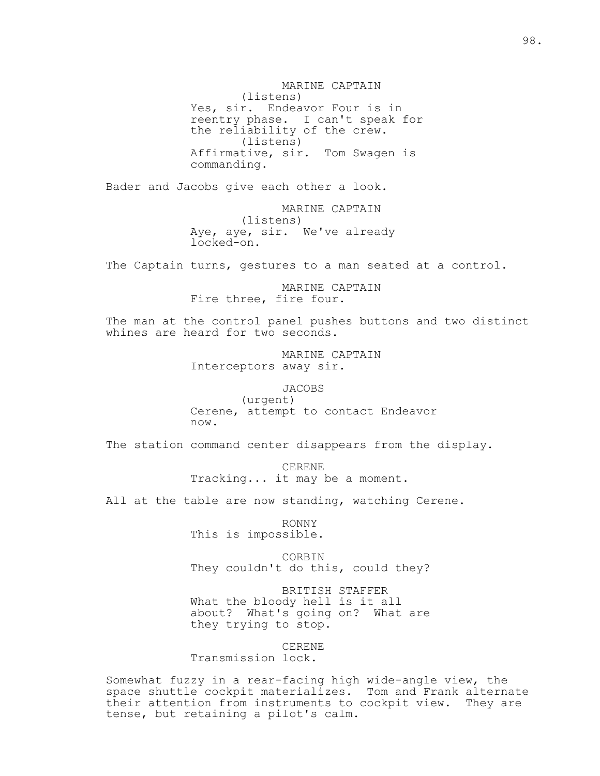MARINE CAPTAIN (listens) Yes, sir. Endeavor Four is in reentry phase. I can't speak for the reliability of the crew. (listens) Affirmative, sir. Tom Swagen is commanding.

Bader and Jacobs give each other a look.

 MARINE CAPTAIN (listens) Aye, aye, sir. We've already locked-on.

The Captain turns, gestures to a man seated at a control.

 MARINE CAPTAIN Fire three, fire four.

The man at the control panel pushes buttons and two distinct whines are heard for two seconds.

> MARINE CAPTAIN Interceptors away sir.

> > JACOBS

 (urgent) Cerene, attempt to contact Endeavor now.

The station command center disappears from the display.

 CERENE Tracking... it may be a moment.

All at the table are now standing, watching Cerene.

 RONNY This is impossible.

 CORBIN They couldn't do this, could they?

 BRITISH STAFFER What the bloody hell is it all about? What's going on? What are they trying to stop.

 CERENE Transmission lock.

Somewhat fuzzy in a rear-facing high wide-angle view, the space shuttle cockpit materializes. Tom and Frank alternate their attention from instruments to cockpit view. They are tense, but retaining a pilot's calm.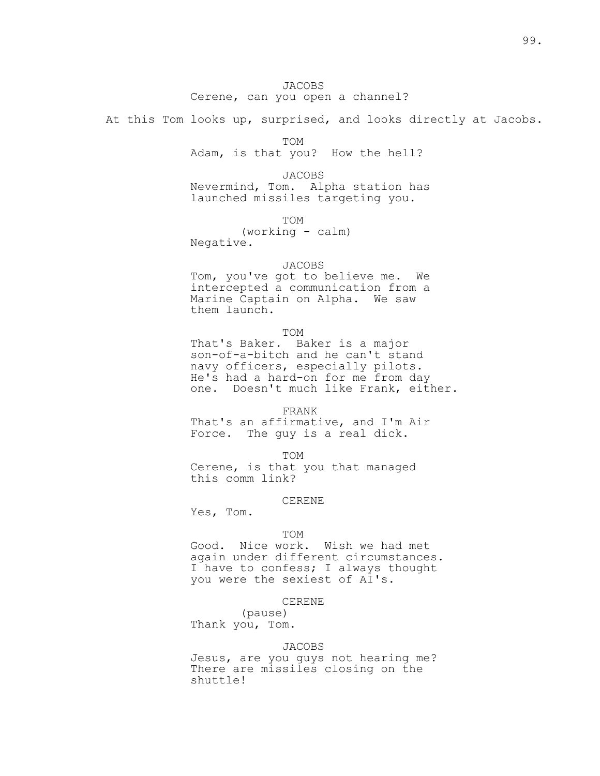# JACOBS Cerene, can you open a channel?

At this Tom looks up, surprised, and looks directly at Jacobs.

TOM

Adam, is that you? How the hell?

 JACOBS Nevermind, Tom. Alpha station has launched missiles targeting you.

TOM

 (working - calm) Negative.

#### JACOBS

 Tom, you've got to believe me. We intercepted a communication from a Marine Captain on Alpha. We saw them launch.

TOM

 That's Baker. Baker is a major son-of-a-bitch and he can't stand navy officers, especially pilots. He's had a hard-on for me from day one. Doesn't much like Frank, either.

FRANK

 That's an affirmative, and I'm Air Force. The guy is a real dick.

TOM

 Cerene, is that you that managed this comm link?

# CERENE

Yes, Tom.

# TOM

 Good. Nice work. Wish we had met again under different circumstances. I have to confess; I always thought you were the sexiest of AI's.

#### CERENE

 (pause) Thank you, Tom.

# JACOBS

 Jesus, are you guys not hearing me? There are missiles closing on the shuttle!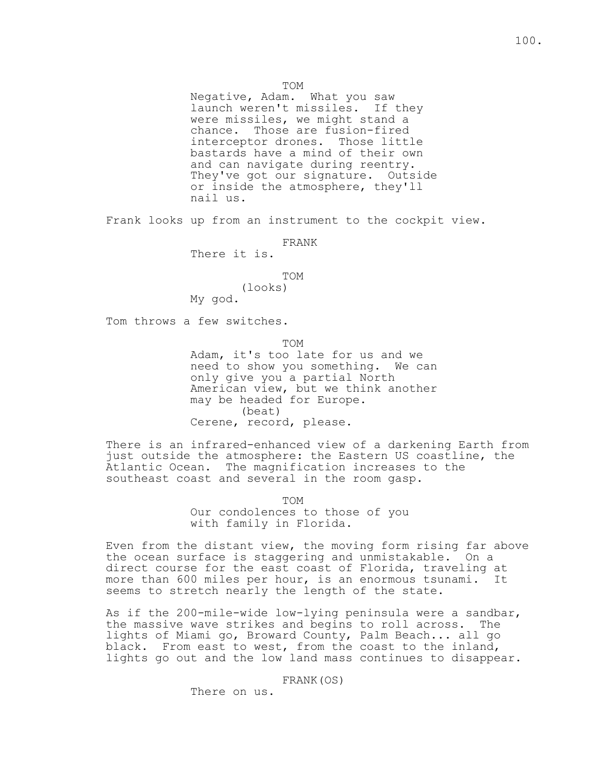TOM

 Negative, Adam. What you saw launch weren't missiles. If they were missiles, we might stand a chance. Those are fusion-fired interceptor drones. Those little bastards have a mind of their own and can navigate during reentry. They've got our signature. Outside or inside the atmosphere, they'll nail us.

Frank looks up from an instrument to the cockpit view.

FRANK

There it is.

TOM

 (looks) My god.

Tom throws a few switches.

TOM

 Adam, it's too late for us and we need to show you something. We can only give you a partial North American view, but we think another may be headed for Europe. (beat) Cerene, record, please.

There is an infrared-enhanced view of a darkening Earth from just outside the atmosphere: the Eastern US coastline, the Atlantic Ocean. The magnification increases to the southeast coast and several in the room gasp.

 TOM Our condolences to those of you with family in Florida.

Even from the distant view, the moving form rising far above the ocean surface is staggering and unmistakable. On a direct course for the east coast of Florida, traveling at more than 600 miles per hour, is an enormous tsunami. It seems to stretch nearly the length of the state.

As if the 200-mile-wide low-lying peninsula were a sandbar, the massive wave strikes and begins to roll across. The lights of Miami go, Broward County, Palm Beach... all go black. From east to west, from the coast to the inland, lights go out and the low land mass continues to disappear.

FRANK(OS)

There on us.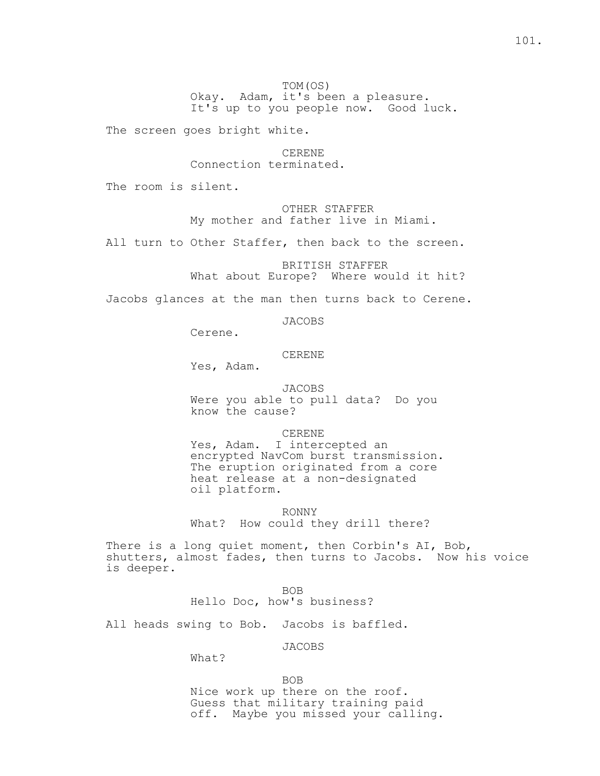# TOM(OS) Okay. Adam, it's been a pleasure. It's up to you people now. Good luck.

The screen goes bright white.

# CERENE Connection terminated.

The room is silent.

 OTHER STAFFER My mother and father live in Miami.

All turn to Other Staffer, then back to the screen.

 BRITISH STAFFER What about Europe? Where would it hit?

Jacobs glances at the man then turns back to Cerene.

JACOBS

Cerene.

CERENE

Yes, Adam.

 JACOBS Were you able to pull data? Do you know the cause?

CERENE

Yes, Adam. I intercepted an encrypted NavCom burst transmission. The eruption originated from a core heat release at a non-designated oil platform.

 RONNY What? How could they drill there?

There is a long quiet moment, then Corbin's AI, Bob, shutters, almost fades, then turns to Jacobs. Now his voice is deeper.

**BOB** Hello Doc, how's business?

All heads swing to Bob. Jacobs is baffled.

JACOBS

What?

**BOB**  Nice work up there on the roof. Guess that military training paid off. Maybe you missed your calling.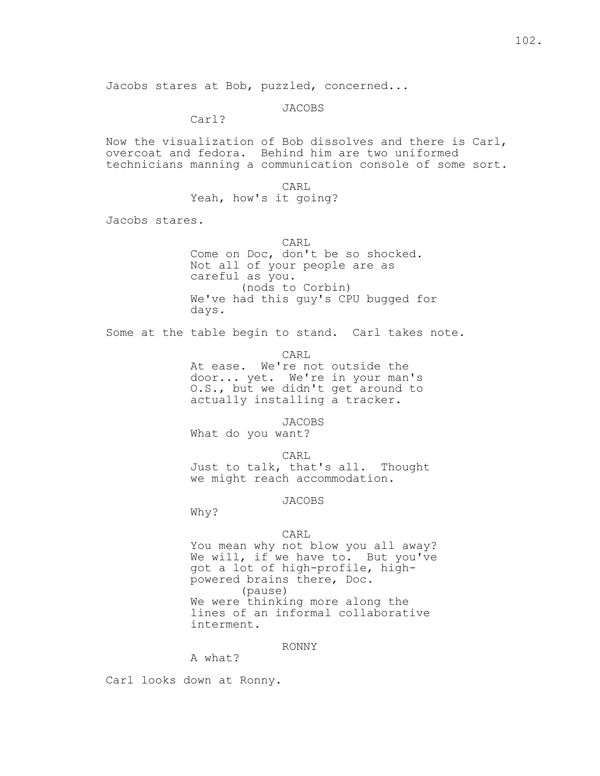Jacobs stares at Bob, puzzled, concerned...

JACOBS

Carl?

Now the visualization of Bob dissolves and there is Carl, overcoat and fedora. Behind him are two uniformed technicians manning a communication console of some sort.

CARL

Yeah, how's it going?

Jacobs stares.

 CARL Come on Doc, don't be so shocked. Not all of your people are as careful as you. (nods to Corbin) We've had this guy's CPU bugged for days.

Some at the table begin to stand. Carl takes note.

CARL

 At ease. We're not outside the door... yet. We're in your man's O.S., but we didn't get around to actually installing a tracker.

JACOBS

What do you want?

 CARL Just to talk, that's all. Thought we might reach accommodation.

JACOBS

Why?

### CARL

 You mean why not blow you all away? We will, if we have to. But you've got a lot of high-profile, high powered brains there, Doc. (pause) We were thinking more along the lines of an informal collaborative interment.

# RONNY

A what?

Carl looks down at Ronny.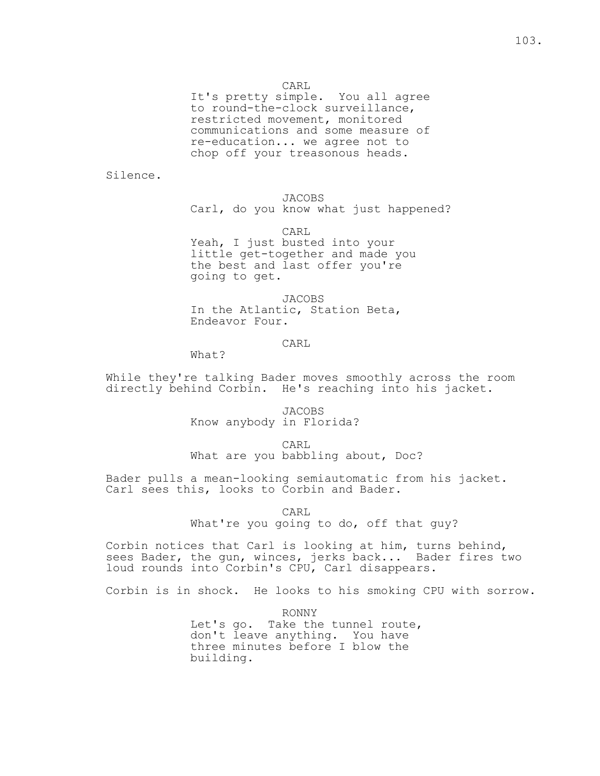CARL

 It's pretty simple. You all agree to round-the-clock surveillance, restricted movement, monitored communications and some measure of re-education... we agree not to chop off your treasonous heads.

Silence.

 JACOBS Carl, do you know what just happened?

CARL

Yeah, I just busted into your little get-together and made you the best and last offer you're going to get.

 JACOBS In the Atlantic, Station Beta, Endeavor Four.

# **CARL**

What?

While they're talking Bader moves smoothly across the room directly behind Corbin. He's reaching into his jacket.

> JACOBS Know anybody in Florida?

**CARL** What are you babbling about, Doc?

Bader pulls a mean-looking semiautomatic from his jacket. Carl sees this, looks to Corbin and Bader.

**CARL** 

What're you going to do, off that guy?

Corbin notices that Carl is looking at him, turns behind, sees Bader, the gun, winces, jerks back... Bader fires two loud rounds into Corbin's CPU, Carl disappears.

Corbin is in shock. He looks to his smoking CPU with sorrow.

 RONNY Let's go. Take the tunnel route, don't leave anything. You have three minutes before I blow the building.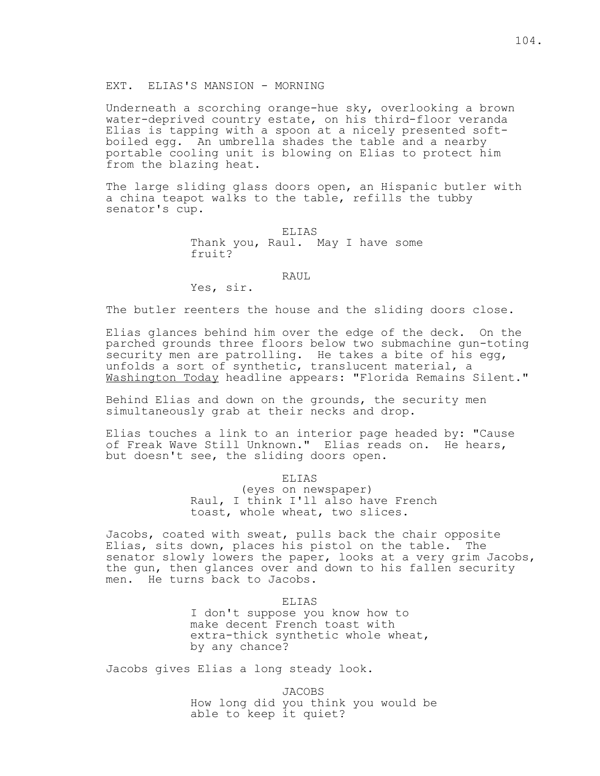EXT. ELIAS'S MANSION - MORNING

Underneath a scorching orange-hue sky, overlooking a brown water-deprived country estate, on his third-floor veranda Elias is tapping with a spoon at a nicely presented softboiled egg. An umbrella shades the table and a nearby portable cooling unit is blowing on Elias to protect him from the blazing heat.

The large sliding glass doors open, an Hispanic butler with a china teapot walks to the table, refills the tubby senator's cup.

> ELIAS Thank you, Raul. May I have some fruit?

### RAUL

Yes, sir.

The butler reenters the house and the sliding doors close.

Elias glances behind him over the edge of the deck. On the parched grounds three floors below two submachine gun-toting security men are patrolling. He takes a bite of his egg, unfolds a sort of synthetic, translucent material, a Washington Today headline appears: "Florida Remains Silent."

Behind Elias and down on the grounds, the security men simultaneously grab at their necks and drop.

Elias touches a link to an interior page headed by: "Cause of Freak Wave Still Unknown." Elias reads on. He hears, but doesn't see, the sliding doors open.

ELIAS

 (eyes on newspaper) Raul, I think I'll also have French toast, whole wheat, two slices.

Jacobs, coated with sweat, pulls back the chair opposite Elias, sits down, places his pistol on the table. The senator slowly lowers the paper, looks at a very grim Jacobs, the gun, then glances over and down to his fallen security men. He turns back to Jacobs.

> ELIAS I don't suppose you know how to make decent French toast with extra-thick synthetic whole wheat, by any chance?

Jacobs gives Elias a long steady look.

 JACOBS How long did you think you would be able to keep it quiet?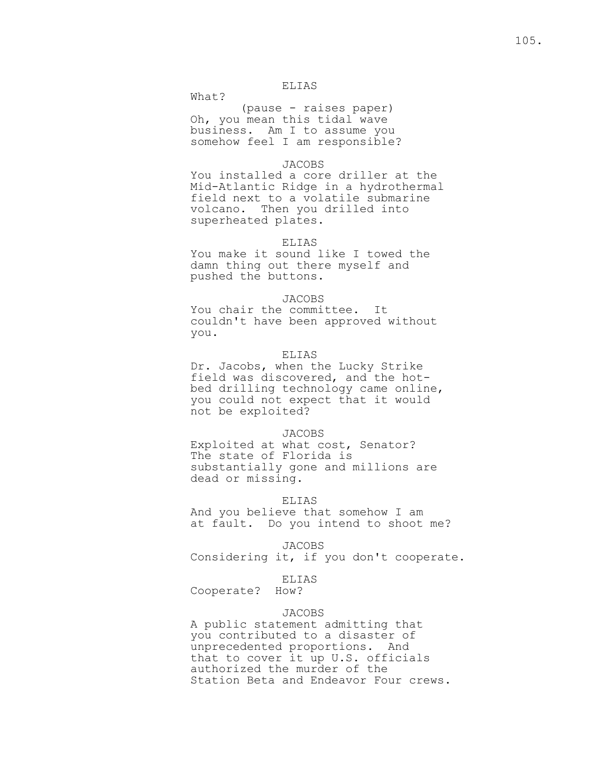## ELIAS

What?

 (pause - raises paper) Oh, you mean this tidal wave business. Am I to assume you somehow feel I am responsible?

### JACOBS

 You installed a core driller at the Mid-Atlantic Ridge in a hydrothermal field next to a volatile submarine volcano. Then you drilled into superheated plates.

### ELIAS

 You make it sound like I towed the damn thing out there myself and pushed the buttons.

# JACOBS

 You chair the committee. It couldn't have been approved without you.

# ELIAS

 Dr. Jacobs, when the Lucky Strike field was discovered, and the hot bed drilling technology came online, you could not expect that it would not be exploited?

#### JACOBS

 Exploited at what cost, Senator? The state of Florida is substantially gone and millions are dead or missing.

# ELIAS

 And you believe that somehow I am at fault. Do you intend to shoot me?

JACOBS

Considering it, if you don't cooperate.

### ELIAS

Cooperate? How?

# JACOBS

 A public statement admitting that you contributed to a disaster of unprecedented proportions. And that to cover it up U.S. officials authorized the murder of the Station Beta and Endeavor Four crews.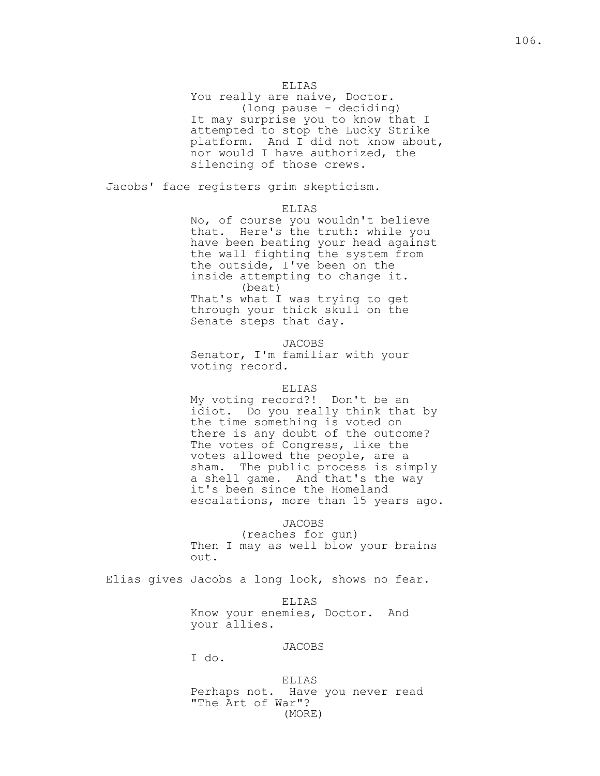# ELIAS

You really are naive, Doctor. (long pause - deciding) It may surprise you to know that I attempted to stop the Lucky Strike platform. And I did not know about, nor would I have authorized, the silencing of those crews.

Jacobs' face registers grim skepticism.

ELIAS

 No, of course you wouldn't believe that. Here's the truth: while you have been beating your head against the wall fighting the system from the outside, I've been on the inside attempting to change it. (beat) That's what I was trying to get through your thick skull on the Senate steps that day.

> JACOBS Senator, I'm familiar with your voting record.

# ELIAS

 My voting record?! Don't be an idiot. Do you really think that by the time something is voted on there is any doubt of the outcome? The votes of Congress, like the votes allowed the people, are a sham. The public process is simply a shell game. And that's the way it's been since the Homeland escalations, more than 15 years ago.

JACOBS

 (reaches for gun) Then I may as well blow your brains out.

Elias gives Jacobs a long look, shows no fear.

 ELIAS Know your enemies, Doctor. And your allies.

JACOBS

I do.

 ELIAS Perhaps not. Have you never read "The Art of War"? (MORE)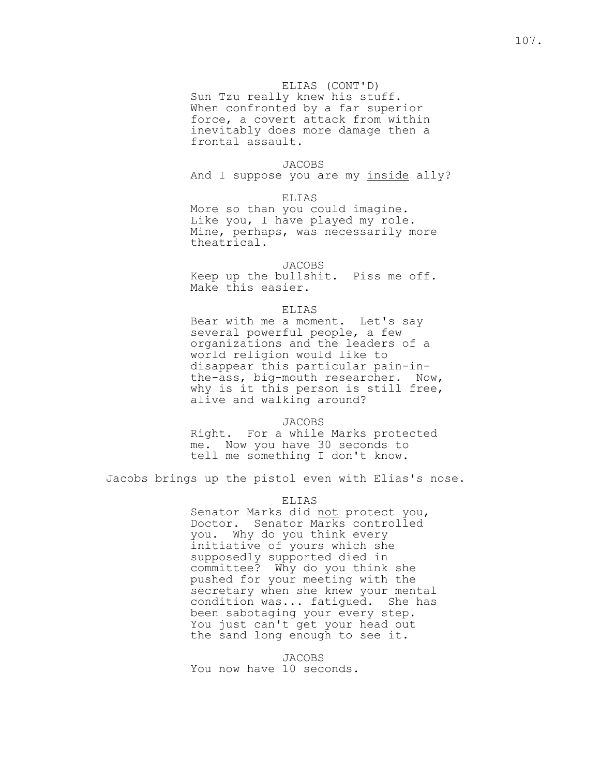# ELIAS (CONT'D)

 Sun Tzu really knew his stuff. When confronted by a far superior force, a covert attack from within inevitably does more damage then a frontal assault.

# JACOBS

And I suppose you are my inside ally?

#### ELIAS

 More so than you could imagine. Like you, I have played my role. Mine, perhaps, was necessarily more theatrical.

### JACOBS

 Keep up the bullshit. Piss me off. Make this easier.

## ELIAS

 Bear with me a moment. Let's say several powerful people, a few organizations and the leaders of a world religion would like to disappear this particular pain-in the-ass, big-mouth researcher. Now, why is it this person is still free, alive and walking around?

### JACOBS

 Right. For a while Marks protected me. Now you have 30 seconds to tell me something I don't know.

Jacobs brings up the pistol even with Elias's nose.

## ELIAS

Senator Marks did not protect you, Doctor. Senator Marks controlled you. Why do you think every initiative of yours which she supposedly supported died in committee? Why do you think she pushed for your meeting with the secretary when she knew your mental condition was... fatigued. She has been sabotaging your every step. You just can't get your head out the sand long enough to see it.

> JACOBS You now have 10 seconds.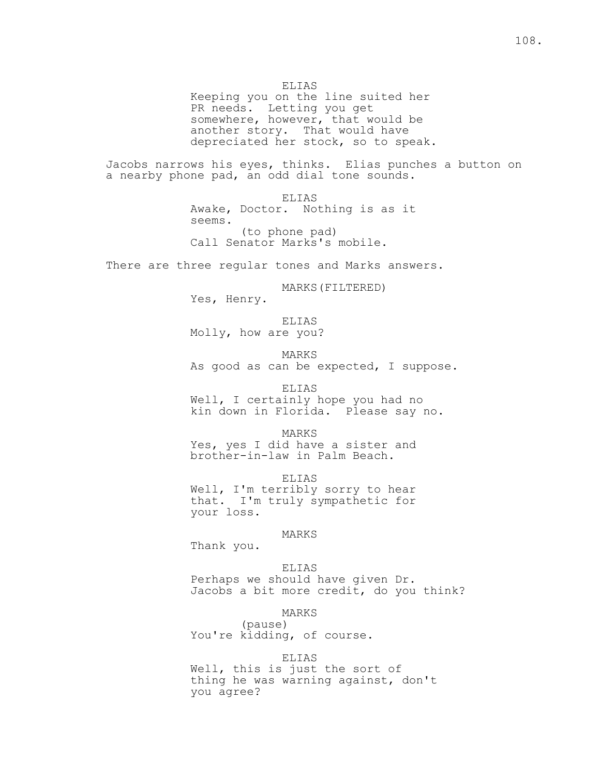Keeping you on the line suited her PR needs. Letting you get somewhere, however, that would be another story. That would have depreciated her stock, so to speak.

Jacobs narrows his eyes, thinks. Elias punches a button on a nearby phone pad, an odd dial tone sounds.

> ELIAS Awake, Doctor. Nothing is as it seems. (to phone pad) Call Senator Marks's mobile.

There are three regular tones and Marks answers.

MARKS(FILTERED)

Yes, Henry.

 ELIAS Molly, how are you?

 MARKS As good as can be expected, I suppose.

ELIAS

 Well, I certainly hope you had no kin down in Florida. Please say no.

MARKS

 Yes, yes I did have a sister and brother-in-law in Palm Beach.

 ELIAS Well, I'm terribly sorry to hear that. I'm truly sympathetic for your loss.

MARKS

Thank you.

 ELIAS Perhaps we should have given Dr. Jacobs a bit more credit, do you think?

MARKS

 (pause) You're kidding, of course.

ELIAS

 Well, this is just the sort of thing he was warning against, don't you agree?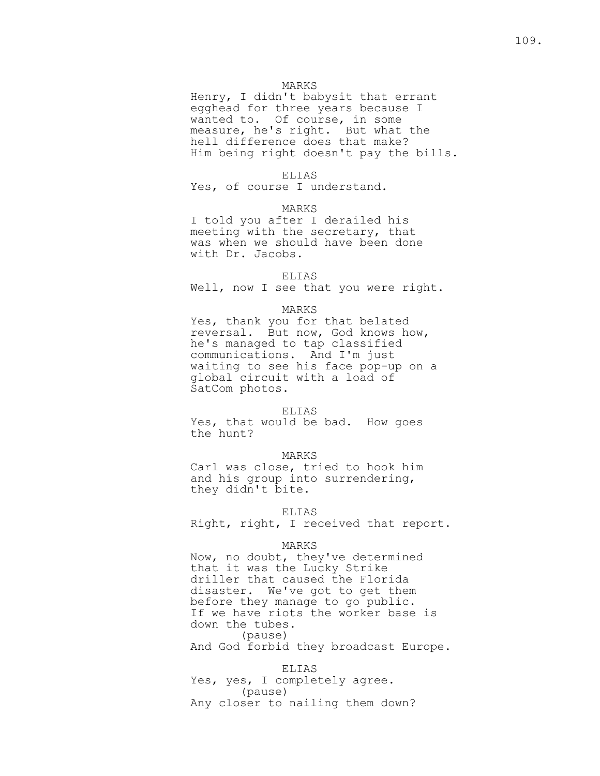### MARKS

 Henry, I didn't babysit that errant egghead for three years because I wanted to. Of course, in some measure, he's right. But what the hell difference does that make? Him being right doesn't pay the bills.

#### ELIAS

Yes, of course I understand.

#### MARKS

 I told you after I derailed his meeting with the secretary, that was when we should have been done with Dr. Jacobs.

### ELIAS

Well, now I see that you were right.

## MARKS

 Yes, thank you for that belated reversal. But now, God knows how, he's managed to tap classified communications. And I'm just waiting to see his face pop-up on a global circuit with a load of SatCom photos.

### ELIAS

 Yes, that would be bad. How goes the hunt?

### MARKS

 Carl was close, tried to hook him and his group into surrendering, they didn't bite.

### ELIAS

Right, right, I received that report.

#### MARKS

 Now, no doubt, they've determined that it was the Lucky Strike driller that caused the Florida disaster. We've got to get them before they manage to go public. If we have riots the worker base is down the tubes. (pause) And God forbid they broadcast Europe.

 ELIAS Yes, yes, I completely agree. (pause) Any closer to nailing them down?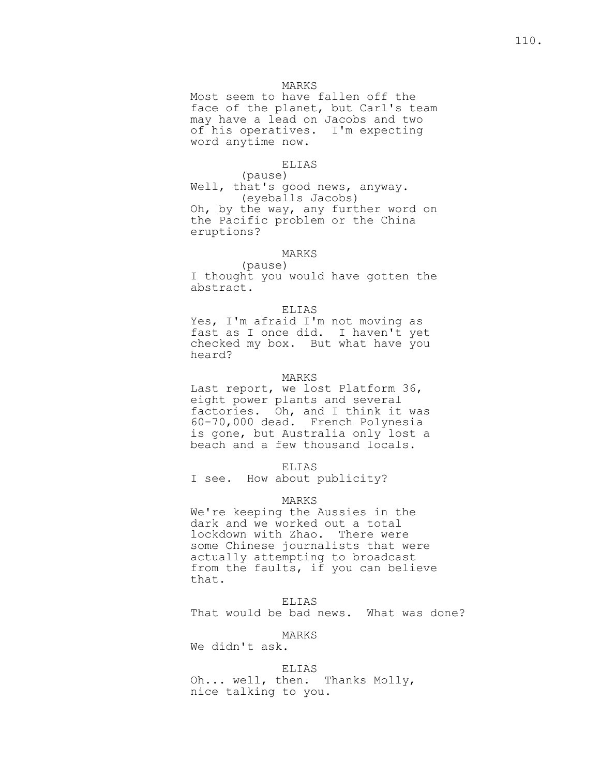# MARKS

 Most seem to have fallen off the face of the planet, but Carl's team may have a lead on Jacobs and two of his operatives. I'm expecting word anytime now.

# ELIAS

 (pause) Well, that's good news, anyway. (eyeballs Jacobs) Oh, by the way, any further word on the Pacific problem or the China eruptions?

# MARKS

 (pause) I thought you would have gotten the abstract.

### ELIAS

 Yes, I'm afraid I'm not moving as fast as I once did. I haven't yet checked my box. But what have you heard?

#### MARKS

 Last report, we lost Platform 36, eight power plants and several factories. Oh, and I think it was 60-70,000 dead. French Polynesia is gone, but Australia only lost a beach and a few thousand locals.

#### ELIAS

I see. How about publicity?

### MARKS

 We're keeping the Aussies in the dark and we worked out a total lockdown with Zhao. There were some Chinese journalists that were actually attempting to broadcast from the faults, if you can believe that.

 ELIAS That would be bad news. What was done?

# MARKS

We didn't ask.

# ELIAS

 Oh... well, then. Thanks Molly, nice talking to you.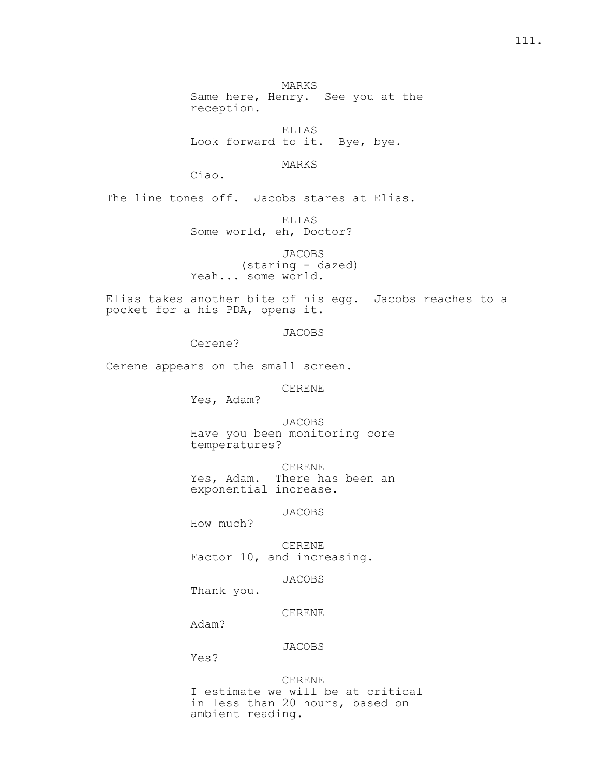111.

 MARKS Same here, Henry. See you at the reception.

 ELIAS Look forward to it. Bye, bye.

MARKS

Ciao.

The line tones off. Jacobs stares at Elias.

 ELIAS Some world, eh, Doctor?

 JACOBS (staring - dazed) Yeah... some world.

Elias takes another bite of his egg. Jacobs reaches to a pocket for a his PDA, opens it.

JACOBS

Cerene?

Cerene appears on the small screen.

CERENE

Yes, Adam?

 JACOBS Have you been monitoring core temperatures?

 CERENE Yes, Adam. There has been an exponential increase.

JACOBS

How much?

 CERENE Factor 10, and increasing.

JACOBS

Thank you.

CERENE

Adam?

JACOBS

Yes?

 CERENE I estimate we will be at critical in less than 20 hours, based on ambient reading.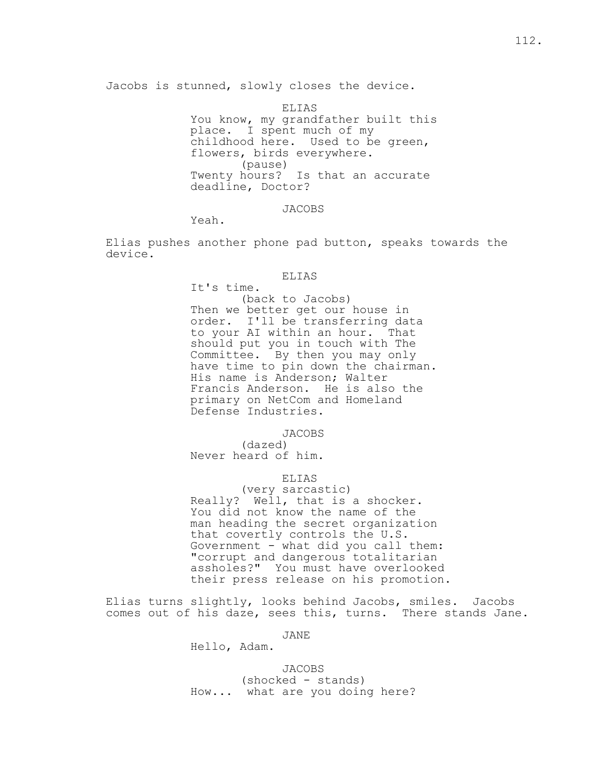Jacobs is stunned, slowly closes the device.

 ELIAS You know, my grandfather built this place. I spent much of my childhood here. Used to be green, flowers, birds everywhere. (pause) Twenty hours? Is that an accurate deadline, Doctor?

JACOBS

Yeah.

Elias pushes another phone pad button, speaks towards the device.

## ELIAS

 It's time. (back to Jacobs) Then we better get our house in order. I'll be transferring data to your AI within an hour. That should put you in touch with The Committee. By then you may only have time to pin down the chairman. His name is Anderson; Walter Francis Anderson. He is also the primary on NetCom and Homeland Defense Industries.

JACOBS

 (dazed) Never heard of him.

ELIAS

 (very sarcastic) Really? Well, that is a shocker. You did not know the name of the man heading the secret organization that covertly controls the U.S. Government - what did you call them: "corrupt and dangerous totalitarian assholes?" You must have overlooked their press release on his promotion.

Elias turns slightly, looks behind Jacobs, smiles. Jacobs comes out of his daze, sees this, turns. There stands Jane.

JANE

Hello, Adam.

 JACOBS (shocked - stands) How... what are you doing here?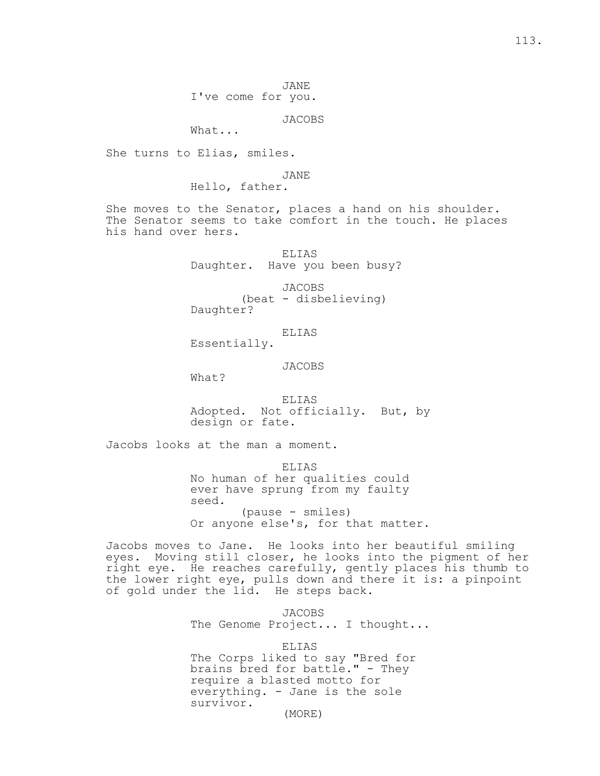JANE I've come for you.

JACOBS

What...

She turns to Elias, smiles.

JANE

Hello, father.

She moves to the Senator, places a hand on his shoulder. The Senator seems to take comfort in the touch. He places his hand over hers.

> ELIAS Daughter. Have you been busy?

 JACOBS (beat - disbelieving) Daughter?

ELIAS

Essentially.

JACOBS

What?

 ELIAS Adopted. Not officially. But, by design or fate.

Jacobs looks at the man a moment.

ELIAS

 No human of her qualities could ever have sprung from my faulty seed. (pause - smiles) Or anyone else's, for that matter.

Jacobs moves to Jane. He looks into her beautiful smiling eyes. Moving still closer, he looks into the pigment of her right eye. He reaches carefully, gently places his thumb to the lower right eye, pulls down and there it is: a pinpoint of gold under the lid. He steps back.

> JACOBS The Genome Project... I thought...

 ELIAS The Corps liked to say "Bred for brains bred for battle." - They require a blasted motto for everything. - Jane is the sole survivor. (MORE)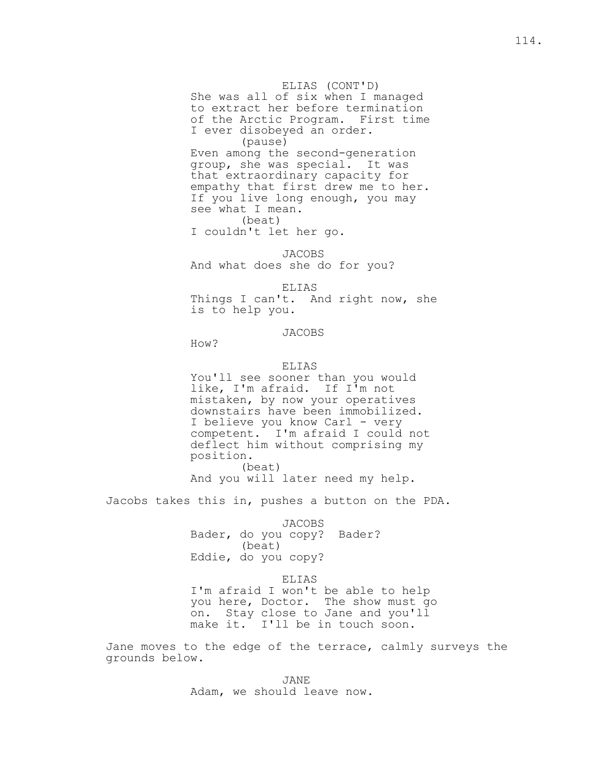## ELIAS (CONT'D)

 She was all of six when I managed to extract her before termination of the Arctic Program. First time I ever disobeyed an order. (pause) Even among the second-generation

 group, she was special. It was that extraordinary capacity for empathy that first drew me to her. If you live long enough, you may see what I mean. (beat)

I couldn't let her go.

 JACOBS And what does she do for you?

 ELIAS Things I can't. And right now, she is to help you.

JACOBS

How?

### ELIAS

 You'll see sooner than you would like, I'm afraid. If I'm not mistaken, by now your operatives downstairs have been immobilized. I believe you know Carl - very competent. I'm afraid I could not deflect him without comprising my position. (beat)

And you will later need my help.

Jacobs takes this in, pushes a button on the PDA.

 JACOBS Bader, do you copy? Bader? (beat) Eddie, do you copy?

ELIAS

 I'm afraid I won't be able to help you here, Doctor. The show must go on. Stay close to Jane and you'll make it. I'll be in touch soon.

Jane moves to the edge of the terrace, calmly surveys the grounds below.

 JANE Adam, we should leave now.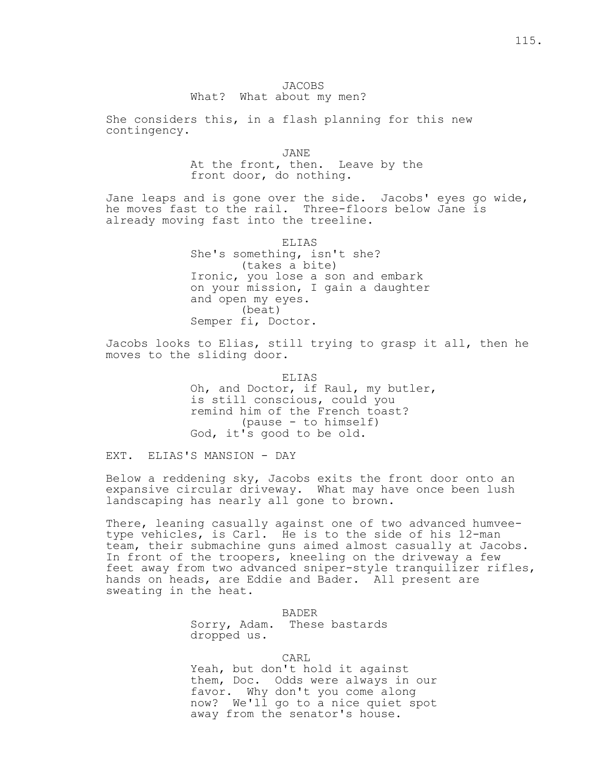# JACOBS What? What about my men?

She considers this, in a flash planning for this new contingency.

 JANE At the front, then. Leave by the front door, do nothing.

Jane leaps and is gone over the side. Jacobs' eyes go wide, he moves fast to the rail. Three-floors below Jane is already moving fast into the treeline.

> ELIAS She's something, isn't she? (takes a bite) Ironic, you lose a son and embark on your mission, I gain a daughter and open my eyes. (beat) Semper fi, Doctor.

Jacobs looks to Elias, still trying to grasp it all, then he moves to the sliding door.

> ELIAS Oh, and Doctor, if Raul, my butler, is still conscious, could you remind him of the French toast? (pause - to himself) God, it's good to be old.

EXT. ELIAS'S MANSION - DAY

Below a reddening sky, Jacobs exits the front door onto an expansive circular driveway. What may have once been lush landscaping has nearly all gone to brown.

There, leaning casually against one of two advanced humveetype vehicles, is Carl. He is to the side of his 12-man team, their submachine guns aimed almost casually at Jacobs. In front of the troopers, kneeling on the driveway a few feet away from two advanced sniper-style tranquilizer rifles, hands on heads, are Eddie and Bader. All present are sweating in the heat.

> BADER Sorry, Adam. These bastards dropped us.

**CARL** 

 Yeah, but don't hold it against them, Doc. Odds were always in our favor. Why don't you come along now? We'll go to a nice quiet spot away from the senator's house.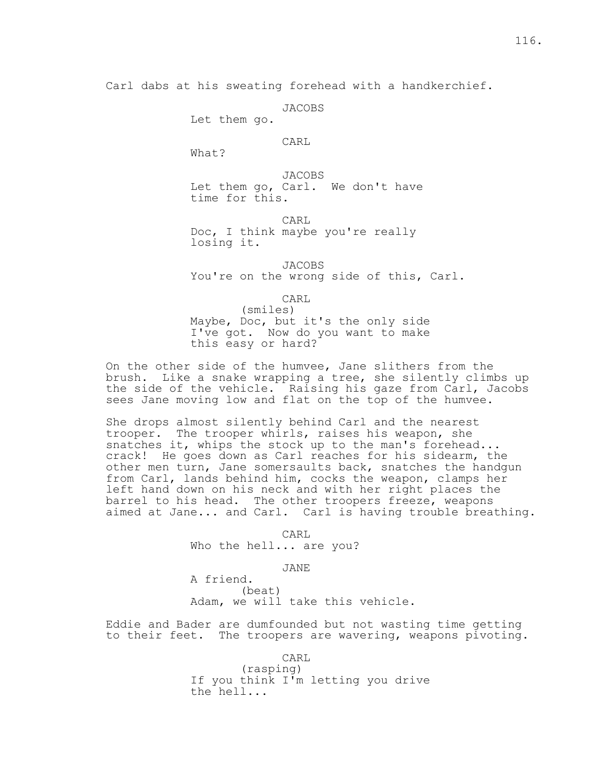Carl dabs at his sweating forehead with a handkerchief.

```
 JACOBS
```
Let them go.

**CARL** 

What?

 JACOBS Let them go, Carl. We don't have time for this.

 CARL Doc, I think maybe you're really losing it.

 JACOBS You're on the wrong side of this, Carl.

**CARL** 

 (smiles) Maybe, Doc, but it's the only side I've got. Now do you want to make this easy or hard?

On the other side of the humvee, Jane slithers from the brush. Like a snake wrapping a tree, she silently climbs up the side of the vehicle. Raising his gaze from Carl, Jacobs sees Jane moving low and flat on the top of the humvee.

She drops almost silently behind Carl and the nearest trooper. The trooper whirls, raises his weapon, she snatches it, whips the stock up to the man's forehead... crack! He goes down as Carl reaches for his sidearm, the other men turn, Jane somersaults back, snatches the handgun from Carl, lands behind him, cocks the weapon, clamps her left hand down on his neck and with her right places the barrel to his head. The other troopers freeze, weapons aimed at Jane... and Carl. Carl is having trouble breathing.

**CARL** Who the hell... are you?

JANE

 A friend. (beat) Adam, we will take this vehicle.

Eddie and Bader are dumfounded but not wasting time getting to their feet. The troopers are wavering, weapons pivoting.

**CARL** 

 (rasping) If you think I'm letting you drive the hell...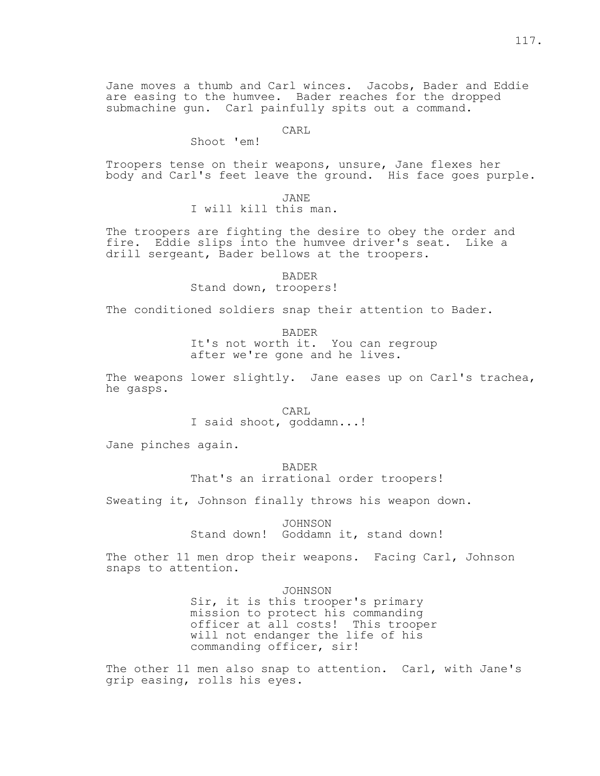Jane moves a thumb and Carl winces. Jacobs, Bader and Eddie are easing to the humvee. Bader reaches for the dropped submachine gun. Carl painfully spits out a command.

CARL

Shoot 'em!

Troopers tense on their weapons, unsure, Jane flexes her body and Carl's feet leave the ground. His face goes purple.

 JANE I will kill this man.

The troopers are fighting the desire to obey the order and fire. Eddie slips into the humvee driver's seat. Like a drill sergeant, Bader bellows at the troopers.

> BADER Stand down, troopers!

The conditioned soldiers snap their attention to Bader.

 BADER It's not worth it. You can regroup after we're gone and he lives.

The weapons lower slightly. Jane eases up on Carl's trachea, he gasps.

**CARL** I said shoot, goddamn...!

Jane pinches again.

 BADER That's an irrational order troopers!

Sweating it, Johnson finally throws his weapon down.

 JOHNSON Stand down! Goddamn it, stand down!

The other 11 men drop their weapons. Facing Carl, Johnson snaps to attention.

JOHNSON

 Sir, it is this trooper's primary mission to protect his commanding officer at all costs! This trooper will not endanger the life of his commanding officer, sir!

The other 11 men also snap to attention. Carl, with Jane's grip easing, rolls his eyes.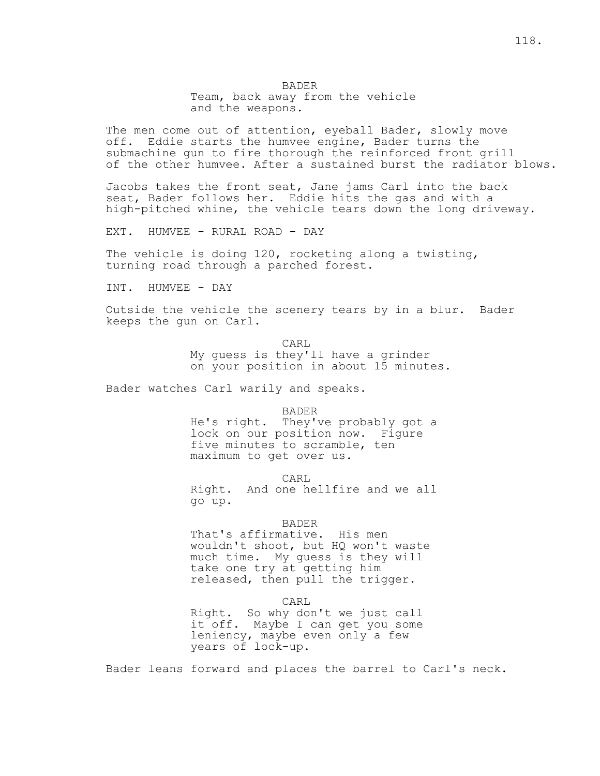BADER Team, back away from the vehicle and the weapons.

The men come out of attention, eyeball Bader, slowly move off. Eddie starts the humvee engine, Bader turns the submachine gun to fire thorough the reinforced front grill of the other humvee. After a sustained burst the radiator blows.

Jacobs takes the front seat, Jane jams Carl into the back seat, Bader follows her. Eddie hits the gas and with a high-pitched whine, the vehicle tears down the long driveway.

EXT. HUMVEE - RURAL ROAD - DAY

The vehicle is doing 120, rocketing along a twisting, turning road through a parched forest.

INT. HUMVEE - DAY

Outside the vehicle the scenery tears by in a blur. Bader keeps the gun on Carl.

**CARL**  My guess is they'll have a grinder on your position in about 15 minutes.

Bader watches Carl warily and speaks.

 BADER He's right. They've probably got a lock on our position now. Figure five minutes to scramble, ten maximum to get over us.

**CARL** 

 Right. And one hellfire and we all go up.

# BADER

 That's affirmative. His men wouldn't shoot, but HQ won't waste much time. My guess is they will take one try at getting him released, then pull the trigger.

**CARL** 

 Right. So why don't we just call it off. Maybe I can get you some leniency, maybe even only a few years of lock-up.

Bader leans forward and places the barrel to Carl's neck.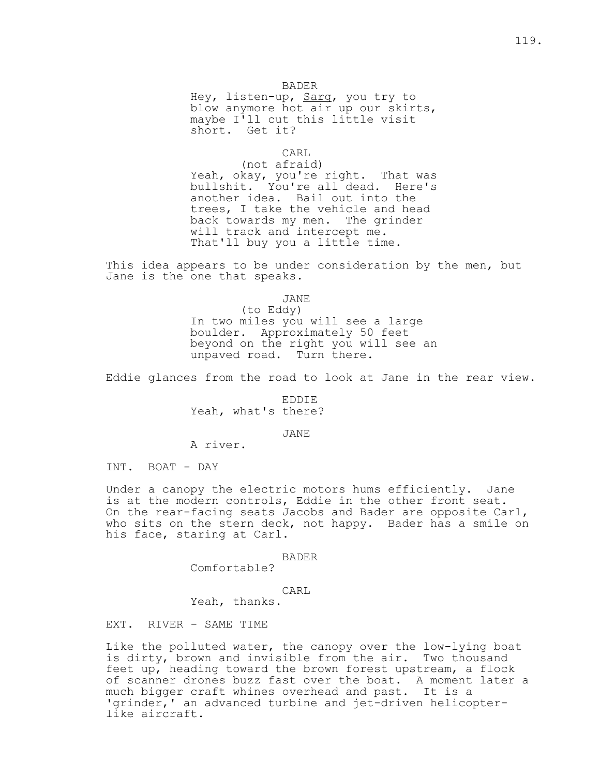# BADER

Hey, listen-up, Sarg, you try to blow anymore hot air up our skirts, maybe I'll cut this little visit short. Get it?

# **CARL**

 (not afraid) Yeah, okay, you're right. That was bullshit. You're all dead. Here's another idea. Bail out into the trees, I take the vehicle and head back towards my men. The grinder will track and intercept me. That'll buy you a little time.

This idea appears to be under consideration by the men, but Jane is the one that speaks.

JANE

 (to Eddy) In two miles you will see a large boulder. Approximately 50 feet beyond on the right you will see an unpaved road. Turn there.

Eddie glances from the road to look at Jane in the rear view.

 EDDIE Yeah, what's there?

# JANE

A river.

INT. BOAT - DAY

Under a canopy the electric motors hums efficiently. Jane is at the modern controls, Eddie in the other front seat. On the rear-facing seats Jacobs and Bader are opposite Carl, who sits on the stern deck, not happy. Bader has a smile on his face, staring at Carl.

BADER

Comfortable?

# **CARL**

Yeah, thanks.

EXT. RIVER - SAME TIME

Like the polluted water, the canopy over the low-lying boat is dirty, brown and invisible from the air. Two thousand feet up, heading toward the brown forest upstream, a flock of scanner drones buzz fast over the boat. A moment later a much bigger craft whines overhead and past. It is a 'grinder,' an advanced turbine and jet-driven helicopterlike aircraft.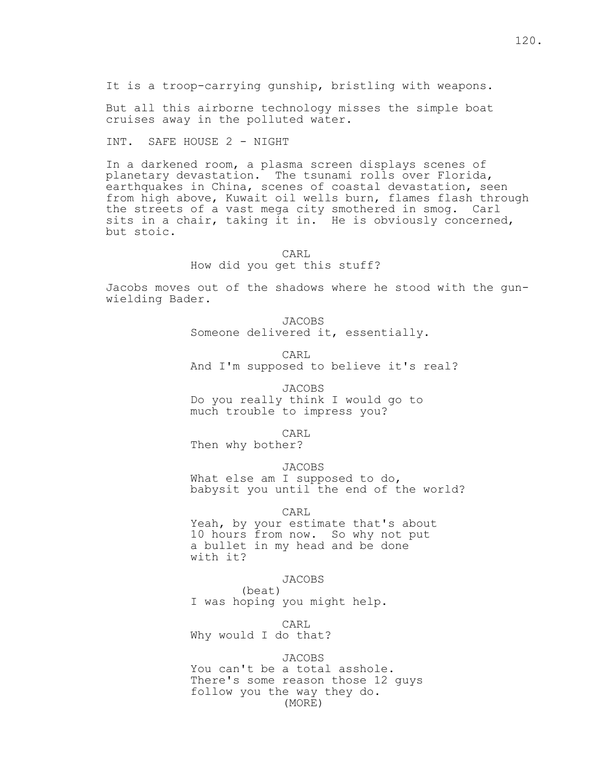But all this airborne technology misses the simple boat cruises away in the polluted water.

INT. SAFE HOUSE 2 - NIGHT

In a darkened room, a plasma screen displays scenes of planetary devastation. The tsunami rolls over Florida, earthquakes in China, scenes of coastal devastation, seen from high above, Kuwait oil wells burn, flames flash through the streets of a vast mega city smothered in smog. Carl sits in a chair, taking it in. He is obviously concerned, but stoic.

> CARL How did you get this stuff?

Jacobs moves out of the shadows where he stood with the gunwielding Bader.

> JACOBS Someone delivered it, essentially.

**CARL** And I'm supposed to believe it's real?

> JACOBS Do you really think I would go to much trouble to impress you?

**CARL** 

Then why bother?

JACOBS

What else am I supposed to do, babysit you until the end of the world?

CARL

 Yeah, by your estimate that's about 10 hours from now. So why not put a bullet in my head and be done with it?

JACOBS

 (beat) I was hoping you might help.

**CARL** 

Why would I do that?

JACOBS

 You can't be a total asshole. There's some reason those 12 guys follow you the way they do. (MORE)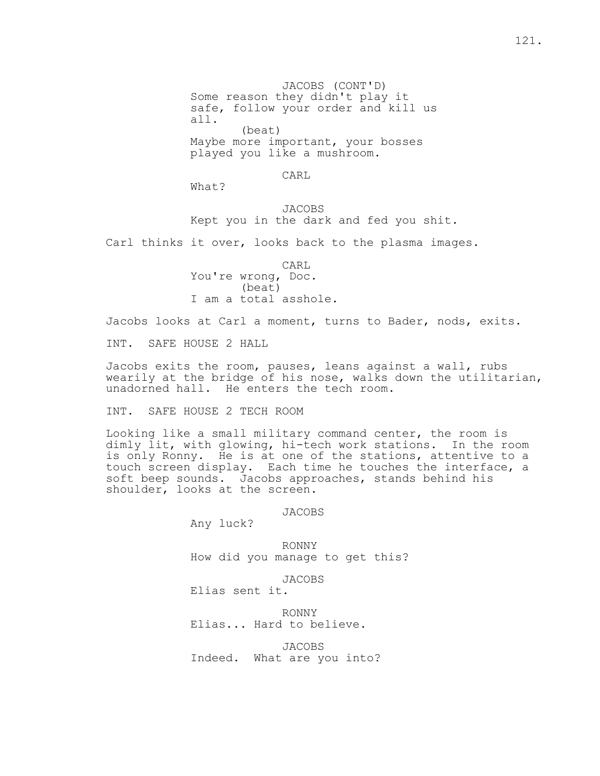JACOBS (CONT'D) Some reason they didn't play it safe, follow your order and kill us all. (beat) Maybe more important, your bosses played you like a mushroom.

**CARL** 

What?

 JACOBS Kept you in the dark and fed you shit.

Carl thinks it over, looks back to the plasma images.

**CARL**  You're wrong, Doc. (beat) I am a total asshole.

Jacobs looks at Carl a moment, turns to Bader, nods, exits.

INT. SAFE HOUSE 2 HALL

Jacobs exits the room, pauses, leans against a wall, rubs wearily at the bridge of his nose, walks down the utilitarian, unadorned hall. He enters the tech room.

INT. SAFE HOUSE 2 TECH ROOM

Looking like a small military command center, the room is dimly lit, with glowing, hi-tech work stations. In the room is only Ronny. He is at one of the stations, attentive to a touch screen display. Each time he touches the interface, a soft beep sounds. Jacobs approaches, stands behind his shoulder, looks at the screen.

JACOBS

Any luck?

 RONNY How did you manage to get this?

JACOBS

Elias sent it.

 RONNY Elias... Hard to believe.

 JACOBS Indeed. What are you into?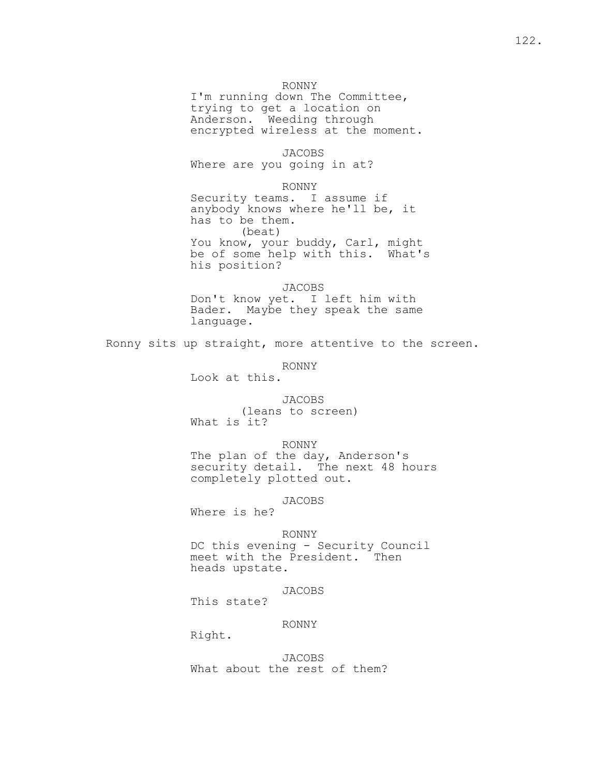# RONNY

 I'm running down The Committee, trying to get a location on Anderson. Weeding through encrypted wireless at the moment.

 JACOBS Where are you going in at?

RONNY

 Security teams. I assume if anybody knows where he'll be, it has to be them. (beat) You know, your buddy, Carl, might be of some help with this. What's his position?

> JACOBS Don't know yet. I left him with Bader. Maybe they speak the same language.

Ronny sits up straight, more attentive to the screen.

RONNY

Look at this.

 JACOBS (leans to screen) What is it?

RONNY

 The plan of the day, Anderson's security detail. The next 48 hours completely plotted out.

JACOBS

Where is he?

RONNY

 DC this evening - Security Council meet with the President. Then heads upstate.

JACOBS

This state?

# RONNY

Right.

 JACOBS What about the rest of them?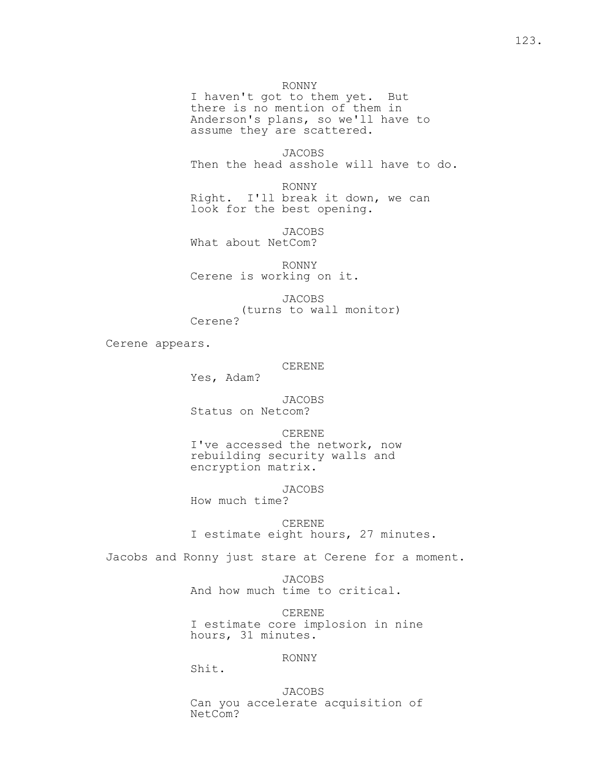I haven't got to them yet. But there is no mention of them in Anderson's plans, so we'll have to assume they are scattered.

 JACOBS Then the head asshole will have to do.

 RONNY Right. I'll break it down, we can look for the best opening.

 JACOBS What about NetCom?

 RONNY Cerene is working on it.

JACOBS

(turns to wall monitor)

Cerene?

Cerene appears.

#### CERENE

Yes, Adam?

 JACOBS Status on Netcom?

 CERENE I've accessed the network, now rebuilding security walls and encryption matrix.

JACOBS

How much time?

 CERENE I estimate eight hours, 27 minutes.

Jacobs and Ronny just stare at Cerene for a moment.

 JACOBS And how much time to critical.

 CERENE I estimate core implosion in nine hours, 31 minutes.

# RONNY

Shit.

 JACOBS Can you accelerate acquisition of NetCom?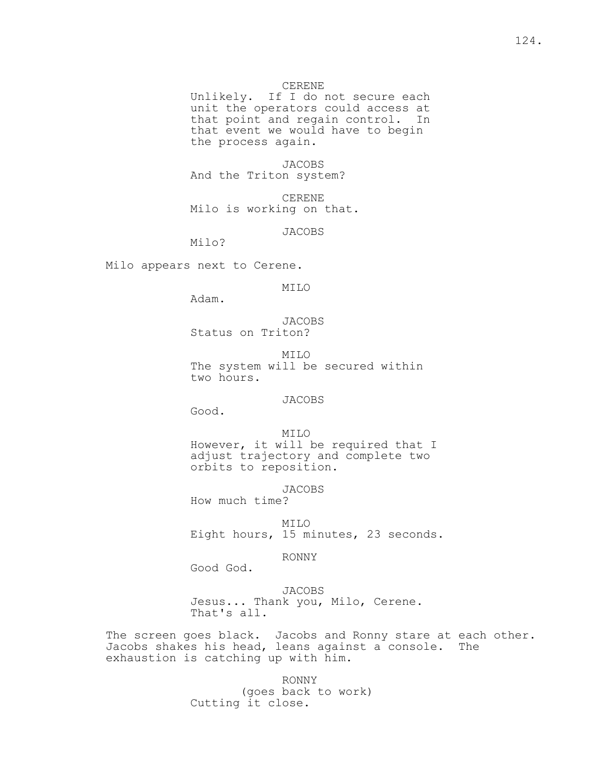## CERENE

 Unlikely. If I do not secure each unit the operators could access at that point and regain control. In that event we would have to begin the process again.

 JACOBS And the Triton system?

 CERENE Milo is working on that.

JACOBS

Milo?

Milo appears next to Cerene.

MILO

Adam.

 JACOBS Status on Triton?

 MILO The system will be secured within two hours.

JACOBS

Good.

 MILO However, it will be required that I adjust trajectory and complete two orbits to reposition.

JACOBS

How much time?

 MILO Eight hours, 15 minutes, 23 seconds.

RONNY

Good God.

## JACOBS

 Jesus... Thank you, Milo, Cerene. That's all.

The screen goes black. Jacobs and Ronny stare at each other. Jacobs shakes his head, leans against a console. The exhaustion is catching up with him.

> RONNY (goes back to work) Cutting it close.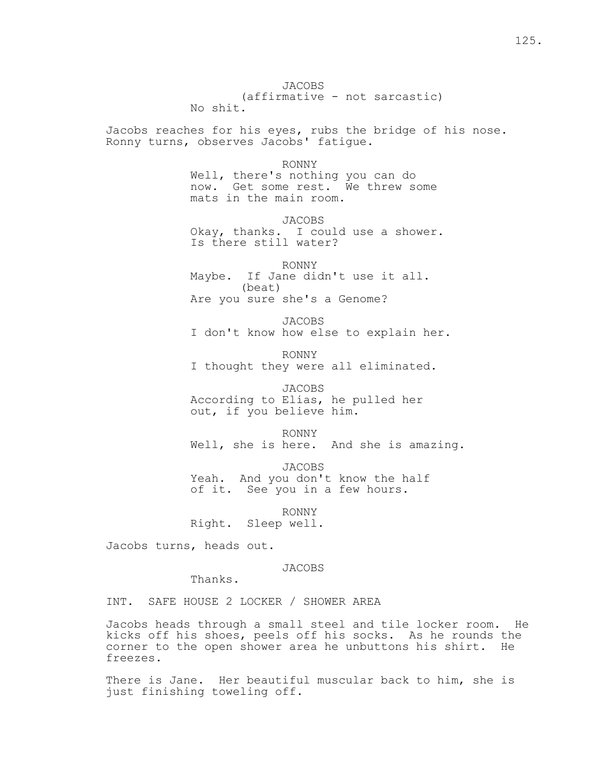JACOBS (affirmative - not sarcastic) No shit. Jacobs reaches for his eyes, rubs the bridge of his nose. Ronny turns, observes Jacobs' fatigue. RONNY Well, there's nothing you can do now. Get some rest. We threw some mats in the main room. JACOBS Okay, thanks. I could use a shower. Is there still water? RONNY Maybe. If Jane didn't use it all. (beat) Are you sure she's a Genome? JACOBS I don't know how else to explain her. RONNY I thought they were all eliminated. JACOBS According to Elias, he pulled her out, if you believe him. RONNY Well, she is here. And she is amazing. JACOBS Yeah. And you don't know the half of it. See you in a few hours. RONNY Right. Sleep well. Jacobs turns, heads out. JACOBS

Thanks.

INT. SAFE HOUSE 2 LOCKER / SHOWER AREA

Jacobs heads through a small steel and tile locker room. He kicks off his shoes, peels off his socks. As he rounds the corner to the open shower area he unbuttons his shirt. He freezes.

There is Jane. Her beautiful muscular back to him, she is just finishing toweling off.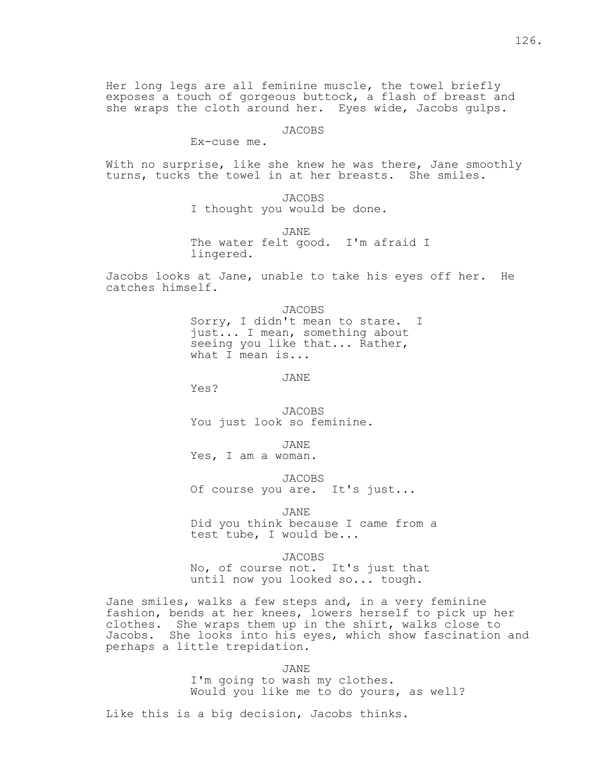# JACOBS

## Ex-cuse me.

With no surprise, like she knew he was there, Jane smoothly turns, tucks the towel in at her breasts. She smiles.

> JACOBS I thought you would be done.

 JANE The water felt good. I'm afraid I lingered.

Jacobs looks at Jane, unable to take his eyes off her. He catches himself.

> JACOBS Sorry, I didn't mean to stare. I just... I mean, something about seeing you like that... Rather, what I mean is...

JANE

Yes?

 JACOBS You just look so feminine.

JANE

Yes, I am a woman.

JACOBS

Of course you are. It's just...

JANE

 Did you think because I came from a test tube, I would be...

JACOBS

 No, of course not. It's just that until now you looked so... tough.

Jane smiles, walks a few steps and, in a very feminine fashion, bends at her knees, lowers herself to pick up her clothes. She wraps them up in the shirt, walks close to Jacobs. She looks into his eyes, which show fascination and perhaps a little trepidation.

JANE

 I'm going to wash my clothes. Would you like me to do yours, as well?

Like this is a big decision, Jacobs thinks.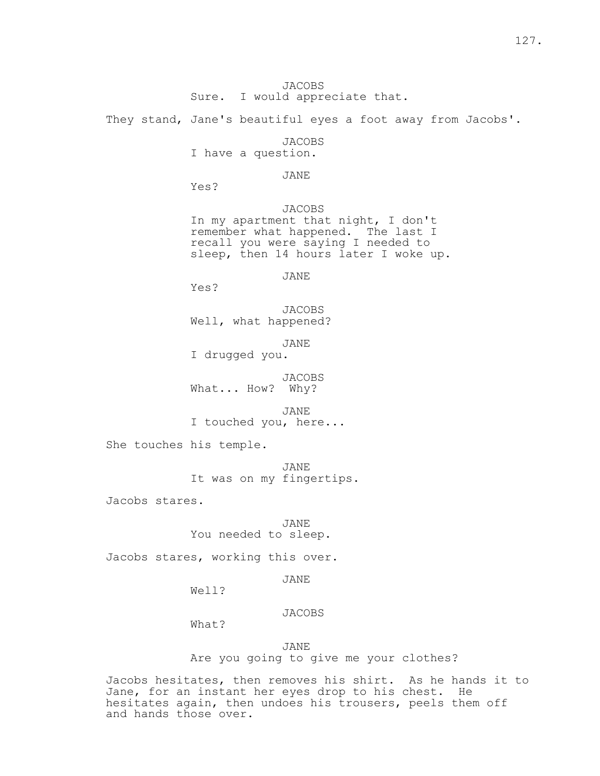They stand, Jane's beautiful eyes a foot away from Jacobs'.

JACOBS

I have a question.

### JANE

Yes?

 JACOBS In my apartment that night, I don't remember what happened. The last I recall you were saying I needed to sleep, then 14 hours later I woke up.

JANE

Yes?

 JACOBS Well, what happened?

JANE

I drugged you.

 JACOBS What... How? Why?

 JANE I touched you, here...

She touches his temple.

 JANE It was on my fingertips.

Jacobs stares.

 JANE You needed to sleep.

Jacobs stares, working this over.

JANE

Well?

JACOBS

What?

JANE

Are you going to give me your clothes?

Jacobs hesitates, then removes his shirt. As he hands it to Jane, for an instant her eyes drop to his chest. He hesitates again, then undoes his trousers, peels them off and hands those over.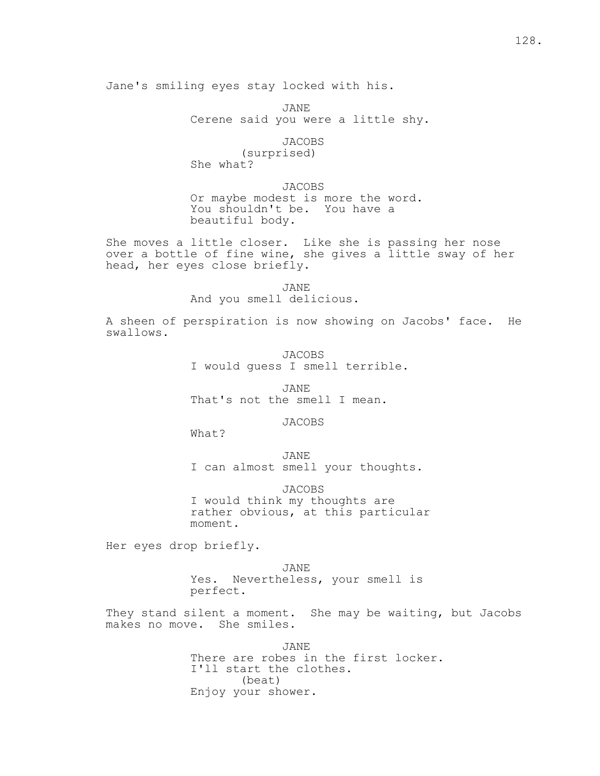JANE Cerene said you were a little shy.

JACOBS

 (surprised) She what?

 JACOBS Or maybe modest is more the word. You shouldn't be. You have a beautiful body.

She moves a little closer. Like she is passing her nose over a bottle of fine wine, she gives a little sway of her head, her eyes close briefly.

> JANE And you smell delicious.

A sheen of perspiration is now showing on Jacobs' face. He swallows.

> JACOBS I would guess I smell terrible.

 JANE That's not the smell I mean.

JACOBS

What?

 JANE I can almost smell your thoughts.

 JACOBS I would think my thoughts are rather obvious, at this particular moment.

Her eyes drop briefly.

 JANE Yes. Nevertheless, your smell is perfect.

They stand silent a moment. She may be waiting, but Jacobs makes no move. She smiles.

> JANE There are robes in the first locker. I'll start the clothes. (beat) Enjoy your shower.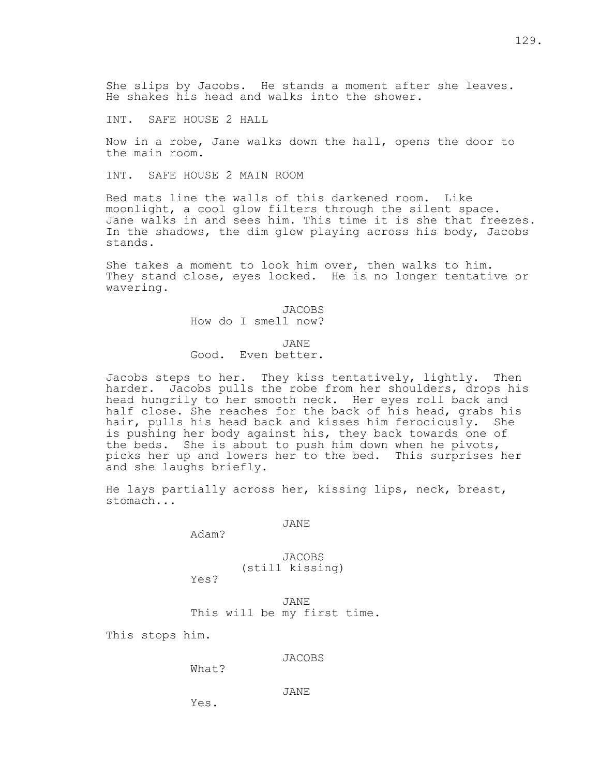She slips by Jacobs. He stands a moment after she leaves. He shakes his head and walks into the shower.

INT. SAFE HOUSE 2 HALL

Now in a robe, Jane walks down the hall, opens the door to the main room.

INT. SAFE HOUSE 2 MAIN ROOM

Bed mats line the walls of this darkened room. Like moonlight, a cool glow filters through the silent space. Jane walks in and sees him. This time it is she that freezes. In the shadows, the dim glow playing across his body, Jacobs stands.

She takes a moment to look him over, then walks to him. They stand close, eyes locked. He is no longer tentative or wavering.

> JACOBS How do I smell now?

 JANE Good. Even better.

Jacobs steps to her. They kiss tentatively, lightly. Then harder. Jacobs pulls the robe from her shoulders, drops his head hungrily to her smooth neck. Her eyes roll back and half close. She reaches for the back of his head, grabs his hair, pulls his head back and kisses him ferociously. She is pushing her body against his, they back towards one of the beds. She is about to push him down when he pivots, picks her up and lowers her to the bed. This surprises her and she laughs briefly.

He lays partially across her, kissing lips, neck, breast, stomach...

JANE

Adam?

 JACOBS (still kissing)

Yes?

 JANE This will be my first time.

This stops him.

JACOBS

What?

JANE

Yes.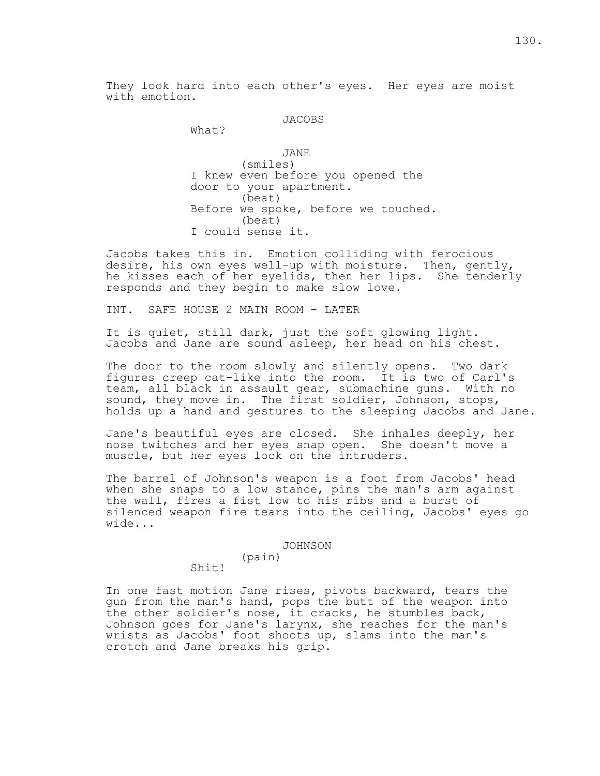They look hard into each other's eyes. Her eyes are moist with emotion.

# JACOBS

What?

 JANE (smiles) I knew even before you opened the door to your apartment. (beat) Before we spoke, before we touched. (beat) I could sense it.

Jacobs takes this in. Emotion colliding with ferocious desire, his own eyes well-up with moisture. Then, gently, he kisses each of her eyelids, then her lips. She tenderly responds and they begin to make slow love.

INT. SAFE HOUSE 2 MAIN ROOM - LATER

It is quiet, still dark, just the soft glowing light. Jacobs and Jane are sound asleep, her head on his chest.

The door to the room slowly and silently opens. Two dark figures creep cat-like into the room. It is two of Carl's team, all black in assault gear, submachine guns. With no sound, they move in. The first soldier, Johnson, stops, holds up a hand and gestures to the sleeping Jacobs and Jane.

Jane's beautiful eyes are closed. She inhales deeply, her nose twitches and her eyes snap open. She doesn't move a muscle, but her eyes lock on the intruders.

The barrel of Johnson's weapon is a foot from Jacobs' head when she snaps to a low stance, pins the man's arm against the wall, fires a fist low to his ribs and a burst of silenced weapon fire tears into the ceiling, Jacobs' eyes go wide...

#### JOHNSON

(pain)

Shit!

In one fast motion Jane rises, pivots backward, tears the gun from the man's hand, pops the butt of the weapon into the other soldier's nose, it cracks, he stumbles back, Johnson goes for Jane's larynx, she reaches for the man's wrists as Jacobs' foot shoots up, slams into the man's crotch and Jane breaks his grip.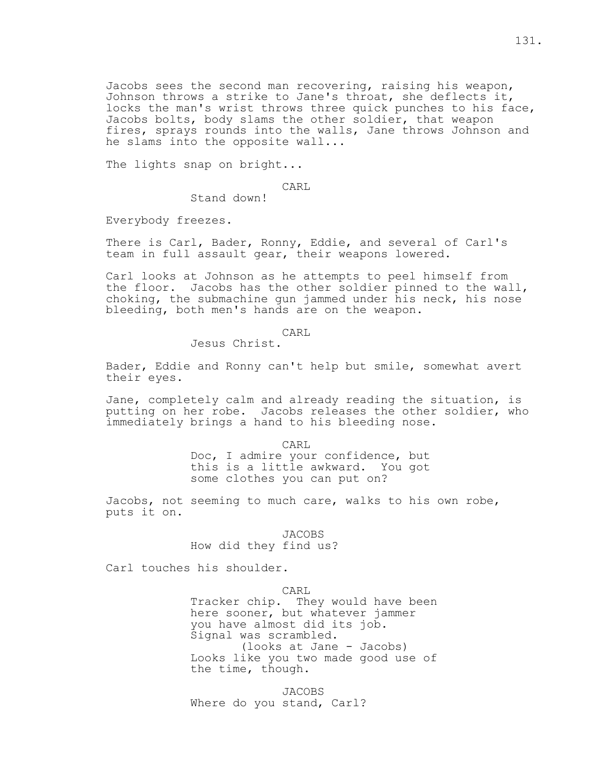Jacobs sees the second man recovering, raising his weapon, Johnson throws a strike to Jane's throat, she deflects it, locks the man's wrist throws three quick punches to his face, Jacobs bolts, body slams the other soldier, that weapon fires, sprays rounds into the walls, Jane throws Johnson and he slams into the opposite wall...

The lights snap on bright...

CARL

Stand down!

Everybody freezes.

There is Carl, Bader, Ronny, Eddie, and several of Carl's team in full assault gear, their weapons lowered.

Carl looks at Johnson as he attempts to peel himself from the floor. Jacobs has the other soldier pinned to the wall, choking, the submachine gun jammed under his neck, his nose bleeding, both men's hands are on the weapon.

CARL

Jesus Christ.

Bader, Eddie and Ronny can't help but smile, somewhat avert their eyes.

Jane, completely calm and already reading the situation, is putting on her robe. Jacobs releases the other soldier, who immediately brings a hand to his bleeding nose.

> CARL Doc, I admire your confidence, but this is a little awkward. You got some clothes you can put on?

Jacobs, not seeming to much care, walks to his own robe, puts it on.

JACOBS

How did they find us?

Carl touches his shoulder.

CARL

 Tracker chip. They would have been here sooner, but whatever jammer you have almost did its job. Signal was scrambled. (looks at Jane - Jacobs) Looks like you two made good use of the time, though.

 JACOBS Where do you stand, Carl?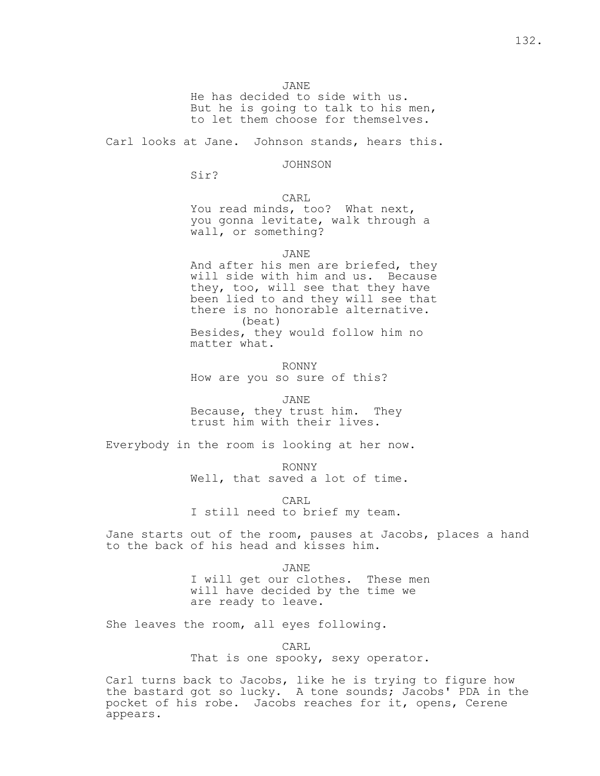JANE

 He has decided to side with us. But he is going to talk to his men, to let them choose for themselves.

Carl looks at Jane. Johnson stands, hears this.

JOHNSON

Sir?

CARL

 You read minds, too? What next, you gonna levitate, walk through a wall, or something?

JANE

 And after his men are briefed, they will side with him and us. Because they, too, will see that they have been lied to and they will see that there is no honorable alternative. (beat) Besides, they would follow him no matter what.

 RONNY How are you so sure of this?

 JANE Because, they trust him. They trust him with their lives.

Everybody in the room is looking at her now.

 RONNY Well, that saved a lot of time.

 CARL I still need to brief my team.

Jane starts out of the room, pauses at Jacobs, places a hand to the back of his head and kisses him.

 JANE I will get our clothes. These men will have decided by the time we are ready to leave.

She leaves the room, all eyes following.

CARL

That is one spooky, sexy operator.

Carl turns back to Jacobs, like he is trying to figure how the bastard got so lucky. A tone sounds; Jacobs' PDA in the pocket of his robe. Jacobs reaches for it, opens, Cerene appears.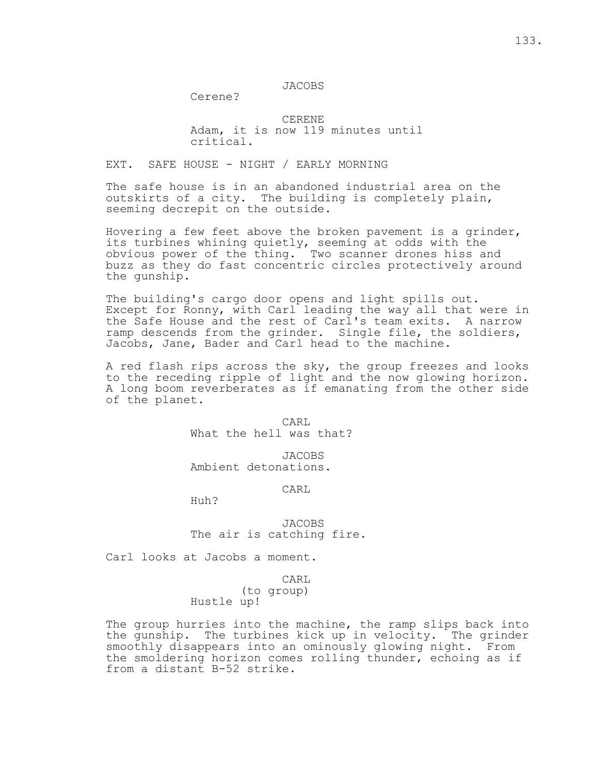Cerene?

 CERENE Adam, it is now 119 minutes until critical.

# EXT. SAFE HOUSE - NIGHT / EARLY MORNING

The safe house is in an abandoned industrial area on the outskirts of a city. The building is completely plain, seeming decrepit on the outside.

Hovering a few feet above the broken pavement is a grinder, its turbines whining quietly, seeming at odds with the obvious power of the thing. Two scanner drones hiss and buzz as they do fast concentric circles protectively around the gunship.

The building's cargo door opens and light spills out. Except for Ronny, with Carl leading the way all that were in the Safe House and the rest of Carl's team exits. A narrow ramp descends from the grinder. Single file, the soldiers, Jacobs, Jane, Bader and Carl head to the machine.

A red flash rips across the sky, the group freezes and looks to the receding ripple of light and the now glowing horizon. A long boom reverberates as if emanating from the other side of the planet.

**CARL** What the hell was that?

> JACOBS Ambient detonations.

> > CARL

Huh?

 JACOBS The air is catching fire.

Carl looks at Jacobs a moment.

CARL

 (to group) Hustle up!

The group hurries into the machine, the ramp slips back into the gunship. The turbines kick up in velocity. The grinder smoothly disappears into an ominously glowing night. From the smoldering horizon comes rolling thunder, echoing as if from a distant B-52 strike.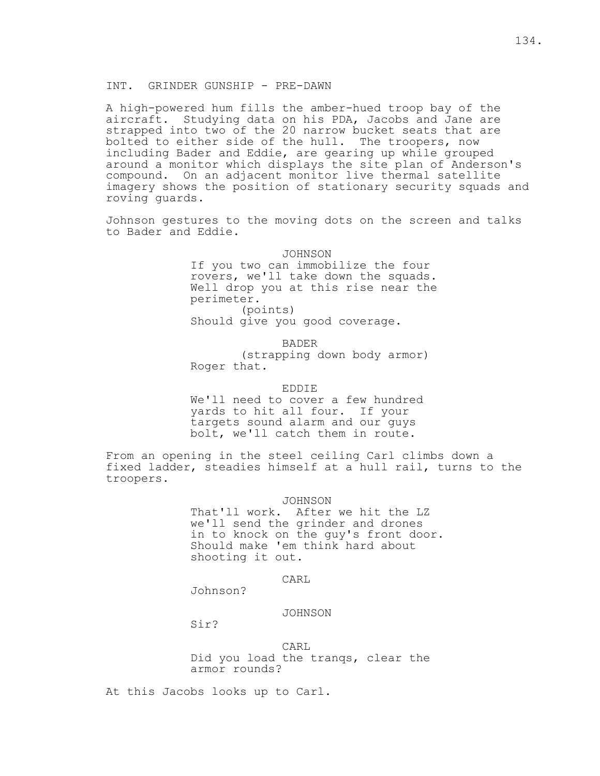# INT. GRINDER GUNSHIP - PRE-DAWN

A high-powered hum fills the amber-hued troop bay of the aircraft. Studying data on his PDA, Jacobs and Jane are strapped into two of the 20 narrow bucket seats that are bolted to either side of the hull. The troopers, now including Bader and Eddie, are gearing up while grouped around a monitor which displays the site plan of Anderson's compound. On an adjacent monitor live thermal satellite imagery shows the position of stationary security squads and roving guards.

Johnson gestures to the moving dots on the screen and talks to Bader and Eddie.

> JOHNSON If you two can immobilize the four rovers, we'll take down the squads. Well drop you at this rise near the perimeter. (points)

Should give you good coverage.

BADER

 (strapping down body armor) Roger that.

# EDDIE

 We'll need to cover a few hundred yards to hit all four. If your targets sound alarm and our guys bolt, we'll catch them in route.

From an opening in the steel ceiling Carl climbs down a fixed ladder, steadies himself at a hull rail, turns to the troopers.

JOHNSON

 That'll work. After we hit the LZ we'll send the grinder and drones in to knock on the guy's front door. Should make 'em think hard about shooting it out.

# **CARL**

Johnson?

JOHNSON

Sir?

**CARL**  Did you load the tranqs, clear the armor rounds?

At this Jacobs looks up to Carl.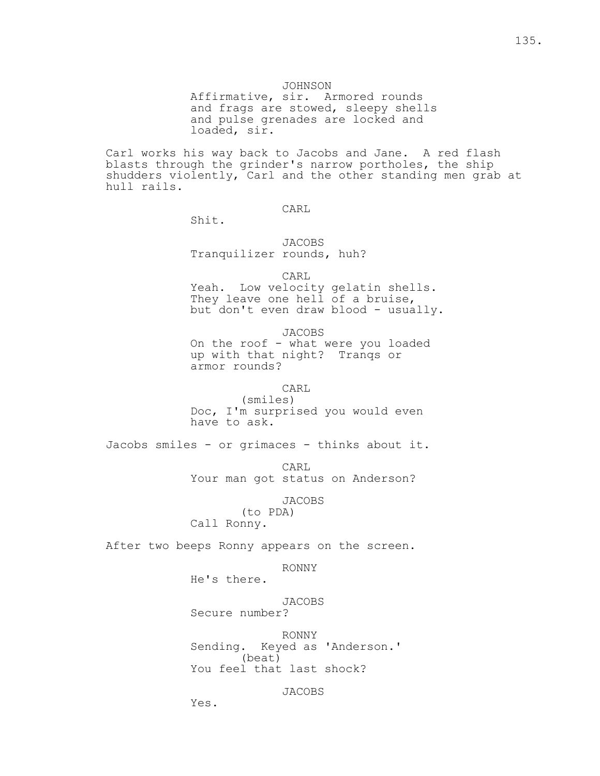Affirmative, sir. Armored rounds and frags are stowed, sleepy shells and pulse grenades are locked and loaded, sir.

Carl works his way back to Jacobs and Jane. A red flash blasts through the grinder's narrow portholes, the ship shudders violently, Carl and the other standing men grab at hull rails.

CARL

Shit.

 JACOBS Tranquilizer rounds, huh?

**CARL**  Yeah. Low velocity gelatin shells. They leave one hell of a bruise, but don't even draw blood - usually.

> JACOBS On the roof - what were you loaded up with that night? Tranqs or armor rounds?

> > CARL

 (smiles) Doc, I'm surprised you would even have to ask.

Jacobs smiles - or grimaces - thinks about it.

 CARL Your man got status on Anderson?

JACOBS

 (to PDA) Call Ronny.

After two beeps Ronny appears on the screen.

RONNY

He's there.

Yes.

 JACOBS Secure number?

 RONNY Sending. Keyed as 'Anderson.' (beat) You feel that last shock?

JACOBS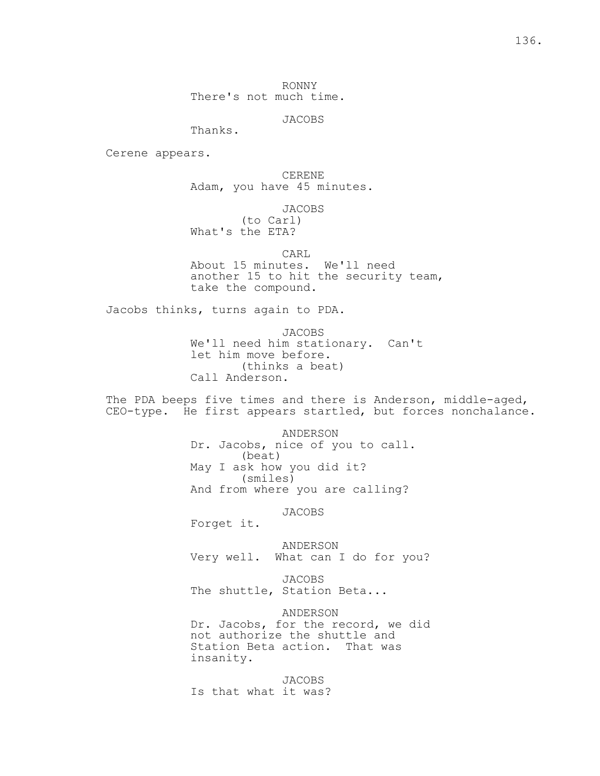RONNY There's not much time.

JACOBS

Thanks.

Cerene appears.

 CERENE Adam, you have 45 minutes.

 JACOBS (to Carl) What's the ETA?

 CARL About 15 minutes. We'll need another 15 to hit the security team, take the compound.

Jacobs thinks, turns again to PDA.

 JACOBS We'll need him stationary. Can't let him move before. (thinks a beat) Call Anderson.

The PDA beeps five times and there is Anderson, middle-aged, CEO-type. He first appears startled, but forces nonchalance.

> ANDERSON Dr. Jacobs, nice of you to call. (beat) May I ask how you did it? (smiles) And from where you are calling?

> > JACOBS

Forget it.

 ANDERSON Very well. What can I do for you?

 JACOBS The shuttle, Station Beta...

 ANDERSON Dr. Jacobs, for the record, we did not authorize the shuttle and Station Beta action. That was insanity.

 JACOBS Is that what it was?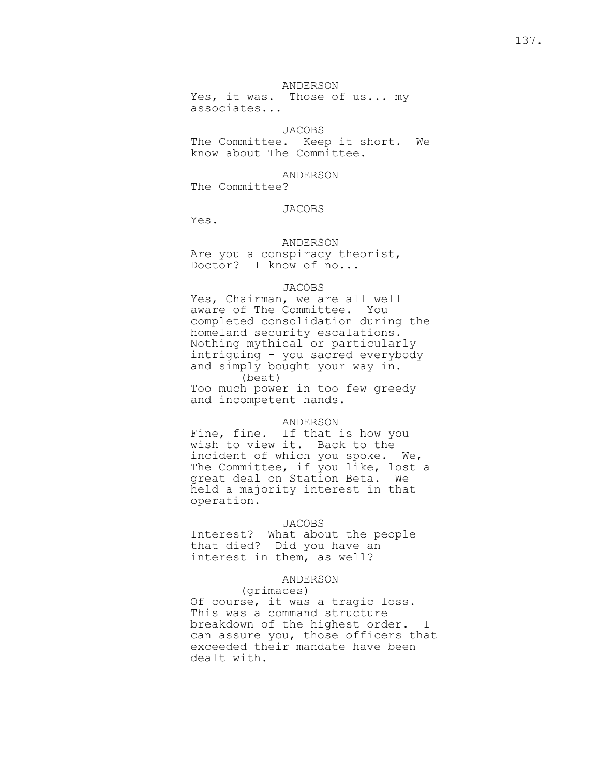## ANDERSON

Yes, it was. Those of us... my associates...

# JACOBS

 The Committee. Keep it short. We know about The Committee.

#### ANDERSON

The Committee?

# JACOBS

Yes.

# ANDERSON

 Are you a conspiracy theorist, Doctor? I know of no...

#### JACOBS

 Yes, Chairman, we are all well aware of The Committee. You completed consolidation during the homeland security escalations. Nothing mythical or particularly intriguing - you sacred everybody and simply bought your way in. (beat) Too much power in too few greedy and incompetent hands.

# ANDERSON

Fine, fine. If that is how you wish to view it. Back to the incident of which you spoke. We, The Committee, if you like, lost a great deal on Station Beta. We held a majority interest in that operation.

# JACOBS

 Interest? What about the people that died? Did you have an interest in them, as well?

### ANDERSON

### (grimaces)

 Of course, it was a tragic loss. This was a command structure breakdown of the highest order. I can assure you, those officers that exceeded their mandate have been dealt with.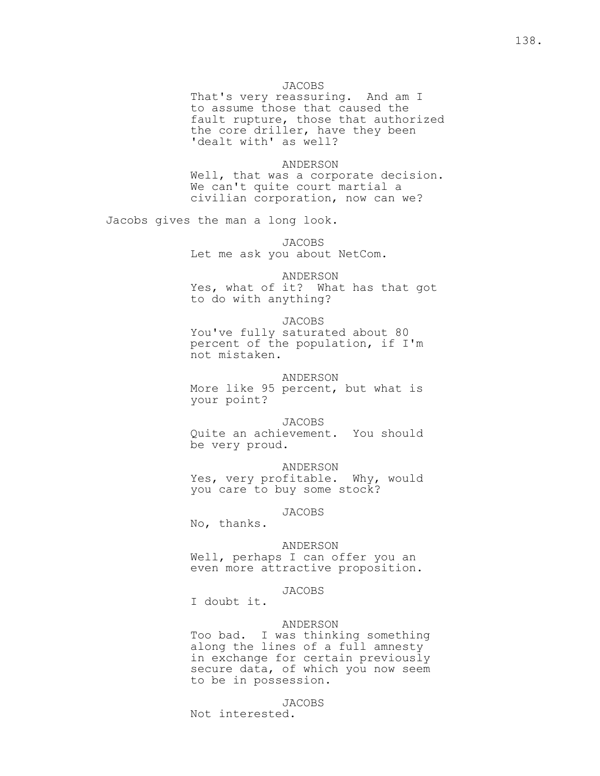# JACOBS

 That's very reassuring. And am I to assume those that caused the fault rupture, those that authorized the core driller, have they been 'dealt with' as well?

#### ANDERSON

 Well, that was a corporate decision. We can't quite court martial a civilian corporation, now can we?

Jacobs gives the man a long look.

 JACOBS Let me ask you about NetCom.

 ANDERSON Yes, what of it? What has that got to do with anything?

## JACOBS

 You've fully saturated about 80 percent of the population, if I'm not mistaken.

### ANDERSON

 More like 95 percent, but what is your point?

## JACOBS

 Quite an achievement. You should be very proud.

ANDERSON

 Yes, very profitable. Why, would you care to buy some stock?

#### JACOBS

No, thanks.

#### ANDERSON

 Well, perhaps I can offer you an even more attractive proposition.

## JACOBS

I doubt it.

## ANDERSON

 Too bad. I was thinking something along the lines of a full amnesty in exchange for certain previously secure data, of which you now seem to be in possession.

### JACOBS

Not interested.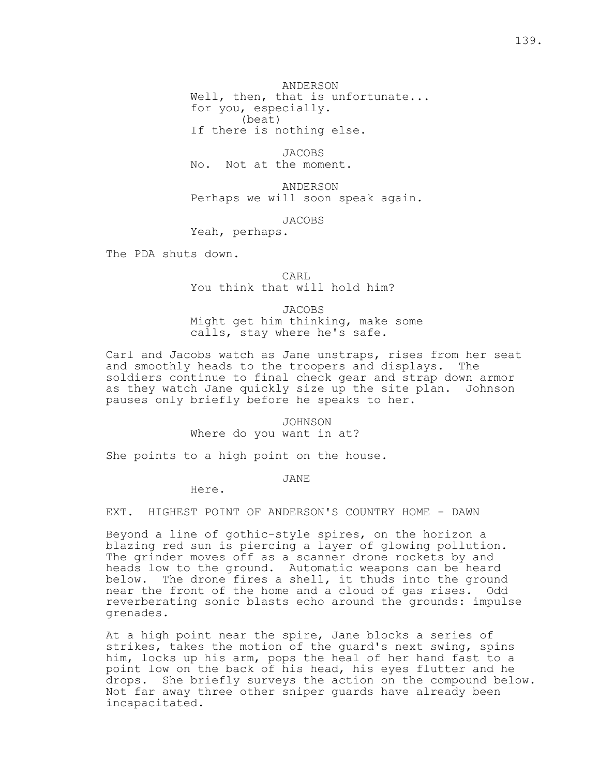ANDERSON Well, then, that is unfortunate... for you, especially. (beat)

If there is nothing else.

 JACOBS No. Not at the moment.

 ANDERSON Perhaps we will soon speak again.

JACOBS

Yeah, perhaps.

The PDA shuts down.

**CARL** You think that will hold him?

> JACOBS Might get him thinking, make some calls, stay where he's safe.

Carl and Jacobs watch as Jane unstraps, rises from her seat and smoothly heads to the troopers and displays. The soldiers continue to final check gear and strap down armor as they watch Jane quickly size up the site plan. Johnson pauses only briefly before he speaks to her.

> JOHNSON Where do you want in at?

She points to a high point on the house.

JANE

Here.

EXT. HIGHEST POINT OF ANDERSON'S COUNTRY HOME - DAWN

Beyond a line of gothic-style spires, on the horizon a blazing red sun is piercing a layer of glowing pollution. The grinder moves off as a scanner drone rockets by and heads low to the ground. Automatic weapons can be heard below. The drone fires a shell, it thuds into the ground near the front of the home and a cloud of gas rises. Odd reverberating sonic blasts echo around the grounds: impulse grenades.

At a high point near the spire, Jane blocks a series of strikes, takes the motion of the guard's next swing, spins him, locks up his arm, pops the heal of her hand fast to a point low on the back of his head, his eyes flutter and he drops. She briefly surveys the action on the compound below. Not far away three other sniper guards have already been incapacitated.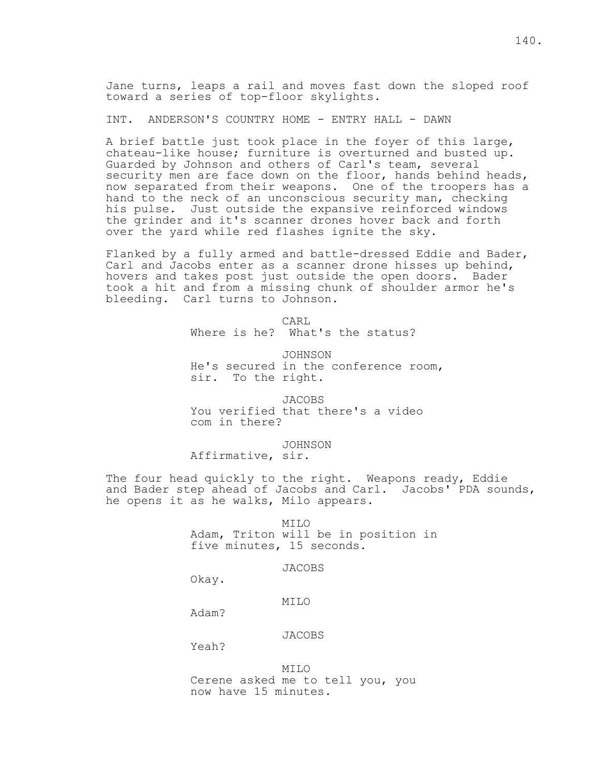Jane turns, leaps a rail and moves fast down the sloped roof toward a series of top-floor skylights.

INT. ANDERSON'S COUNTRY HOME - ENTRY HALL - DAWN

A brief battle just took place in the foyer of this large, chateau-like house; furniture is overturned and busted up. Guarded by Johnson and others of Carl's team, several security men are face down on the floor, hands behind heads, now separated from their weapons. One of the troopers has a hand to the neck of an unconscious security man, checking his pulse. Just outside the expansive reinforced windows the grinder and it's scanner drones hover back and forth over the yard while red flashes ignite the sky.

Flanked by a fully armed and battle-dressed Eddie and Bader, Carl and Jacobs enter as a scanner drone hisses up behind, hovers and takes post just outside the open doors. Bader took a hit and from a missing chunk of shoulder armor he's bleeding. Carl turns to Johnson.

CARL

Where is he? What's the status?

JOHNSON

 He's secured in the conference room, sir. To the right.

 JACOBS You verified that there's a video com in there?

JOHNSON

Affirmative, sir.

The four head quickly to the right. Weapons ready, Eddie and Bader step ahead of Jacobs and Carl. Jacobs' PDA sounds, he opens it as he walks, Milo appears.

> MILO Adam, Triton will be in position in five minutes, 15 seconds.

> > JACOBS

Okay.

MILO

Adam?

JACOBS

Yeah?

 MILO Cerene asked me to tell you, you now have 15 minutes.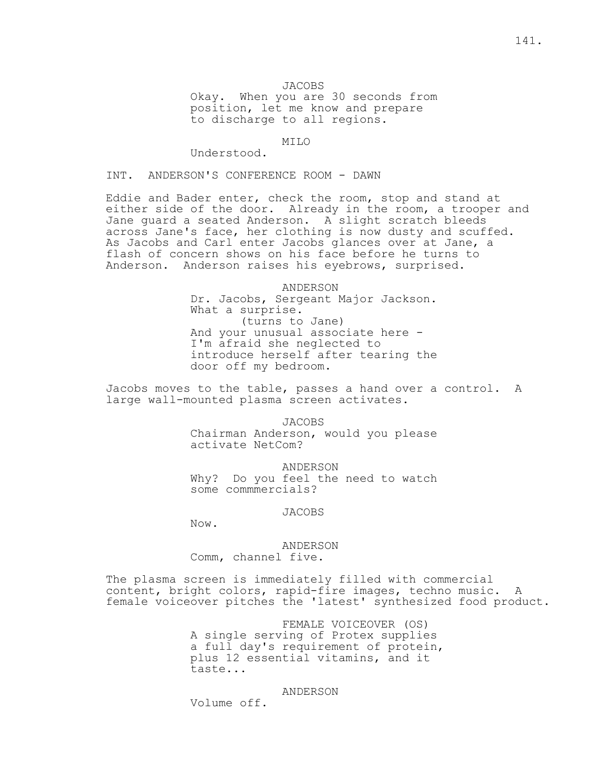Okay. When you are 30 seconds from position, let me know and prepare to discharge to all regions.

### MILO

Understood.

INT. ANDERSON'S CONFERENCE ROOM - DAWN

Eddie and Bader enter, check the room, stop and stand at either side of the door. Already in the room, a trooper and Jane guard a seated Anderson. A slight scratch bleeds across Jane's face, her clothing is now dusty and scuffed. As Jacobs and Carl enter Jacobs glances over at Jane, a flash of concern shows on his face before he turns to Anderson. Anderson raises his eyebrows, surprised.

> ANDERSON Dr. Jacobs, Sergeant Major Jackson. What a surprise. (turns to Jane) And your unusual associate here - I'm afraid she neglected to introduce herself after tearing the door off my bedroom.

Jacobs moves to the table, passes a hand over a control. A large wall-mounted plasma screen activates.

> JACOBS Chairman Anderson, would you please activate NetCom?

> ANDERSON Why? Do you feel the need to watch some commmercials?

#### JACOBS

Now.

 ANDERSON Comm, channel five.

The plasma screen is immediately filled with commercial content, bright colors, rapid-fire images, techno music. A female voiceover pitches the 'latest' synthesized food product.

> FEMALE VOICEOVER (OS) A single serving of Protex supplies a full day's requirement of protein, plus 12 essential vitamins, and it taste...

> > ANDERSON

Volume off.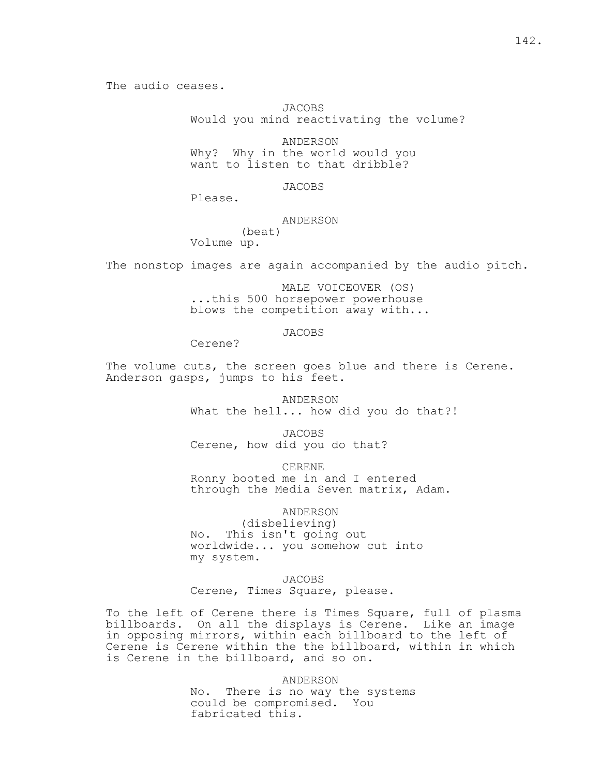The audio ceases.

JACOBS

Would you mind reactivating the volume?

ANDERSON

 Why? Why in the world would you want to listen to that dribble?

JACOBS

Please.

# ANDERSON

 (beat) Volume up.

The nonstop images are again accompanied by the audio pitch.

 MALE VOICEOVER (OS) ...this 500 horsepower powerhouse blows the competition away with...

JACOBS

Cerene?

The volume cuts, the screen goes blue and there is Cerene. Anderson gasps, jumps to his feet.

> ANDERSON What the hell... how did you do that?!

 JACOBS Cerene, how did you do that?

CERENE

 Ronny booted me in and I entered through the Media Seven matrix, Adam.

ANDERSON

 (disbelieving) No. This isn't going out worldwide... you somehow cut into my system.

 JACOBS Cerene, Times Square, please.

To the left of Cerene there is Times Square, full of plasma billboards. On all the displays is Cerene. Like an image in opposing mirrors, within each billboard to the left of Cerene is Cerene within the the billboard, within in which is Cerene in the billboard, and so on.

ANDERSON

 No. There is no way the systems could be compromised. You fabricated this.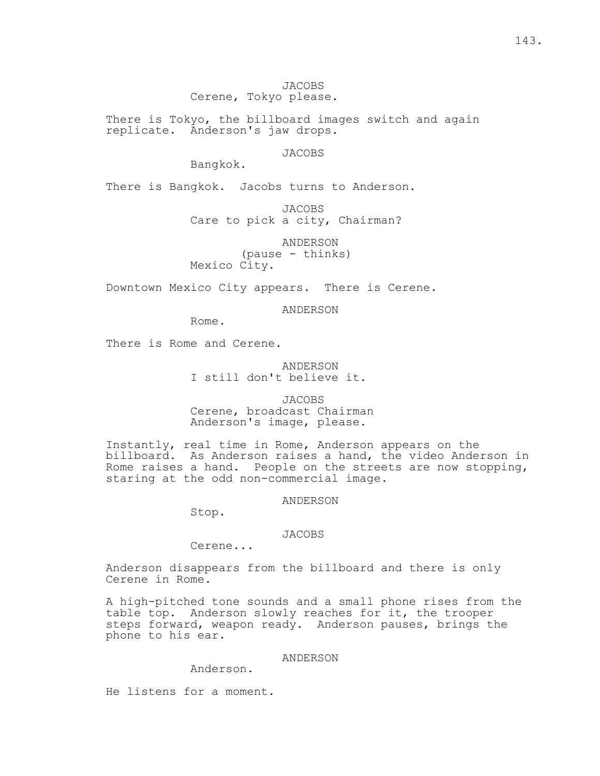JACOBS Cerene, Tokyo please.

There is Tokyo, the billboard images switch and again replicate. Anderson's jaw drops.

JACOBS

Bangkok.

There is Bangkok. Jacobs turns to Anderson.

JACOBS

Care to pick a city, Chairman?

 ANDERSON (pause - thinks) Mexico City.

Downtown Mexico City appears. There is Cerene.

ANDERSON

Rome.

There is Rome and Cerene.

 ANDERSON I still don't believe it.

 JACOBS Cerene, broadcast Chairman Anderson's image, please.

Instantly, real time in Rome, Anderson appears on the billboard. As Anderson raises a hand, the video Anderson in Rome raises a hand. People on the streets are now stopping, staring at the odd non-commercial image.

ANDERSON

Stop.

# JACOBS

Cerene...

Anderson disappears from the billboard and there is only Cerene in Rome.

A high-pitched tone sounds and a small phone rises from the table top. Anderson slowly reaches for it, the trooper steps forward, weapon ready. Anderson pauses, brings the phone to his ear.

# ANDERSON

Anderson.

He listens for a moment.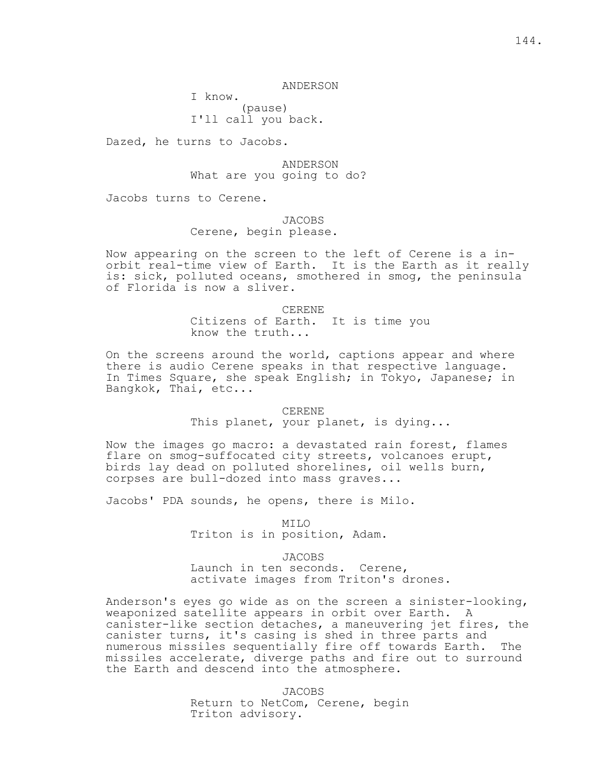### ANDERSON

I know.

 (pause) I'll call you back.

Dazed, he turns to Jacobs.

 ANDERSON What are you going to do?

Jacobs turns to Cerene.

# JACOBS Cerene, begin please.

Now appearing on the screen to the left of Cerene is a inorbit real-time view of Earth. It is the Earth as it really is: sick, polluted oceans, smothered in smog, the peninsula of Florida is now a sliver.

> CERENE Citizens of Earth. It is time you know the truth...

On the screens around the world, captions appear and where there is audio Cerene speaks in that respective language. In Times Square, she speak English; in Tokyo, Japanese; in Bangkok, Thai, etc...

> CERENE This planet, your planet, is dying...

Now the images go macro: a devastated rain forest, flames flare on smog-suffocated city streets, volcanoes erupt, birds lay dead on polluted shorelines, oil wells burn, corpses are bull-dozed into mass graves...

Jacobs' PDA sounds, he opens, there is Milo.

 MILO Triton is in position, Adam.

JACOBS

 Launch in ten seconds. Cerene, activate images from Triton's drones.

Anderson's eyes go wide as on the screen a sinister-looking, weaponized satellite appears in orbit over Earth. A canister-like section detaches, a maneuvering jet fires, the canister turns, it's casing is shed in three parts and numerous missiles sequentially fire off towards Earth. The missiles accelerate, diverge paths and fire out to surround the Earth and descend into the atmosphere.

> JACOBS Return to NetCom, Cerene, begin Triton advisory.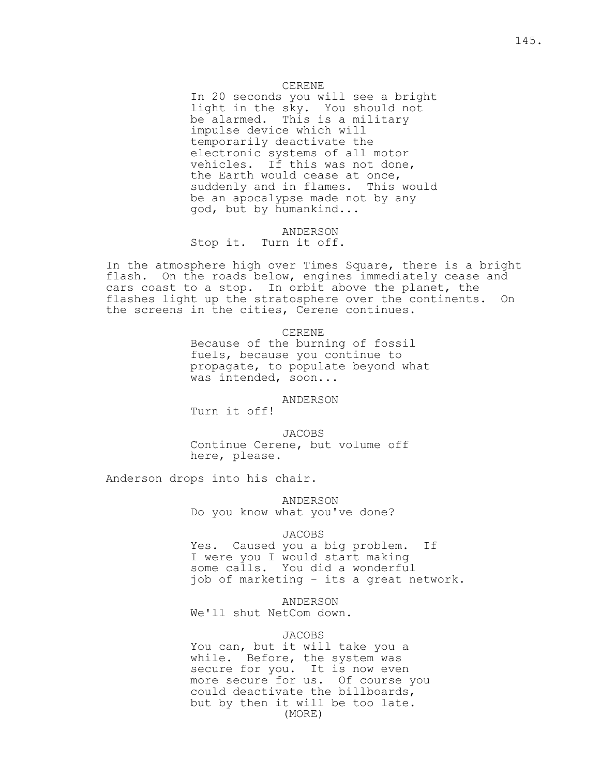## CERENE

 In 20 seconds you will see a bright light in the sky. You should not be alarmed. This is a military impulse device which will temporarily deactivate the electronic systems of all motor vehicles. If this was not done, the Earth would cease at once, suddenly and in flames. This would be an apocalypse made not by any god, but by humankind...

> ANDERSON Stop it. Turn it off.

In the atmosphere high over Times Square, there is a bright flash. On the roads below, engines immediately cease and cars coast to a stop. In orbit above the planet, the flashes light up the stratosphere over the continents. On the screens in the cities, Cerene continues.

CERENE

 Because of the burning of fossil fuels, because you continue to propagate, to populate beyond what was intended, soon...

ANDERSON

Turn it off!

 JACOBS Continue Cerene, but volume off here, please.

Anderson drops into his chair.

 ANDERSON Do you know what you've done?

#### JACOBS

 Yes. Caused you a big problem. If I were you I would start making some calls. You did a wonderful job of marketing - its a great network.

ANDERSON

We'll shut NetCom down.

## JACOBS

 You can, but it will take you a while. Before, the system was secure for you. It is now even more secure for us. Of course you could deactivate the billboards, but by then it will be too late. (MORE)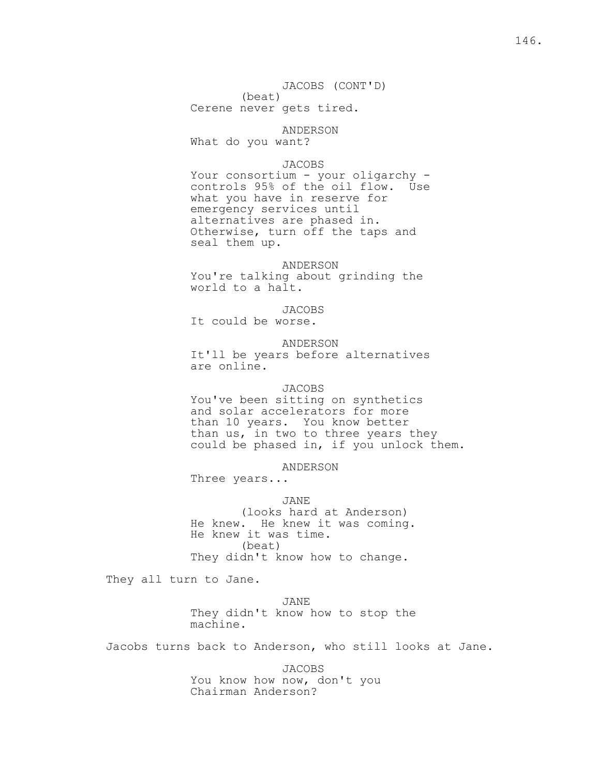JACOBS (CONT'D)

(beat)

Cerene never gets tired.

 ANDERSON What do you want?

#### JACOBS

Your consortium - your oligarchy controls 95% of the oil flow. Use what you have in reserve for emergency services until alternatives are phased in. Otherwise, turn off the taps and seal them up.

 ANDERSON You're talking about grinding the world to a halt.

 JACOBS It could be worse.

 ANDERSON It'll be years before alternatives are online.

## JACOBS

 You've been sitting on synthetics and solar accelerators for more than 10 years. You know better than us, in two to three years they could be phased in, if you unlock them.

ANDERSON

Three years...

JANE

 (looks hard at Anderson) He knew. He knew it was coming. He knew it was time. (beat) They didn't know how to change.

They all turn to Jane.

 JANE They didn't know how to stop the machine.

Jacobs turns back to Anderson, who still looks at Jane.

 JACOBS You know how now, don't you Chairman Anderson?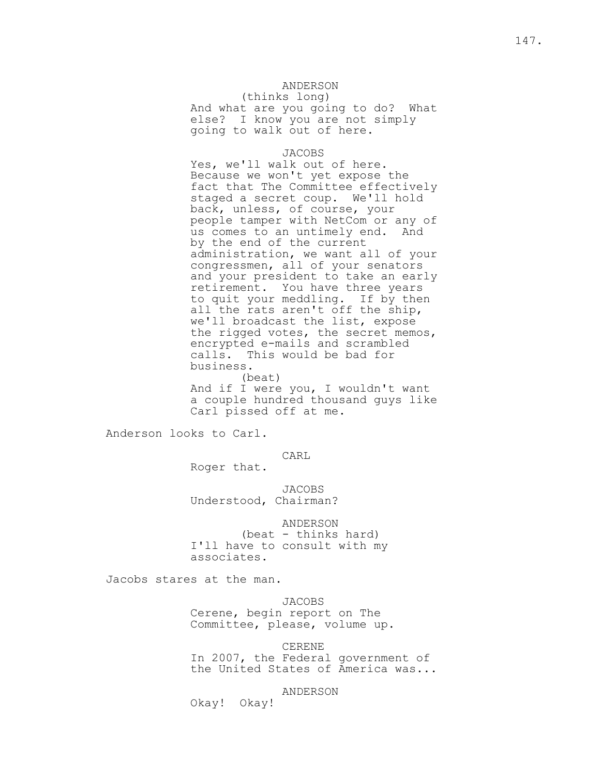# ANDERSON

 (thinks long) And what are you going to do? What else? I know you are not simply going to walk out of here.

## JACOBS

 Yes, we'll walk out of here. Because we won't yet expose the fact that The Committee effectively staged a secret coup. We'll hold back, unless, of course, your people tamper with NetCom or any of us comes to an untimely end. And by the end of the current administration, we want all of your congressmen, all of your senators and your president to take an early retirement. You have three years to quit your meddling. If by then all the rats aren't off the ship, we'll broadcast the list, expose the rigged votes, the secret memos, encrypted e-mails and scrambled calls. This would be bad for business. (beat)

 And if I were you, I wouldn't want a couple hundred thousand guys like Carl pissed off at me.

Anderson looks to Carl.

CARL

Roger that.

 JACOBS Understood, Chairman?

 ANDERSON (beat - thinks hard) I'll have to consult with my associates.

Jacobs stares at the man.

 JACOBS Cerene, begin report on The Committee, please, volume up.

CERENE

 In 2007, the Federal government of the United States of America was...

ANDERSON

Okay! Okay!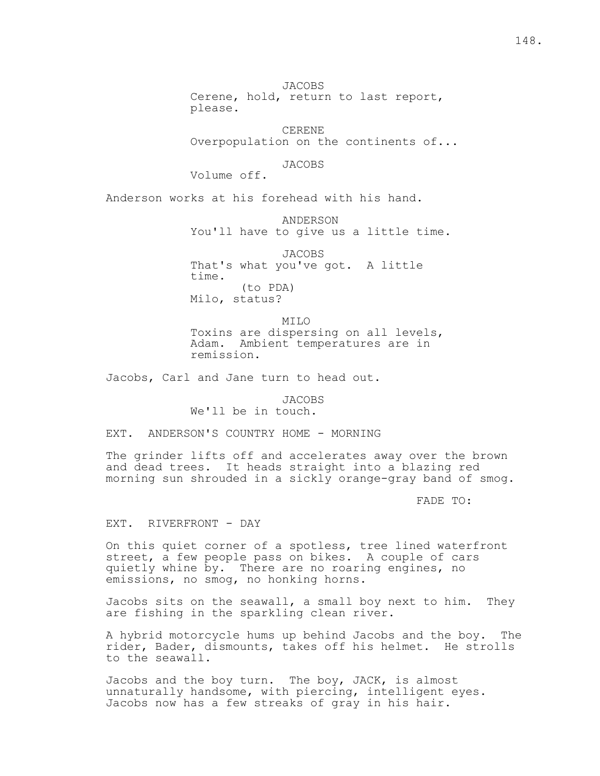JACOBS Cerene, hold, return to last report, please.

 CERENE Overpopulation on the continents of...

JACOBS

Volume off.

Anderson works at his forehead with his hand.

 ANDERSON You'll have to give us a little time.

 JACOBS That's what you've got. A little time. (to PDA) Milo, status?

 MILO Toxins are dispersing on all levels, Adam. Ambient temperatures are in remission.

Jacobs, Carl and Jane turn to head out.

 JACOBS We'll be in touch.

EXT. ANDERSON'S COUNTRY HOME - MORNING

The grinder lifts off and accelerates away over the brown and dead trees. It heads straight into a blazing red morning sun shrouded in a sickly orange-gray band of smog.

FADE TO:

EXT. RIVERFRONT - DAY

On this quiet corner of a spotless, tree lined waterfront street, a few people pass on bikes. A couple of cars quietly whine by. There are no roaring engines, no emissions, no smog, no honking horns.

Jacobs sits on the seawall, a small boy next to him. They are fishing in the sparkling clean river.

A hybrid motorcycle hums up behind Jacobs and the boy. The rider, Bader, dismounts, takes off his helmet. He strolls to the seawall.

Jacobs and the boy turn. The boy, JACK, is almost unnaturally handsome, with piercing, intelligent eyes. Jacobs now has a few streaks of gray in his hair.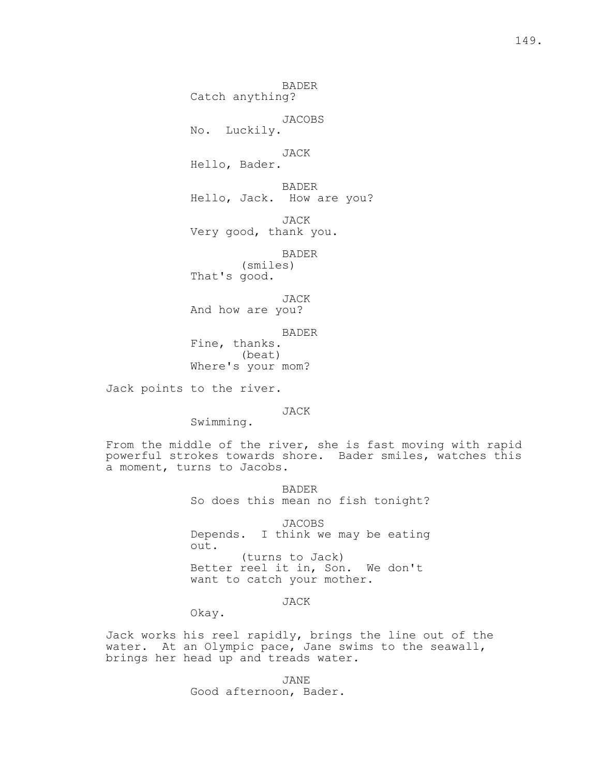BADER

Catch anything?

 JACOBS No. Luckily.

 JACK Hello, Bader.

 BADER Hello, Jack. How are you?

 JACK Very good, thank you.

BADER

 (smiles) That's good.

JACK

And how are you?

 BADER Fine, thanks. (beat)

Where's your mom?

Jack points to the river.

JACK

Swimming.

From the middle of the river, she is fast moving with rapid powerful strokes towards shore. Bader smiles, watches this a moment, turns to Jacobs.

> BADER So does this mean no fish tonight?

> JACOBS Depends. I think we may be eating out. (turns to Jack) Better reel it in, Son. We don't want to catch your mother.

> > JACK

Okay.

Jack works his reel rapidly, brings the line out of the water. At an Olympic pace, Jane swims to the seawall, brings her head up and treads water.

 JANE Good afternoon, Bader.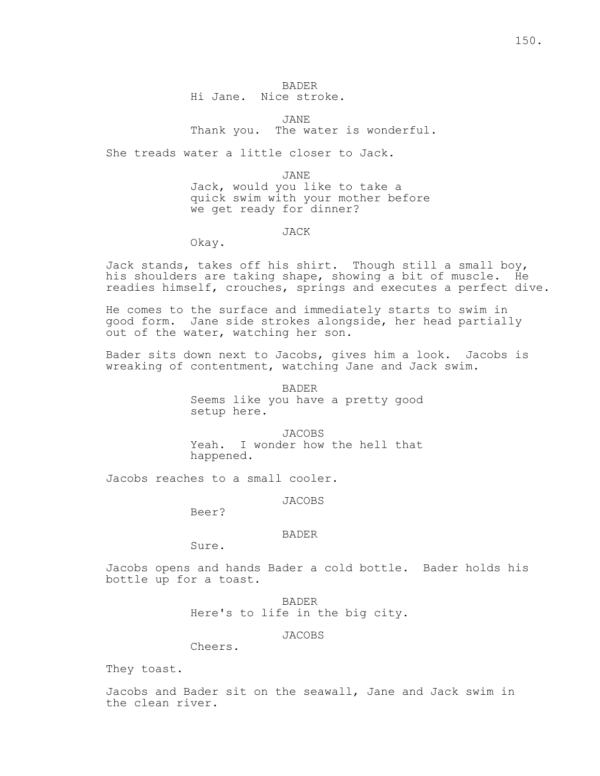JANE Thank you. The water is wonderful.

She treads water a little closer to Jack.

JANE

 Jack, would you like to take a quick swim with your mother before we get ready for dinner?

JACK

Okay.

Jack stands, takes off his shirt. Though still a small boy, his shoulders are taking shape, showing a bit of muscle. He readies himself, crouches, springs and executes a perfect dive.

He comes to the surface and immediately starts to swim in good form. Jane side strokes alongside, her head partially out of the water, watching her son.

Bader sits down next to Jacobs, gives him a look. Jacobs is wreaking of contentment, watching Jane and Jack swim.

> BADER Seems like you have a pretty good setup here.

> JACOBS Yeah. I wonder how the hell that happened.

Jacobs reaches to a small cooler.

JACOBS

Beer?

# BADER

Sure.

Jacobs opens and hands Bader a cold bottle. Bader holds his bottle up for a toast.

> BADER Here's to life in the big city.

> > JACOBS

Cheers.

They toast.

Jacobs and Bader sit on the seawall, Jane and Jack swim in the clean river.